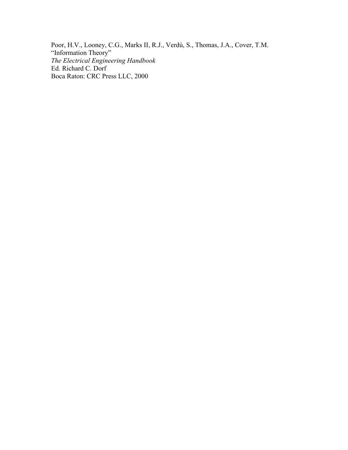Poor, H.V., Looney, C.G., Marks II, R.J., Verdú, S., Thomas, J.A., Cover, T.M. "Information Theory" *The Electrical Engineering Handbook* Ed. Richard C. Dorf Boca Raton: CRC Press LLC, 2000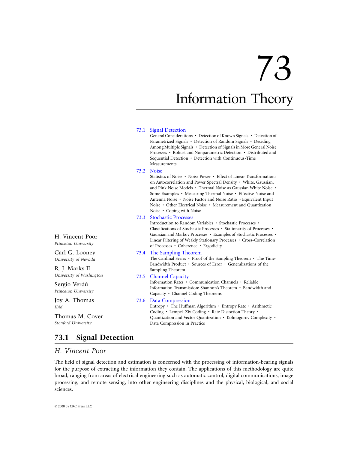73

# Information Theory

#### 73.1 Signal Detection

General Considerations • Detection of Known Signals • Detection of Parametrized Signals • Detection of Random Signals • Deciding Among Multiple Signals • Detection of Signals in More General Noise Processes • Robust and Nonparametric Detection • Distributed and Sequential Detection • Detection with Continuous-Time Measurements

#### 73.2 [Noise](#page-10-0)

Statistics of Noise • Noise Power • Effect of Linear Transformations on Autocorrelation and Power Spectral Density • White, Gaussian, and Pink Noise Models • Thermal Noise as Gaussian White Noise • Some Examples • Measuring Thermal Noise • Effective Noise and Antenna Noise • Noise Factor and Noise Ratio • Equivalent Input Noise • Other Electrical Noise • Measurement and Quantization Noise • Coping with Noise

#### 73.3 [Stochastic Processes](#page-21-0)

Introduction to Random Variables • Stochastic Processes • Classifications of Stochastic Processes • Stationarity of Processes • Gaussian and Markov Processes • Examples of Stochastic Processes • Linear Filtering of Weakly Stationary Processes • Cross-Correlation of Processes • Coherence • Ergodicity

#### 73.4 [The Sampling Theorem](#page-32-0)

The Cardinal Series • Proof of the Sampling Theorem • The Time-Bandwidth Product • Sources of Error • Generalizations of the Sampling Theorem

#### 73.5 [Channel Capacity](#page-39-0)

Information Rates • Communication Channels • Reliable Information Transmission: Shannon's Theorem • Bandwidth and Capacity • Channel Coding Theorems

#### 73.6 [Data Compression](#page-47-0)

Entropy • The Huffman Algorithm • Entropy Rate • Arithmetic Coding • Lempel–Ziv Coding • Rate Distortion Theory • Quantization and Vector Quantization • Kolmogorov Complexity • Data Compression in Practice

# **73.1 Signal Detection**

# *H. Vincent Poor*

The field of signal detection and estimation is concerned with the processing of information-bearing signals for the purpose of extracting the information they contain. The applications of this methodology are quite broad, ranging from areas of electrical engineering such as automatic control, digital communications, image processing, and remote sensing, into other engineering disciplines and the physical, biological, and social sciences.

H. Vincent Poor *Princeton University*

Carl G. Looney *University of Nevada*

R. J. Marks II *University of Washington*

Sergio Verdú *Princeton University*

Joy A. Thomas *IBM*

Thomas M. Cover *Stanford University*

© 2000 by CRC Press LLC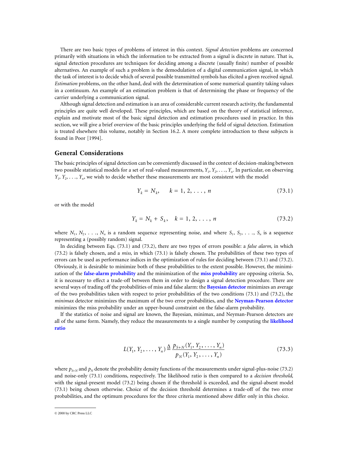There are two basic types of problems of interest in this context. *Signal detection* problems are concerned primarily with situations in which the information to be extracted from a signal is discrete in nature. That is, signal detection procedures are techniques for deciding among a discrete (usually finite) number of possible alternatives. An example of such a problem is the demodulation of a digital communication signal, in which the task of interest is to decide which of several possible transmitted symbols has elicited a given received signal. *Estimation* problems, on the other hand, deal with the determination of some numerical quantity taking values in a continuum. An example of an estimation problem is that of determining the phase or frequency of the carrier underlying a communication signal.

Although signal detection and estimation is an area of considerable current research activity, the fundamental principles are quite well developed. These principles, which are based on the theory of statistical inference, explain and motivate most of the basic signal detection and estimation procedures used in practice. In this section, we will give a brief overview of the basic principles underlying the field of signal detection. Estimation is treated elsewhere this volume, notably in Section 16.2. A more complete introduction to these subjects is found in Poor [1994].

#### **General Considerations**

The basic principles of signal detection can be conveniently discussed in the context of decision-making between two possible statistical models for a set of real-valued measurements,  $Y_1, Y_2, \ldots, Y_n$ . In particular, on observing  $Y_1, Y_2, \ldots, Y_n$ , we wish to decide whether these measurements are most consistent with the model

$$
Y_k = N_k, \qquad k = 1, 2, \ldots, n \tag{73.1}
$$

or with the model

$$
Y_k = N_k + S_k, \quad k = 1, 2, \dots, n \tag{73.2}
$$

where  $N_1, N_2, \ldots, N_n$  is a random sequence representing noise, and where  $S_1, S_2, \ldots, S_n$  is a sequence representing a (possibly random) signal.

In deciding between Eqs. (73.1) and (73.2), there are two types of errors possible: a *false alarm,* in which (73.2) is falsely chosen, and a *miss,* in which (73.1) is falsely chosen. The probabilities of these two types of errors can be used as performance indices in the optimization of rules for deciding between (73.1) and (73.2). Obviously, it is desirable to minimize both of these probabilities to the extent possible. However, the minimization of the **[false-alarm probability](#page-9-0)** and the minimization of the **[miss probability](#page-9-0)** are opposing criteria. So, it is necessary to effect a trade-off between them in order to design a signal detection procedure. There are several ways of trading off the probabilities of miss and false alarm: the **[Bayesian detector](#page-9-0)** minimizes an average of the two probabilities taken with respect to prior probabilities of the two conditions (73.1) and (73.2), the *minimax* detector minimizes the maximum of the two error probabilities, and the **[Neyman-Pearson detector](#page-9-0)** minimizes the miss probability under an upper-bound constraint on the false-alarm probability.

If the statistics of noise and signal are known, the Bayesian, minimax, and Neyman-Pearson detectors are all of the same form. Namely, they reduce the measurements to a single number by computing the **[likelihood](#page-9-0) [ratio](#page-9-0)**

$$
L(Y_1, Y_2, \dots, Y_n) \stackrel{\Delta}{=} \frac{p_{S+N}(Y_1, Y_2, \dots, Y_n)}{p_N(Y_1, Y_2, \dots, Y_n)}
$$
(73.3)

where  $p_{S+N}$  and  $p_N$  denote the probability density functions of the measurements under signal-plus-noise (73.2) and noise-only (73.1) conditions, respectively. The likelihood ratio is then compared to a *decision threshold,* with the signal-present model (73.2) being chosen if the threshold is exceeded, and the signal-absent model (73.1) being chosen otherwise. Choice of the decision threshold determines a trade-off of the two error probabilities, and the optimum procedures for the three criteria mentioned above differ only in this choice.

<sup>© 2000</sup> by CRC Press LLC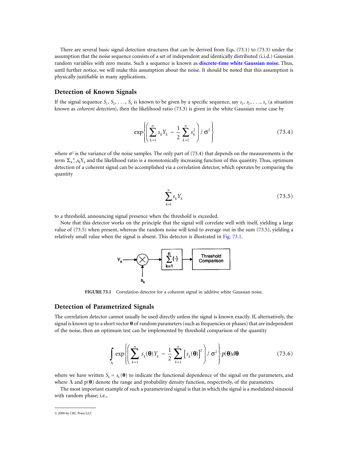<span id="page-3-0"></span>There are several basic signal detection structures that can be derived from Eqs. (73.1) to (73.3) under the assumption that the noise sequence consists of a set of independent and identically distributed (i.i.d.) Gaussian random variables with zero means. Such a sequence is known as **[discrete-time white Gaussian noise.](#page-9-0)** Thus, until further notice, we will make this assumption about the noise. It should be noted that this assumption is physically justifiable in many applications.

## **Detection of Known Signals**

If the signal sequence  $S_1, S_2, \ldots, S_n$  is known to be given by a specific sequence, say  $s_1, s_2, \ldots, s_n$  (a situation known as *coherent detection*), then the likelihood ratio (73.3) is given in the white Gaussian noise case by

$$
\exp\left\{ \left( \sum_{k=1}^{n} s_k Y_k - \frac{1}{2} \sum_{k=1}^{n} s_k^2 \right) / \sigma^2 \right\}
$$
 (73.4)

where  $\sigma^2$  is the variance of the noise samples. The only part of (73.4) that depends on the measurements is the term  $\Sigma_{k=1}^n s_k Y_k$  and the likelihood ratio is a monotonically increasing function of this quantity. Thus, optimum detection of a coherent signal can be accomplished via a correlation detector, which operates by comparing the quantity

$$
\sum_{k=1}^{n} s_k Y_k \tag{73.5}
$$

to a threshold, announcing signal presence when the threshold is exceeded.

Note that this detector works on the principle that the signal will correlate well with itself, yielding a large value of (73.5) when present, whereas the random noise will tend to average out in the sum (73.5), yielding a relatively small value when the signal is absent. This detector is illustrated in [Fig. 73.1.](#page-3-0)



**FIGURE 73.1** Correlation detector for a coherent signal in additive white Gaussian noise.

# **Detection of Parametrized Signals**

The correlation detector cannot usually be used directly unless the signal is known exactly. If, alternatively, the signal is known up to a short vector  $\theta$  of random parameters (such as frequencies or phases) that are independent of the noise, then an optimum test can be implemented by threshold comparison of the quantity

$$
\int_{\Lambda} \exp\left\{ \left( \sum_{k=1}^{n} s_k(\boldsymbol{\theta}) Y_k - \frac{1}{2} \sum_{k=1}^{n} \left[ s_k(\boldsymbol{\theta}) \right]^2 \right) / \sigma^2 \right\} p(\boldsymbol{\theta}) d\boldsymbol{\theta}
$$
 (73.6)

where we have written  $S_k = s_k(\mathbf{\theta})$  to indicate the functional dependence of the signal on the parameters, and where  $\Lambda$  and  $p(\theta)$  denote the range and probability density function, respectively, of the parameters.

The most important example of such a parametrized signal is that in which the signal is a modulated sinusoid with random phase; i.e.,

<sup>© 2000</sup> by CRC Press LLC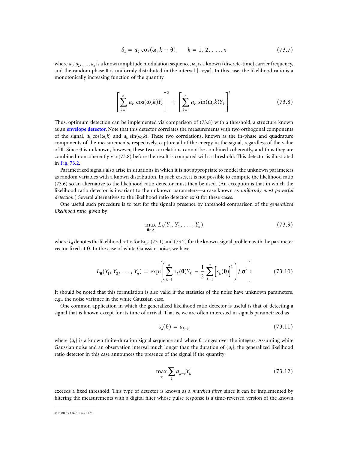$$
S_k = a_k \cos(\omega_c k + \theta), \qquad k = 1, 2, \dots, n \tag{73.7}
$$

where  $a_1, a_2, \ldots, a_n$  is a known amplitude modulation sequence,  $\omega_c$  is a known (discrete-time) carrier frequency, and the random phase  $\theta$  is uniformly distributed in the interval  $[-\pi,\pi]$ . In this case, the likelihood ratio is a monotonically increasing function of the quantity

$$
\left[\sum_{k=1}^{n} a_k \cos(\omega_c k) Y_k\right]^2 + \left[\sum_{k=1}^{n} a_k \sin(\omega_c k) Y_k\right]^2 \tag{73.8}
$$

Thus, optimum detection can be implemented via comparison of (73.8) with a threshold, a structure known as an **[envelope detector.](#page-9-0)** Note that this detector correlates the measurements with two orthogonal components of the signal,  $a_k \cos(\omega_k k)$  and  $a_k \sin(\omega_k k)$ . These two correlations, known as the in-phase and quadrature components of the measurements, respectively, capture all of the energy in the signal, regardless of the value of  $\theta$ . Since  $\theta$  is unknown, however, these two correlations cannot be combined coherently, and thus they are combined noncoherently via (73.8) before the result is compared with a threshold. This detector is illustrated in [Fig. 73.2.](#page-5-0)

Parametrized signals also arise in situations in which it is not appropriate to model the unknown parameters as random variables with a known distribution. In such cases, it is not possible to compute the likelihood ratio (73.6) so an alternative to the likelihood ratio detector must then be used. (An exception is that in which the likelihood ratio detector is invariant to the unknown parameters—a case known as *uniformly most powerful detection.*) Several alternatives to the likelihood ratio detector exist for these cases.

One useful such procedure is to test for the signal's presence by threshold comparison of the *generalized likelihood ratio,* given by

$$
\max_{\theta \in \Lambda} L_{\theta}(Y_1, Y_2, \dots, Y_n)
$$
\n(73.9)

where *L*<sub>u</sub> denotes the likelihood ratio for Eqs. (73.1) and (73.2) for the known-signal problem with the parameter vector fixed at  $\theta$ . In the case of white Gaussian noise, we have

$$
L_{\boldsymbol{\theta}}(Y_1, Y_2, \dots, Y_n) = \exp\left\{ \left( \sum_{k=1}^n s_k(\boldsymbol{\theta}) Y_k - \frac{1}{2} \sum_{k=1}^n \left[ s_k(\boldsymbol{\theta}) \right]^2 \right) / \sigma^2 \right\}
$$
(73.10)

It should be noted that this formulation is also valid if the statistics of the noise have unknown parameters, e.g., the noise variance in the white Gaussian case.

One common application in which the generalized likelihood ratio detector is useful is that of detecting a signal that is known except for its time of arrival. That is, we are often interested in signals parametrized as

$$
s_k(\theta) = a_{k-\theta} \tag{73.11}
$$

where  ${a_k}$  is a known finite-duration signal sequence and where  $\theta$  ranges over the integers. Assuming white Gaussian noise and an observation interval much longer than the duration of {*ak*}, the generalized likelihood ratio detector in this case announces the presence of the signal if the quantity

$$
\max_{\theta} \sum_{k} a_{k-\theta} Y_k \tag{73.12}
$$

exceeds a fixed threshold. This type of detector is known as a *matched filter,* since it can be implemented by filtering the measurements with a digital filter whose pulse response is a time-reversed version of the known

<sup>© 2000</sup> by CRC Press LLC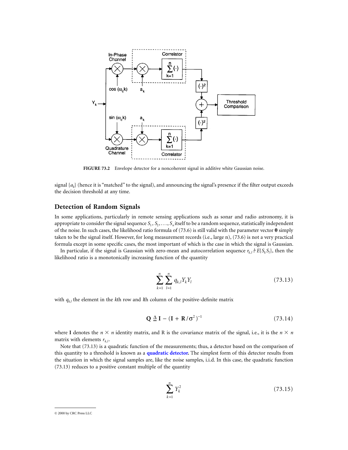<span id="page-5-0"></span>

**FIGURE 73.2** Envelope detector for a noncoherent signal in additive white Gaussian noise.

signal  $\{a_k\}$  (hence it is "matched" to the signal), and announcing the signal's presence if the filter output exceeds the decision threshold at any time.

## **Detection of Random Signals**

In some applications, particularly in remote sensing applications such as sonar and radio astronomy, it is appropriate to consider the signal sequence  $S_1, S_2, \ldots, S_n$  itself to be a random sequence, statistically independent of the noise. In such cases, the likelihood ratio formula of (73.6) is still valid with the parameter vector  $\theta$  simply taken to be the signal itself. However, for long measurement records (i.e., large n), (73.6) is not a very practical formula except in some specific cases, the most important of which is the case in which the signal is Gaussian.

In particular, if the signal is Gaussian with zero-mean and autocorrelation sequence  $r_{k,l} \triangleq E\{S_kS_l\}$ , then the likelihood ratio is a monotonically increasing function of the quantity

$$
\sum_{k=1}^{n} \sum_{l=1}^{n} q_{k,l} Y_k Y_l \tag{73.13}
$$

with *qk,l* the element in the *k*th row and *l*th column of the positive-definite matrix

$$
\mathbf{Q} \stackrel{\Delta}{=} \mathbf{I} - (\mathbf{I} + \mathbf{R}/\sigma^2)^{-1} \tag{73.14}
$$

where **I** denotes the  $n \times n$  identity matrix, and R is the covariance matrix of the signal, i.e., it is the  $n \times n$ matrix with elements  $r_{k,l}$ .

Note that (73.13) is a quadratic function of the measurements; thus, a detector based on the comparison of this quantity to a threshold is known as a **[quadratic detector.](#page-9-0)** The simplest form of this detector results from the situation in which the signal samples are, like the noise samples, i.i.d. In this case, the quadratic function (73.13) reduces to a positive constant multiple of the quantity

$$
\sum_{k=1}^{n} Y_k^2 \tag{73.15}
$$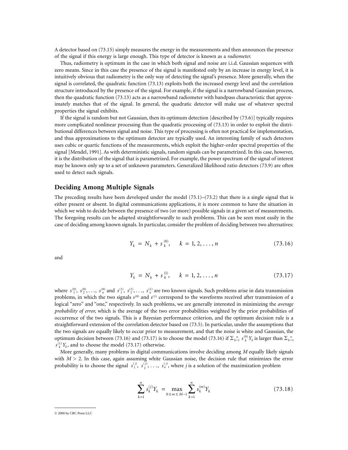A detector based on (73.15) simply measures the energy in the measurements and then announces the presence of the signal if this energy is large enough. This type of detector is known as a *radiometer*.

Thus, radiometry is optimum in the case in which both signal and noise are i.i.d. Gaussian sequences with zero means. Since in this case the presence of the signal is manifested only by an increase in energy level, it is intuitively obvious that radiometry is the only way of detecting the signal's presence. More generally, when the signal is correlated, the quadratic function (73.13) exploits both the increased energy level and the correlation structure introduced by the presence of the signal. For example, if the signal is a narrowband Gaussian process, then the quadratic function (73.13) acts as a narrowband radiometer with bandpass characteristic that approximately matches that of the signal. In general, the quadratic detector will make use of whatever spectral properties the signal exhibits.

If the signal is random but not Gaussian, then its optimum detection [described by (73.6)] typically requires more complicated nonlinear processing than the quadratic processing of (73.13) in order to exploit the distributional differences between signal and noise. This type of processing is often not practical for implementation, and thus approximations to the optimum detector are typically used. An interesting family of such detectors uses cubic or quartic functions of the measurements, which exploit the higher-order spectral properties of the signal [Mendel, 1991]. As with deterministic signals, random signals can be parametrized. In this case, however, it is the distribution of the signal that is parametrized. For example, the power spectrum of the signal of interest may be known only up to a set of unknown parameters. Generalized likelihood ratio detectors (73.9) are often used to detect such signals.

#### **Deciding Among Multiple Signals**

The preceding results have been developed under the model (73.1)–(73.2) that there is a single signal that is either present or absent. In digital communications applications, it is more common to have the situation in which we wish to decide between the presence of two (or more) possible signals in a given set of measurements. The foregoing results can be adapted straightforwardly to such problems. This can be seen most easily in the case of deciding among known signals. In particular, consider the problem of deciding between two alternatives:

$$
Y_k = N_k + s_k^{(0)}, \quad k = 1, 2, ..., n
$$
 (73.16)

and

$$
Y_k = N_k + s_k^{(1)}, \quad k = 1, 2, ..., n
$$
 (73.17)

where  $s_1^{(0)}, s_2^{(0)}, \ldots, s_n^{(0)}$  and  $s_1^{(1)}, s_2^{(1)}, \ldots, s_n^{(1)}$  are two known signals. Such problems arise in data transmission problems, in which the two signals  $s^{(0)}$  and  $s^{(1)}$  correspond to the waveforms received after transmission of a logical "zero'' and "one,'' respectively. In such problems, we are generally interested in minimizing the *average probability of error,* which is the average of the two error probabilities weighted by the prior probabilities of occurrence of the two signals. This is a Bayesian performance criterion, and the optimum decision rule is a straightforward extension of the correlation detector based on (73.5). In particular, under the assumptions that the two signals are equally likely to occur prior to measurement, and that the noise is white and Gaussian, the optimum decision between (73.16) and (73.17) is to choose the model (73.16) if  $\sum_{k=1}^{n} s_k^{(0)} Y_k$  is larger than  $\sum_{k=1}^{n} n_k^{(0)} Y_k$  $s_k^{(1)} Y_k$ , and to choose the model (73.17) otherwise.

More generally, many problems in digital communications involve deciding among *M* equally likely signals with  $M > 2$ . In this case, again assuming white Gaussian noise, the decision rule that minimizes the error probability is to choose the signal  $s_1^{(j)}$ ,  $s_2^{(j)}$ , ...,  $s_n^{(j)}$ , where *j* is a solution of the maximization problem

$$
\sum_{k=1}^{n} s_k^{(j)} Y_k = \max_{0 \le m \le M-1} \sum_{k=1}^{n} s_k^{(m)} Y_k
$$
 (73.18)

© 2000 by CRC Press LLC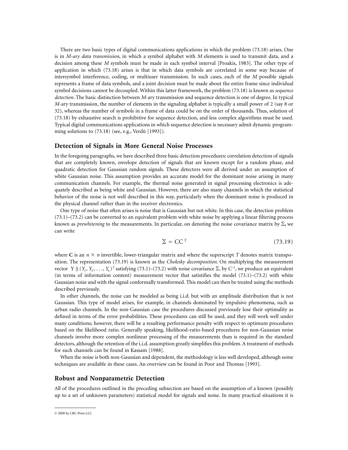There are two basic types of digital communications applications in which the problem (73.18) arises. One is in *M-ary data transmission,* in which a symbol alphabet with *M* elements is used to transmit data, and a decision among these *M* symbols must be made in each symbol interval [Proakis, 1983]. The other type of application in which (73.18) arises is that in which data symbols are correlated in some way because of intersymbol interference, coding, or multiuser transmission. In such cases, each of the *M* possible signals represents a frame of data symbols, and a joint decision must be made about the entire frame since individual symbol decisions cannot be decoupled. Within this latter framework, the problem (73.18) is known as *sequence detection.* The basic distinction between *M*-ary transmission and sequence detection is one of degree. In typical *M*-ary transmission, the number of elements in the signaling alphabet is typically a small power of 2 (say 8 or 32), whereas the number of symbols in a frame of data could be on the order of thousands. Thus, solution of (73.18) by exhaustive search is prohibitive for sequence detection, and less complex algorithms must be used. Typical digital communications applications in which sequence detection is necessary admit dynamic programming solutions to (73.18) (see, e.g., Verdú [1993]).

#### **Detection of Signals in More General Noise Processes**

In the foregoing paragraphs, we have described three basic detection procedures: correlation detection of signals that are completely known, envelope detection of signals that are known except for a random phase, and quadratic detection for Gaussian random signals. These detectors were all derived under an assumption of white Gaussian noise. This assumption provides an accurate model for the dominant noise arising in many communication channels. For example, the thermal noise generated in signal processing electronics is adequately described as being white and Gaussian. However, there are also many channels in which the statistical behavior of the noise is not well described in this way, particularly when the dominant noise is produced in the physical channel rather than in the receiver electronics.

One type of noise that often arises is noise that is Gaussian but not white. In this case, the detection problem (73.1)–(73.2) can be converted to an equivalent problem with white noise by applying a linear filtering process known as *prewhitening* to the measurements. In particular, on denoting the noise covariance matrix by  $\Sigma$ , we can write

$$
\Sigma = CC^T \tag{73.19}
$$

where C is an  $n \times n$  invertible, lower-triangular matrix and where the superscript *T* denotes matrix transposition. The representation (73.19) is known as the *Cholesky decomposition*. On multiplying the measurement vector  $Y \triangleq (Y_1, Y_2, \ldots, Y_n)^T$  satisfying (73.1)–(73.2) with noise covariance  $\Sigma$ , by  $C^{-1}$ , we produce an equivalent (in terms of information content) measurement vector that satistifies the model  $(73.1)$ – $(73.2)$  with white Gaussian noise and with the signal conformally transformed. This model can then be treated using the methods described previously.

In other channels, the noise can be modeled as being i.i.d. but with an amplitude distribution that is not Gaussian. This type of model arises, for example, in channels dominated by impulsive phenomena, such as urban radio channels. In the non-Gaussian case the procedures discussed previously lose their optimality as defined in terms of the error probabilities. These procedures can still be used, and they will work well under many conditions; however, there will be a resulting performance penalty with respect to optimum procedures based on the likelihood ratio. Generally speaking, likelihood-ratio-based procedures for non-Gaussian noise channels involve more complex nonlinear processing of the measurements than is required in the standard detectors, although the retention of the i.i.d. assumption greatly simplifies this problem. A treatment of methods for such channels can be found in Kassam [1988].

When the noise is both non-Gaussian and dependent, the methodology is less well developed, although some techniques are available in these cases. An overview can be found in Poor and Thomas [1993].

## **Robust and Nonparametric Detection**

All of the procedures outlined in the preceding subsection are based on the assumption of a known (possibly up to a set of unknown parameters) statistical model for signals and noise. In many practical situations it is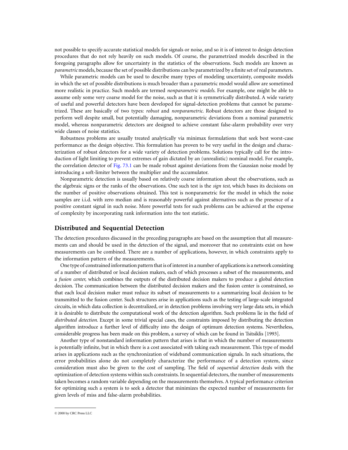not possible to specify accurate statistical models for signals or noise, and so it is of interest to design detection procedures that do not rely heavily on such models. Of course, the parametrized models described in the foregoing paragraphs allow for uncertainty in the statistics of the observations. Such models are known as *parametric* models, because the set of possible distributions can be parametrized by a finite set of real parameters.

While parametric models can be used to describe many types of modeling uncertainty, composite models in which the set of possible distributions is much broader than a parametric model would allow are sometimed more realistic in practice. Such models are termed *nonparametric models*. For example, one might be able to assume only some very coarse model for the noise, such as that it is symmetrically distributed. A wide variety of useful and powerful detectors have been developed for signal-detection problems that cannot be parametrized. These are basically of two types: *robust* and *nonparametric*. Robust detectors are those designed to perform well despite small, but potentially damaging, nonparametric deviations from a nominal parametric model, whereas nonparametric detectors are designed to achieve constant false-alarm probability over very wide classes of noise statistics.

Robustness problems are usually treated analytically via minimax formulations that seek best worst-case performance as the design objective. This formulation has proven to be very useful in the design and characterization of robust detectors for a wide variety of detection problems. Solutions typically call for the introduction of light limiting to prevent extremes of gain dictated by an (unrealistic) nominal model. For example, the correlation detector of [Fig. 73.1 c](#page-3-0)an be made robust against deviations from the Gaussian noise model by introducing a soft-limiter between the multiplier and the accumulator.

Nonparametric detection is usually based on relatively coarse information about the observations, such as the algebraic signs or the ranks of the observations. One such test is the *sign test,* which bases its decisions on the number of positive observations obtained. This test is nonparametric for the model in which the noise samples are i.i.d. with zero median and is reasonably powerful against alternatives such as the presence of a positive constant signal in such noise. More powerful tests for such problems can be achieved at the expense of complexity by incorporating rank information into the test statistic.

## **Distributed and Sequential Detection**

The detection procedures discussed in the preceding paragraphs are based on the assumption that all measurements can and should be used in the detection of the signal, and moreover that no constraints exist on how measurements can be combined. There are a number of applications, however, in which constraints apply to the information pattern of the measurements.

One type of constrained information pattern that is of interest in a number of applications is a network consisting of a number of distributed or local decision makers, each of which processes a subset of the measurements, and a *fusion center,* which combines the outputs of the distributed decision makers to produce a global detection decision. The communication between the distributed decision makers and the fusion center is constrained, so that each local decision maker must reduce its subset of measurements to a summarizing local decision to be transmitted to the fusion center. Such structures arise in applications such as the testing of large-scale integrated circuits, in which data collection is decentralized, or in detection problems involving very large data sets, in which it is desirable to distribute the computational work of the detection algorithm. Such problems lie in the field of *distributed detection.* Except in some trivial special cases, the constraints imposed by distributing the detection algorithm introduce a further level of difficulty into the design of optimum detection systems. Nevertheless, considerable progress has been made on this problem, a survey of which can be found in Tsitsiklis [1993].

Another type of nonstandard information pattern that arises is that in which the number of measurements is potentially infinite, but in which there is a cost associated with taking each measurement. This type of model arises in applications such as the synchronization of wideband communication signals. In such situations, the error probabilities alone do not completely characterize the performance of a detection system, since consideration must also be given to the cost of sampling. The field of *sequential detection* deals with the optimization of detection systems within such constraints. In sequential detectors, the number of measurements taken becomes a random variable depending on the measurements themselves. A typical performance criterion for optimizing such a system is to seek a detector that minimizes the expected number of measurements for given levels of miss and false-alarm probabilities.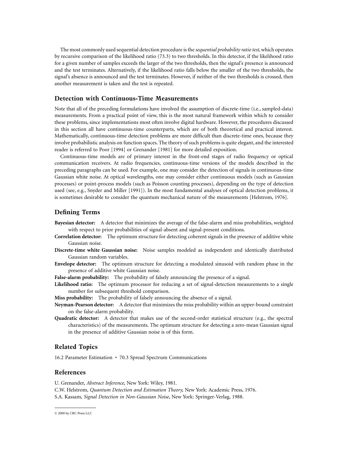The most commonly used sequential detection procedure is the *sequential probability ratio test,* which operates by recursive comparison of the likelihood ratio (73.3) to two thresholds. In this detector, if the likelihood ratio for a given number of samples exceeds the larger of the two thresholds, then the signal's presence is announced and the test terminates. Alternatively, if the likelihood ratio falls below the smaller of the two thresholds, the signal's absence is announced and the test terminates. However, if neither of the two thresholds is crossed, then another measurement is taken and the test is repeated.

## **Detection with Continuous-Time Measurements**

<span id="page-9-0"></span>Note that all of the preceding formulations have involved the assumption of discrete-time (i.e., sampled-data) measurements. From a practical point of view, this is the most natural framework within which to consider these problems, since implementations most often involve digital hardware. However, the procedures discussed in this section all have continuous-time counterparts, which are of both theoretical and practical interest. Mathematically, continuous-time detection problems are more difficult than discrete-time ones, because they involve probabilistic analysis on function spaces. The theory of such problems is quite elegant, and the interested reader is referred to Poor [1994] or Grenander [1981] for more detailed exposition.

Continuous-time models are of primary interest in the front-end stages of radio frequency or optical communication receivers. At radio frequencies, continuous-time versions of the models described in the preceding paragraphs can be used. For example, one may consider the detection of signals in continuous-time Gaussian white noise. At optical wavelengths, one may consider either continuous models (such as Gaussian processes) or point-process models (such as Poisson counting processes), depending on the type of detection used (see, e.g., Snyder and Miller [1991]). In the most fundamental analyses of optical detection problems, it is sometimes desirable to consider the quantum mechanical nature of the measurements [Helstrom, 1976].

## **Defining Terms**

- **Bayesian detector:** A detector that minimizes the average of the false-alarm and miss probabilities, weighted with respect to prior probabilities of signal-absent and signal-present conditions.
- **Correlation detector:** The optimum structure for detecting coherent signals in the presence of additive white Gaussian noise.
- **Discrete-time white Gaussian noise:** Noise samples modeled as independent and identically distributed Gaussian random variables.
- **Envelope detector:** The optimum structure for detecting a modulated sinusoid with random phase in the presence of additive white Gaussian noise.
- **False-alarm probability:** The probability of falsely announcing the presence of a signal.
- **Likelihood ratio:** The optimum processor for reducing a set of signal-detection measurements to a single number for subsequent threshold comparison.
- **Miss probability:** The probability of falsely announcing the absence of a signal.
- **Neyman-Pearson detector:** A detector that minimizes the miss probability within an upper-bound constraint on the false-alarm probability.
- **Quadratic detector:** A detector that makes use of the second-order statistical structure (e.g., the spectral characteristics) of the measurements. The optimum structure for detecting a zero-mean Gaussian signal in the presence of additive Gaussian noise is of this form.

# **Related Topics**

16.2 Parameter Estimation • 70.3 Spread Spectrum Communications

## **References**

U. Grenander, *Abstract Inference*, New York: Wiley, 1981.

C.W. Helstrom, *Quantum Detection and Estimation Theory*, New York: Academic Press, 1976. S.A. Kassam, *Signal Detection in Non-Gaussian Noise*, New York: Springer-Verlag, 1988.

<sup>© 2000</sup> by CRC Press LLC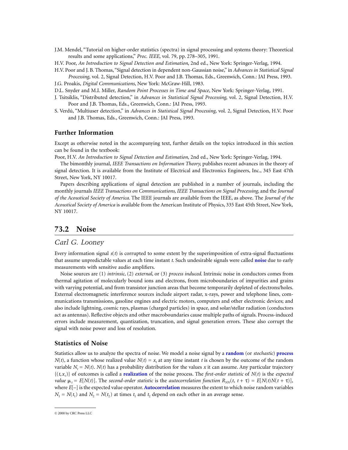- <span id="page-10-0"></span>J.M. Mendel, "Tutorial on higher-order statistics (spectra) in signal processing and systems theory: Theoretical results and some applications,'' *Proc. IEEE,* vol. 79, pp. 278–305, 1991.
- H.V. Poor, *An Introduction to Signal Detection and Estimation*, 2nd ed., New York: Springer-Verlag, 1994.
- H.V. Poor and J. B. Thomas, "Signal detection in dependent non-Gaussian noise,'' in *Advances in Statistical Signal Processing*, vol. 2, Signal Detection, H.V. Poor and J.B. Thomas, Eds., Greenwich, Conn.: JAI Press, 1993.
- J.G. Proakis, *Digital Communications*, New York: McGraw-Hill, 1983.
- D.L. Snyder and M.I. Miller, *Random Point Processes in Time and Space*, New York: Springer-Verlag, 1991.
- J. Tsitsiklis, "Distributed detection,'' in *Advances in Statistical Signal Processing*, vol. 2, Signal Detection, H.V. Poor and J.B. Thomas, Eds., Greenwich, Conn.: JAI Press, 1993.
- S. Verdú, "Multiuser detection,'' in *Advances in Statistical Signal Processing*, vol. 2, Signal Detection, H.V. Poor and J.B. Thomas, Eds., Greenwich, Conn.: JAI Press, 1993.

# **Further Information**

Except as otherwise noted in the accompanying text, further details on the topics introduced in this section can be found in the textbook:

Poor, H.V. *An Introduction to Signal Detection and Estimation,* 2nd ed., New York: Springer-Verlag, 1994.

The bimonthly journal, *IEEE Transactions on Information Theory,* publishes recent advances in the theory of signal detection. It is available from the Institute of Electrical and Electronics Engineers, Inc., 345 East 47th Street, New York, NY 10017.

Papers describing applications of signal detection are published in a number of journals, including the monthly journals *IEEE Transactions on Communications, IEEE Transactions on Signal Processing,* and the *Journal of the Acoustical Society of America.* The IEEE journals are available from the IEEE, as above. The *Journal of the Acoustical Society of America* is available from the American Institute of Physics, 335 East 45th Street, New York, NY 10017.

# **73.2 Noise**

# *Carl G. Looney*

Every information signal  $s(t)$  is corrupted to some extent by the superimposition of extra-signal fluctuations that assume unpredictable values at each time instant *t*. Such undesirable signals were called **[noise](#page-20-0)** due to early measurements with sensitive audio amplifiers.

Noise sources are (1) *intrinsic*, (2) *external*, or (3) *process induced*. Intrinsic noise in conductors comes from thermal agitation of molecularly bound ions and electrons, from microboundaries of impurities and grains with varying potential, and from transistor junction areas that become temporarily depleted of electrons/holes. External electromagnetic interference sources include airport radar, x-rays, power and telephone lines, communications transmissions, gasoline engines and electric motors, computers and other electronic devices; and also include lightning, cosmic rays, plasmas (charged particles) in space, and solar/stellar radiation (conductors act as antennas). Reflective objects and other macroboundaries cause multiple paths of signals. Process-induced errors include measurement, quantization, truncation, and signal generation errors. These also corrupt the signal with noise power and loss of resolution.

# **Statistics of Noise**

Statistics allow us to analyze the spectra of noise. We model a noise signal by a **random** (or *[stochastic](#page-21-1)*) **process** *N*(*t*), a function whose realized value *N*(*t*) =  $x_t$  at any time instant *t* is chosen by the outcome of the random variable  $N_t = N(t)$ .  $N(t)$  has a probability distribution for the values x it can assume. Any particular trajectory {(*t,xt*)} of outcomes is called a **[realization](#page-21-1)** of the noise process. The *first-order statistic* of *N*(*t*) is the *expected value*  $\mu_t = E[N(t)]$ . The *second-order statistic* is the *autocorrelation function*  $R_{NN}(t, t + \tau) = E[N(t)N(t + \tau)]$ , where *E*[–] is the expected value operator.**[Autocorrelation](#page-20-0)** measures the extent to which noise random variables  $N_1 = N(t_1)$  and  $N_2 = N(t_2)$  at times  $t_1$  and  $t_2$  depend on each other in an average sense.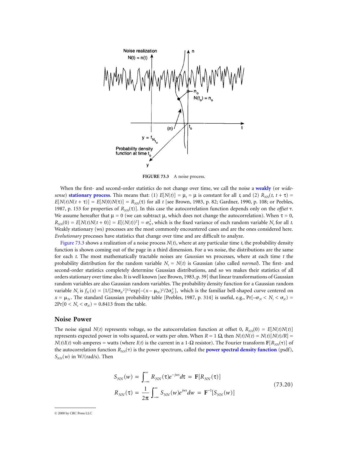<span id="page-11-0"></span>

**FIGURE 73.3** A noise process.

When the first- and second-order statistics do not change over time, we call the noise a **[weakly](#page-21-1)** (or *widesense*) **[stationary](#page-21-1) process**. This means that: (1)  $E[N(t)] = \mu_t = \mu$  is constant for all *t*, and (2)  $R_{NN}(t, t + \tau) =$  $E[N(t)N(t + \tau)] = E[N(0)N(\tau)] = R_{NN}(\tau)$  for all *t* [see Brown, 1983, p. 82; Gardner, 1990, p. 108; or Peebles, 1987, p. 153 for properties of  $R_{NN}(\tau)$ . In this case the autocorrelation function depends only on the *offset*  $\tau$ . We assume hereafter that  $\mu = 0$  (we can subtract  $\mu$ , which does not change the autocorrelation). When  $\tau = 0$ ,  $R_{NN}(0) = E[N(t)N(t+0)] = E[(N(t))^2] = \sigma_N^2$ , which is the fixed variance of each random variable  $N_t$  for all *t*. Weakly stationary (ws) processes are the most commonly encountered cases and are the ones considered here. *Evolutionary* processes have statistics that change over time and are difficult to analyze.

[Figure 73.3 s](#page-11-0)hows a realization of a noise process *N*(*t*), where at any particular time *t*, the probability density function is shown coming out of the page in a third dimension. For a ws noise, the distributions are the same for each *t*. The most mathematically tractable noises are *Gaussian* ws processes, where at each time *t* the probability distribution for the random variable  $N<sub>t</sub> = N(t)$  is Gaussian (also called *normal*). The first- and second-order statistics completely determine Gaussian distributions, and so ws makes their statistics of all orders stationary over time also.It is well known [see Brown, 1983, p. 39] that linear transformations of Gaussian random variables are also Gaussian random variables. The probability density function for a Gaussian random variable  $N_t$  is  $f_N(x) = \frac{1}{2\pi\sigma_N^2}^{1/2} \exp[-(x - \mu_N)^2 / 2\sigma_N^2]$ , which is the familiar bell-shaped curve centered on  $x = \mu_N$ . The standard Gaussian probability table [Peebles, 1987, p. 314] is useful, e.g.,  $Pr[-\sigma_N < N_t < \sigma_N) =$  $2Pr[0 < N_t < \sigma_N) = 0.8413$  from the table.

#### **Noise Power**

The noise signal  $N(t)$  represents voltage, so the autocorrelation function at offset 0,  $R_{NN}(0) = E[N(t)N(t)]$ represents expected power in volts squared, or watts per ohm. When  $R = 1 \Omega$ , then  $N(t)N(t) = N(t)[N(t)/R] =$  $N(t)I(t)$  volt-amperes = watts (where  $I(t)$  is the current in a 1- $\Omega$  resistor). The Fourier transform  $\mathbf{F}[R_{NN}(t)]$  of the autocorrelation function  $R_{NN}(\tau)$  is the power spectrum, called the **[power spectral density function](#page-20-0)** (psdf),  $S_{NN}(w)$  in W/(rad/s). Then

$$
S_{NN}(w) = \int_{-\infty}^{\infty} R_{NN}(\tau) e^{-jws} d\tau = \mathbf{F}[R_{NN}(\tau)]
$$
  
\n
$$
R_{NN}(\tau) = \frac{1}{2\pi} \int_{-\infty}^{\infty} S_{NN}(w) e^{jws} dw = \mathbf{F}^{-1}[S_{NN}(w)]
$$
\n(73.20)

© 2000 by CRC Press LLC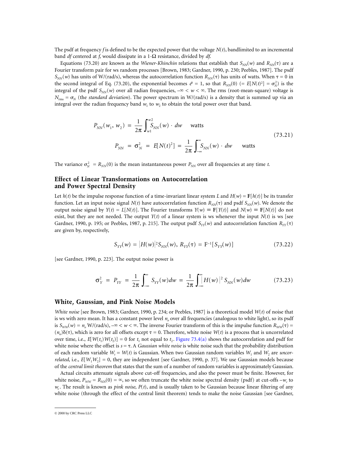The psdf at frequency *f* is defined to be the expected power that the voltage  $N(t)$ , bandlimited to an incremental band *df* centered at *f*, would dissipate in a 1- $\Omega$  resistance, divided by *df*.

Equations (73.20) are known as the *Wiener-Khinchin* relations that establish that  $S_{NN}(w)$  and  $R_{NN}(\tau)$  are a Fourier transform pair for ws random processes [Brown, 1983; Gardner, 1990, p. 230; Peebles, 1987]. The psdf  $S_{NN}(w)$  has units of W/(rad/s), whereas the autocorrelation function  $R_{NN}(\tau)$  has units of watts. When  $\tau = 0$  in the second integral of Eq. (73.20), the exponential becomes  $e^0 = 1$ , so that  $R_{NN}(0) (= E[N(t)^2] = \sigma_N^2$  is the integral of the psdf  $S_{NN}(w)$  over all radian frequencies,  $-\infty < w < \infty$ . The rms (root-mean-square) voltage is  $N_{\text{rms}} = \sigma_N$  (the *standard deviation*). The power spectrum in W/(rad/s) is a density that is summed up via an integral over the radian frequency band  $w_1$  to  $w_2$  to obtain the total power over that band.

$$
P_{NN}(w_1, w_2) = \frac{1}{2\pi} \int_{w_1}^{w_2} S_{NN}(w) \cdot dw \quad \text{watts}
$$
  
\n
$$
P_{NN} = \sigma_N^2 = E[N(t)^2] = \frac{1}{2\pi} \int_{-\infty}^{\infty} S_{NN}(w) \cdot dw \quad \text{watts}
$$
\n(73.21)

The variance  $\sigma_N^2 = R_{NN}(0)$  is the mean instantaneous power  $P_{NN}$  over all frequencies at any time *t*.

# **Effect of Linear Transformations on Autocorrelation and Power Spectral Density**

Let  $h(t)$  be the impulse response function of a time-invariant linear system *L* and  $H(w) = \mathbf{F}[h(t)]$  be its transfer function. Let an input noise signal  $N(t)$  have autocorrelation function  $R_{NN}(\tau)$  and psdf  $S_{NN}(w)$ . We denote the output noise signal by  $Y(t) = L[N(t)]$ . The Fourier transforms  $Y(w) \equiv F[Y(t)]$  and  $N(w) \equiv F[N(t)]$  do not exist, but they are not needed. The output  $Y(t)$  of a linear system is ws whenever the input  $N(t)$  is ws [see Gardner, 1990, p. 195; or Peebles, 1987, p. 215]. The output psdf  $S_{YY}(w)$  and autocorrelation function  $R_{YY}(\tau)$ are given by, respectively,

$$
S_{YY}(w) = |H(w)|^2 S_{NN}(w), R_{YY}(\tau) = F^{-1}[S_{YY}(w)] \qquad (73.22)
$$

[see Gardner, 1990, p. 223]. The output noise power is

$$
\sigma_Y^2 = P_{YY} = \frac{1}{2\pi} \int_{-\infty}^{\infty} S_{YY}(w) dw = \frac{1}{2\pi} \int_{-\infty}^{\infty} H(w) |^2 S_{NN}(w) dw \qquad (73.23)
$$

#### **White, Gaussian, and Pink Noise Models**

*White noise* [see Brown, 1983; Gardner, 1990, p. 234; or Peebles, 1987] is a theoretical model *W*(*t*) of noise that is ws with zero mean. It has a constant power level  $n<sub>o</sub>$  over all frequencies (analogous to white light), so its psdf is  $S_{WW}(w) = n_o W/(rad/s)$ ,  $-\infty < w < \infty$ . The inverse Fourier transform of this is the impulse function  $R_{WW}(\tau) =$  $(n_0)\delta(\tau)$ , which is zero for all offsets except  $\tau = 0$ . Therefore, white noise  $W(t)$  is a process that is uncorrelated over time, i.e.,  $E[W(t_1)W(t_2)]=0$  for  $t_1$  not equal to  $t_2$ . [Figure 73.4\(a\)](#page-13-0) shows the autocorrelation and psdf for white noise where the offset is  $s = \tau$ . A *Gaussian white noise* is white noise such that the probability distribution of each random variable  $W_t = W(t)$  is Gaussian. When two Gaussian random variables  $W_1$  and  $W_2$  are *uncorrelated*, i.e.,  $E[W_1W_2] = 0$ , they are independent [see Gardner, 1990, p. 37]. We use Gaussian models because of the *central limit theorem* that states that the sum of a number of random variables is approximately Gaussian.

Actual circuits attenuate signals above cut-off frequencies, and also the power must be finite. However, for white noise,  $P_{WW} = R_{NN}(0) = \infty$ , so we often truncate the white noise spectral density (psdf) at cut-offs  $-w_c$  to *wc* . The result is known as *pink noise*, *P*(*t*), and is usually taken to be Gaussian because linear filtering of any white noise (through the effect of the central limit theorem) tends to make the noise Gaussian [see Gardner,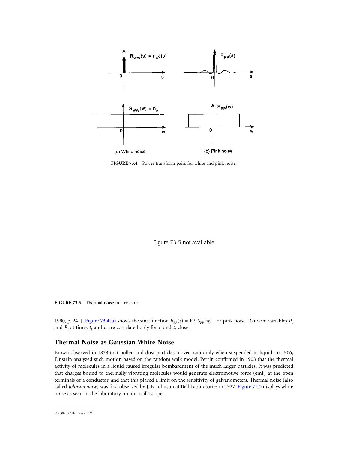<span id="page-13-1"></span><span id="page-13-0"></span>

**FIGURE 73.4** Power transform pairs for white and pink noise.

Figure 73.5 not available

**FIGURE 73.5** Thermal noise in a resistor.

1990, p. 241]. [Figure 73.4\(b\) s](#page-13-0)hows the sinc function  $R_{pp}(s) = F^{-1}[S_{pp}(w)]$  for pink noise. Random variables  $P_1$ and  $P_2$  at times  $t_1$  and  $t_2$  are correlated only for  $t_1$  and  $t_2$  close.

## **Thermal Noise as Gaussian White Noise**

Brown observed in 1828 that pollen and dust particles moved randomly when suspended in liquid. In 1906, Einstein analyzed such motion based on the random walk model. Perrin confirmed in 1908 that the thermal activity of molecules in a liquid caused irregular bombardment of the much larger particles. It was predicted that charges bound to thermally vibrating molecules would generate electromotive force (emf) at the open terminals of a conductor, and that this placed a limit on the sensitivity of galvanometers. Thermal noise (also called *Johnson noise*) was first observed by J. B. Johnson at Bell Laboratories in 1927. [Figure 73.5 d](#page-13-1)isplays white noise as seen in the laboratory on an oscilloscope.

<sup>© 2000</sup> by CRC Press LLC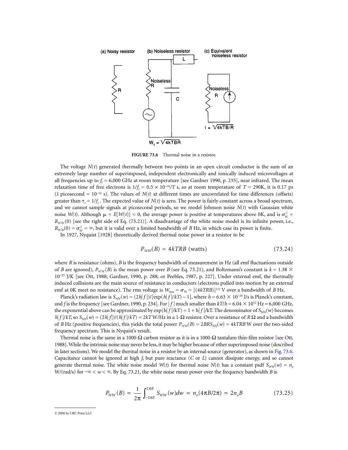<span id="page-14-0"></span>

**FIGURE 73.6** Thermal noise in a resistor.

The voltage  $N(t)$  generated thermally between two points in an open circuit conductor is the sum of an extremely large number of superimposed, independent electronically and ionically induced microvoltages at all frequencies up to  $f_c = 6,000$  GHz at room temperature [see Gardner 1990, p. 235], near infrared. The mean relaxation time of free electrons is  $1/f_c = 0.5 \times 10^{-10}/T$  s, so at room temperature of  $T = 290$ K, it is 0.17 ps (1 picosecond =  $10^{-12}$  s). The values of  $N(t)$  at different times are uncorrelated for time differences (offsets) greater than  $\tau_c = 1/f_c$ . The expected value of  $N(t)$  is zero. The power is fairly constant across a broad spectrum, and we cannot sample signals at picosecond periods, so we model Johnson noise *N*(*t*) with Gaussian white noise *W*(*t*). Although  $\mu = E[W(t)] = 0$ , the average power is positive at temperatures above 0K, and is  $\sigma_W^2 =$ *RWW* (0) [see the right side of Eq. (73.21)]. A disadvantage of the white noise model is its infinite power, i.e.,  $R_{WW}(0) = \sigma_W^2 = \infty$ , but it is valid over a limited bandwidth of *B* Hz, in which case its power is finite.

In 1927, Nyquist [1928] theoretically derived thermal noise power in a resistor to be

$$
P_{WW}(B) = 4kTRB \text{ (watts)}\tag{73.24}
$$

where *R* is resistance (ohms), *B* is the frequency bandwidth of measurement in Hz (all emf fluctuations outside of *B* are ignored),  $P_{WW}(B)$  is the mean power over *B* (see Eq. 73.21), and Boltzmann's constant is  $k = 1.38 \times$ 10–23 J/K [see Ott, 1988; Gardner, 1990, p. 288; or Peebles, 1987, p. 227]. Under external emf, the thermally induced collisions are the main source of resistance in conductors (electrons pulled into motion by an external emf at 0K meet no resistance). The rms voltage is  $W_{\text{rms}} = \sigma_W = [(4kTRB)]^{1/2}$  V over a bandwidth of *B* Hz.

Planck's radiation law is  $S_{NN}(w) = (2h|f|)/[\exp(h|f|/kT) - 1]$ , where  $h = 6.63 \times 10^{-34}$  J/s is Planck's constant, and *f* is the frequency [see Gardner, 1990, p. 234]. For  $|f|$  much smaller than  $kT/h = 6.04 \times 10^{12}$  Hz  $\approx 6,000$  GHz, the exponential above can be approximated by  $exp(h|f|/kT) = 1 + h|f|/kT$ . The denominator of  $S_{NN}(w)$  becomes  $h|f|/kT$ , so  $S_{NN}(w) = (2h|f|)/(h|f|/kT) = 2kT W/Hz$  in a 1- $\Omega$  resistor. Over a resistance of *R*  $\Omega$  and a bandwidth of *B* Hz (positive frequencies), this yields the total power  $P_{WW}(B) = 2BRS_{NN}(w) = 4kTRB$  W over the two-sided frequency spectrum. This is Nyquist's result.

Thermal noise is the same in a 1000- $\Omega$  carbon resistor as it is in a 1000- $\Omega$  tantalum thin-film resistor [see Ott, 1988].While the intrinsic noise may never be less, it may be higher because of other superimposed noise (described in later sections).We model the thermal noise in a resistor by an internal source (generator), as shown in [Fig. 73.6.](#page-14-0) Capacitance cannot be ignored at high *f*, but pure reactance (*C* or *L*) cannot dissipate energy, and so cannot generate thermal noise. The white noise model  $W(t)$  for thermal noise  $N(t)$  has a constant psdf  $S_{WW}(w) = n_o$ W/(rad/s) for  $-\infty < w < \infty$ . By Eq. 73.21, the white noise mean power over the frequency bandwidth *B* is

$$
P_{WW}(B) = \frac{1}{2\pi} \int_{-2\pi B}^{2\pi B} S_{WW}(w) dw = n_o(4\pi B/2\pi) = 2n_oB
$$
 (73.25)

© 2000 by CRC Press LLC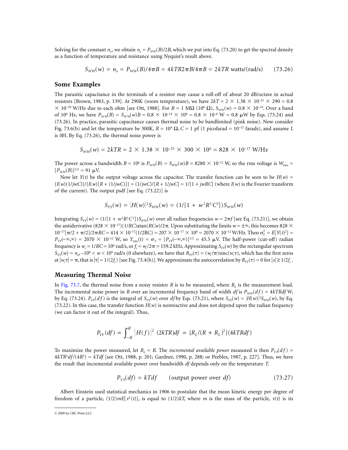Solving for the constant  $n_o$ , we obtain  $n_o = P_{WW}(B)/2B$ , which we put into Eq. (73.20) to get the spectral density as a function of temperature and resistance using Nyquist's result above.

$$
S_{WW}(w) = n_o = P_{WW}(B)/4\pi B = 4kTR2\pi B/4\pi B = 2kTR \text{ watts/(rad/s)} \qquad (73.26)
$$

#### **Some Examples**

The parasitic capacitance in the terminals of a resistor may cause a roll-off of about 20 dB/octave in actual resistors [Brown, 1983, p. 139]. At 290K (room temperature), we have  $2kT = 2 \times 1.38 \times 10^{-23} \times 290 = 0.8$  $\times$  10<sup>-20</sup> W/Hz due to each ohm [see Ott, 1988]. For  $R = 1$  M $\Omega$  (10<sup>6</sup>  $\Omega$ ),  $S_{WW}(w) = 0.8 \times 10^{-14}$ . Over a band of 10<sup>8</sup> Hz, we have  $P_{WW}(B) = S_{WW}(w)B = 0.8 \times 10^{-14} \times 10^8 = 0.8 \times 10^{-6} \text{ W} = 0.8 \text{ }\mu\text{W}$  by Eqs. (73.24) and (73.26). In practice, parasitic capacitance causes thermal noise to be bandlimited (pink noise). Now consider Fig. 73.6(b) and let the temperature be 300K,  $R = 10^6 \Omega$ ,  $C = 1$  pf (1 picofarad = 10<sup>-12</sup> farads), and assume *L* is 0H. By Eq. (73.26), the thermal noise power is

$$
S_{WW}(w) = 2kTR = 2 \times 1.38 \times 10^{-23} \times 300 \times 10^6 = 828 \times 10^{-17}
$$
 W/Hz

The power across a bandwidth  $B = 10^6$  is  $P_{WW}(B) = S_{WW}(w)B = 8280 \times 10^{-12}$  W, so the rms voltage is  $W_{\text{rms}} =$  $[P_{WW}(B)]^{1/2} = 91 \mu V$ .

Now let  $Y(t)$  be the output voltage across the capacitor. The transfer function can be seen to be  $H(w)$  =  ${I(w)(1/jwC)}/{I(w)[R + (1/jwC)]} = (1/jwC)/[R + 1/jwC] = 1/[1 + jwRC]$  (where  $I(w)$  is the Fourier transform of the current). The output psdf [see Eq. (73.22)] is

$$
S_{YY}(w) = |H(w)|^2 S_{WW}(w) = (1/[1 + w^2 R^2 C^2]) S_{WW}(w)
$$

Integrating  $S_{YY}(w) = (1/[1 + w^2 R^2 C^2]) S_{WW}(w)$  over all radian frequencies  $w = 2\pi f$  [see Eq. (73.21)], we obtain the antiderivative  $(828 \times 10^{-17})(1/RC)$ atan(*RCw*)/2 $\pi$ . Upon substituting the limits  $w = \pm \infty$ , this becomes 828  $\times$  $10^{-17}[\pi/2 + \pi/2]/2\pi RC = 414 \times 10^{-17}(1/2RC) = 207 \times 10^{-17} \times 10^6 = 2070 \times 10^{-12}$  W/Hz. Then  $\sigma_Y^2 = E[Y(t)^2] =$  $P_{YY}(-\infty,\infty) = 2070 \times 10^{-12}$  W, so  $Y_{\text{rms}}(t) = \sigma_Y = [P_{YY}(-\infty,\infty)]^{1/2} = 45.5$   $\mu$ V. The half-power (cut-off) radian frequency is  $w_c = 1/RC = 10^6$  rad/s, or  $f_c = w_c/2\pi = 159.2$  kHz. Approximating  $S_{YY}(w)$  by the rectangular spectrum  $S_{YY}(w) = n_\omega - 10^6 < w < 10^6$  rad/s (0 elsewhere), we have that  $R_{YY}(\tau) = (w_c/\pi)\text{sinc}(w_c\tau)$ , which has the first zeros at  $|w_c \tau| = \pi$ , that is  $|\tau| = 1/(2f_c)$  [see Fig. 73.4(b)]. We approximate the autocorrelation by  $R_{YY}(\tau) = 0$  for  $|s| \ge 1/2f_c$ .

#### **Measuring Thermal Noise**

In [Fig. 73.7,](#page-16-0) the thermal noise from a noisy resistor *R* is to be measured, where  $R_L$  is the measurement load. The incremental noise power in *R* over an incremental frequency band of width  $df$  is  $P_{WW}(df) = 4kTRdf$  W, by Eq. (73.24).  $P_{YY}(df)$  is the integral of  $S_{YY}(w)$  over *df* by Eqs. (73.21), where  $S_{YY}(w) = |H(w)|^2 S_{WW}(w)$ , by Eq. (73.22). In this case, the transfer function  $H(w)$  is nonreactive and does not depend upon the radian frequency (we can factor it out of the integral). Thus,

$$
P_{YY}(df) = \int_{-df}^{df} |H(f)|^2 (2kTR)df = \{R_L/(R + R_L)^2\}(4kTRdf)
$$

To maximize the power measured, let  $R<sub>L</sub> = R$ . The *incremental available power* measured is then  $P<sub>YY</sub>(df) =$ 4*kTR*<sup>2</sup> *df* /(4*R*<sup>2</sup> ) = *kTdf* [see Ott, 1988, p. 201; Gardner, 1990, p. 288; or Peebles, 1987, p. 227]. Thus, we have the result that incremental available power over bandwidth *df* depends only on the temperature *T*.

$$
P_{YY}(df) = kTdf \qquad \text{(output power over } df\text{)}\tag{73.27}
$$

Albert Einstein used statistical mechanics in 1906 to postulate that the mean kinetic energy per degree of freedom of a particle,  $(1/2)$ *mE*[ $v^2(t)$ ], is equal to  $(1/2)kT$ , where *m* is the mass of the particle,  $v(t)$  is its

<sup>© 2000</sup> by CRC Press LLC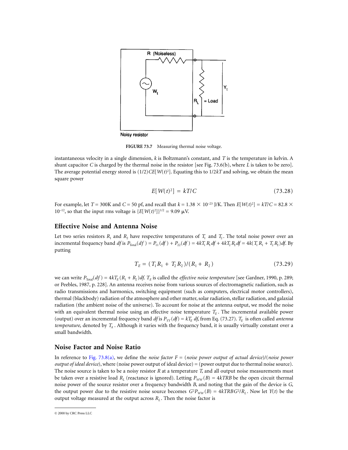

Noisy resistor

**FIGURE 73.7** Measuring thermal noise voltage.

<span id="page-16-0"></span>instantaneous velocity in a single dimension, *k* is Boltzmann's constant, and *T* is the temperature in kelvin. A shunt capacitor *C* is charged by the thermal noise in the resistor [see Fig. 73.6(b), where *L* is taken to be zero]. The average potential energy stored is  $(1/2)CE[ W(t)^2]$ . Equating this to  $1/2kT$  and solving, we obtain the mean square power

$$
E[W(t)^2] = kT/C \tag{73.28}
$$

For example, let  $T = 300$ K and  $C = 50$  pf, and recall that  $k = 1.38 \times 10^{-23}$  J/K. Then  $E[W(t)^2] = kT/C = 82.8 \times 10^{-23}$ 10<sup>-12</sup>, so that the input rms voltage is  $\{E[W(t)^2]\}^{1/2} = 9.09 \text{ }\mu\text{V}.$ 

#### **Effective Noise and Antenna Noise**

Let two series resistors  $R_1$  and  $R_2$  have respective temperatures of  $T_1$  and  $T_2$ . The total noise power over an incremental frequency band df is  $P_{\text{Total}}(df) = P_{11}(df) + P_{22}(df) = 4kT_1R_1df + 4kT_2R_2df = 4k(T_1R_1 + T_2R_2)df$ . By putting

$$
T_E = (T_1 R_1 + T_2 R_2) / (R_1 + R_2)
$$
\n(73.29)

we can write  $P_{\text{Total}}(df) = 4kT_E(R_1 + R_2)df$ . *T<sub>E</sub>* is called the *effective noise temperature* [see Gardner, 1990, p. 289; or Peebles, 1987, p. 228]. An antenna receives noise from various sources of electromagnetic radiation, such as radio transmissions and harmonics, switching equipment (such as computers, electrical motor controllers), thermal (blackbody) radiation of the atmosphere and other matter, solar radiation, stellar radiation, and galaxial radiation (the ambient noise of the universe). To account for noise at the antenna output, we model the noise with an equivalent thermal noise using an effective noise temperature  $T_F$ . The incremental available power (output) over an incremental frequency band *df* is  $P_{YY}(df) = kT_E df$ , from Eq. (73.27).  $T_E$  is often called *antenna temperature*, denoted by *TA* . Although it varies with the frequency band, it is usually virtually constant over a small bandwidth.

## **Noise Factor and Noise Ratio**

In reference to [Fig. 73.8\(a\),](#page-17-0) we define the *noise factor F* = (*noise power output of actual device*)/(*noise power output of ideal device*), where (noise power output of ideal device) = (power output due to thermal noise source). The noise source is taken to be a noisy resistor *R* at a temperature *T,* and all output noise measurements must be taken over a resistive load  $R_L$  (reactance is ignored). Letting  $P_{WW}(B) = 4kTRB$  be the open circuit thermal noise power of the source resistor over a frequency bandwidth *B*, and noting that the gain of the device is *G*, the output power due to the resistive noise source becomes  $G^2P_{WW}(B) = 4kTRBG^2/R_L$ . Now let  $Y(t)$  be the output voltage measured at the output across  $R<sub>L</sub>$ . Then the noise factor is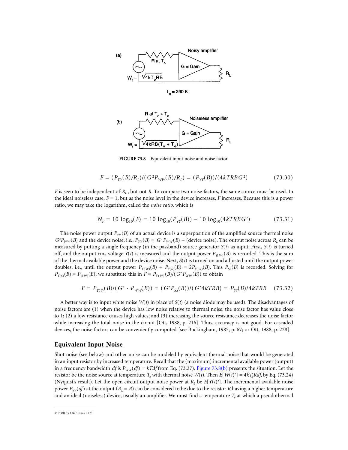<span id="page-17-0"></span>

**FIGURE 73.8** Equivalent input noise and noise factor.

$$
F = (P_{YY}(B)/R_L)/(G^2 P_{WW}(B)/R_L) = (P_{YY}(B))/(4kTRBG^2)
$$
\n(73.30)

*F* is seen to be independent of  $R<sub>L</sub>$ , but not *R*. To compare two noise factors, the same source must be used. In the ideal noiseless case,  $F = 1$ , but as the noise level in the device increases,  $F$  increases. Because this is a power ratio, we may take the logarithm, called the *noise ratio*, which is

$$
N_F = 10 \log_{10}(F) = 10 \log_{10}(P_{YY}(B)) - 10 \log_{10}(4kTRBG^2)
$$
 (73.31)

The noise power output  $P_{YY}(B)$  of an actual device is a superposition of the amplified source thermal noise  $G^2 P_{WW}(B)$  and the device noise, i.e.,  $P_{YY}(B) = G^2 P_{WW}(B) + ($ device noise). The output noise across  $R_L$  can be measured by putting a single frequency (in the passband) source generator  $S(t)$  as input. First,  $S(t)$  is turned off, and the output rms voltage  $Y(t)$  is measured and the output power  $P_{Y(W)}(B)$  is recorded. This is the sum of the thermal available power and the device noise. Next, *S*(*t*) is turned on and adjusted until the output power doubles, i.e., until the output power  $P_{Y(W)}(B) + P_{Y(S)}(B) = 2P_{Y(W)}(B)$ . This  $P_{SS}(B)$  is recorded. Solving for  $P_{Y(S)}(B) = P_{Y(W)}(B)$ , we substitute this in  $F = P_{Y(W)}(B)/(G^2 P_{WW}(B))$  to obtain

$$
F = P_{Y(S)}(B)/(G^2 \cdot P_{WW}(B)) = (G^2 P_{SS}(B))/(G^2 4kTRB) = P_{SS}(B)/4kTRB \quad (73.32)
$$

A better way is to input white noise *W*(*t*) in place of *S*(*t*) (a noise diode may be used). The disadvantages of noise factors are (1) when the device has low noise relative to thermal noise, the noise factor has value close to 1; (2) a low resistance causes high values; and (3) increasing the source resistance decreases the noise factor while increasing the total noise in the circuit [Ott, 1988, p. 216]. Thus, accuracy is not good. For cascaded devices, the noise factors can be conveniently computed [see Buckingham, 1985, p. 67; or Ott, 1988, p. 228].

## **Equivalent Input Noise**

Shot noise (see below) and other noise can be modeled by equivalent thermal noise that would be generated in an input resistor by increased temperature. Recall that the (maximum) incremental available power (output) in a frequency bandwidth *df* is  $P_{WW}(df) = kTdf$  from Eq. (73.27). [Figure 73.8\(b\) p](#page-17-0)resents the situation. Let the resistor be the noise source at temperature  $T_o$  with thermal noise  $W(t)$ . Then  $E[W(t)^2] = 4kT_oRdf$ , by Eq. (73.24) (Nyquist's result). Let the open circuit output noise power at  $R<sub>L</sub>$  be  $E[Y(t)^2]$ . The incremental available noise power  $P_{YY}(df)$  at the output ( $R_L = R$ ) can be considered to be due to the resistor *R* having a higher temperature and an ideal (noiseless) device, usually an amplifier. We must find a temperature *Te* at which a pseudothermal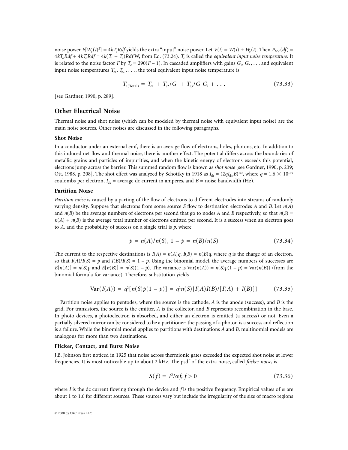noise power  $E[W_e(t)^2] = 4kT_eRdf$  yields the extra "input" noise power. Let  $V(t) = W(t) + W_e(t)$ . Then  $P_{VV}(df) =$ 4*kToRdf* + 4*kTeRdf* = 4*k*(*To* + *Te*)*Rdf* W, from Eq. (73.24). *Te* is called the *equivalent input noise temperature*. It is related to the noise factor *F* by  $T_e = 290(F - 1)$ . In cascaded amplifiers with gains  $G_1, G_2, \ldots$  and equivalent input noise temperatures  $T_{el}$ ,  $T_{e2}$ , ..., the total equivalent input noise temperature is

$$
T_{e(\text{Total})} = T_{e1} + T_{e2}/G_1 + T_{e3}/G_1G_2 + \dots \tag{73.33}
$$

[see Gardner, 1990, p. 289].

# **Other Electrical Noise**

Thermal noise and shot noise (which can be modeled by thermal noise with equivalent input noise) are the main noise sources. Other noises are discussed in the following paragraphs.

#### **Shot Noise**

In a conductor under an external emf, there is an average flow of electrons, holes, photons, etc. In addition to this induced net flow and thermal noise, there is another effect. The potential differs across the boundaries of metallic grains and particles of impurities, and when the kinetic energy of electrons exceeds this potential, electrons jump across the barrier. This summed random flow is known as *shot noise* [see Gardner, 1990, p. 239; Ott, 1988, p. 208]. The shot effect was analyzed by Schottky in 1918 as  $I_{\text{sh}} = (2qI_{\text{dc}}B)^{1/2}$ , where  $q = 1.6 \times 10^{-19}$ coulombs per electron,  $I_{dc}$  = average dc current in amperes, and  $B$  = noise bandwidth (Hz).

#### **Partition Noise**

*Partition noise* is caused by a parting of the flow of electrons to different electrodes into streams of randomly varying density. Suppose that electrons from some source *S* flow to destination electrodes *A* and *B*. Let *n*(*A*) and  $n(B)$  be the average numbers of electrons per second that go to nodes *A* and *B* respectively, so that  $n(S)$  =  $n(A) + n(B)$  is the average total number of electrons emitted per second. It is a success when an electron goes to *A,* and the probability of success on a single trial is *p,* where

$$
p = n(A)/n(S), 1 - p = n(B)/n(S)
$$
 (73.34)

The current to the respective destinations is  $I(A) = n(A)q$ ,  $I(B) = n(B)q$ , where q is the charge of an electron, so that  $I(A)/I(S) = p$  and  $I(B)/I(S) = 1 - p$ . Using the binomial model, the average numbers of successes are  $E[n(A)] = n(S)p$  and  $E[n(B)] = n(S)(1 - p)$ . The variance is  $Var(n(A)) = n(S)p(1 - p) = Var(n(B))$  (from the binomial formula for variance). Therefore, substitution yields

$$
Var(I(A)) = q^{2}[n(S)p(1-p)] = q^{2}n(S)\{I(A)I(B)/[I(A) + I(B)]\}
$$
 (73.35)

Partition noise applies to pentodes, where the source is the cathode, *A* is the anode (success), and *B* is the grid. For transistors, the source is the emitter, *A* is the collector, and *B* represents recombination in the base. In photo devices, a photoelectron is absorbed, and either an electron is emitted (a success) or not. Even a partially silvered mirror can be considered to be a partitioner: the passing of a photon is a success and reflection is a failure. While the binomial model applies to partitions with destinations *A* and *B,* multinomial models are analogous for more than two destinations.

#### **Flicker, Contact, and Burst Noise**

J.B. Johnson first noticed in 1925 that noise across thermionic gates exceeded the expected shot noise at lower frequencies. It is most noticeable up to about 2 kHz. The psdf of the extra noise, called *flicker noise*, is

$$
S(f) = I^2/\alpha f, f > 0 \tag{73.36}
$$

where *I* is the dc current flowing through the device and *f* is the positive frequency. Empirical values of  $\alpha$  are about 1 to 1.6 for different sources. These sources vary but include the irregularity of the size of macro regions

<sup>© 2000</sup> by CRC Press LLC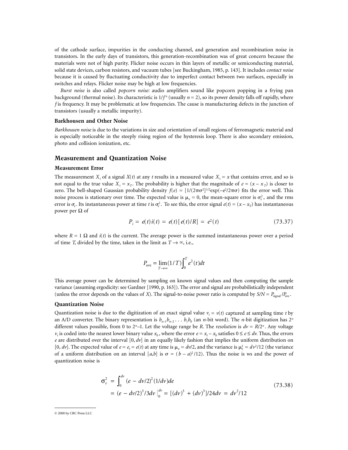of the cathode surface, impurities in the conducting channel, and generation and recombination noise in transistors. In the early days of transistors, this generation-recombination was of great concern because the materials were not of high purity. Flicker noise occurs in thin layers of metallic or semiconducting material, solid state devices, carbon resistors, and vacuum tubes [see Buckingham, 1985, p. 143]. It includes *contact noise* because it is caused by fluctuating conductivity due to imperfect contact between two surfaces, especially in switches and relays. Flicker noise may be high at low frequencies.

*Burst noise* is also called *popcorn noise:* audio amplifiers sound like popcorn popping in a frying pan background (thermal noise). Its characteristic is  $1/f^n$  (usually  $n = 2$ ), so its power density falls off rapidly, where *f* is frequency. It may be problematic at low frequencies. The cause is manufacturing defects in the junction of transistors (usually a metallic impurity).

#### **Barkhousen and Other Noise**

*Barkhousen noise* is due to the variations in size and orientation of small regions of ferromagnetic material and is especially noticeable in the steeply rising region of the hysteresis loop. There is also secondary emission, photo and collision ionization, etc.

#### **Measurement and Quantization Noise**

#### **Measurement Error**

The measurement  $X_t$  of a signal  $X(t)$  at any t results in a measured value  $X_t = x$  that contains error, and so is not equal to the true value  $X_t = x_T$ . The probability is higher that the magnitude of  $e = (x - x_T)$  is closer to zero. The bell-shaped Gaussian probability density  $f(e) = [1/(2\pi\sigma^2]^{1/2} \exp(-e^2/2\pi\sigma)$  fits the error well. This noise process is stationary over time. The expected value is  $\mu_e = 0$ , the mean-square error is  $\sigma_e^2$ , and the rms error is  $\sigma_e$ . Its instantaneous power at time *t* is  $\sigma_e^2$ . To see this, the error signal  $e(t) = (x - x_T)$  has instantaneous power per  $\Omega$  of

$$
P_i = e(t) i(t) = e(t) [e(t)/R] = e^2(t)
$$
\n(73.37)

where  $R = 1 \Omega$  and  $i(t)$  is the current. The average power is the summed instantaneous power over a period of time *T*, divided by the time, taken in the limit as  $T \rightarrow \infty$ , i.e.,

$$
P_{\text{ave}} = \lim_{T \to \infty} (1/T) \int_0^T e^2(t) dt
$$

This average power can be determined by sampling on known signal values and then computing the sample variance (assuming ergodicity: see Gardner [1990, p. 163]). The error and signal are probabilistically independent (unless the error depends on the values of *X*). The signal-to-noise power ratio is computed by  $S/N = P_{\text{signal}}/P_{\text{ave}}$ .

#### **Quantization Noise**

Quantization noise is due to the digitization of an exact signal value  $v_t = v(t)$  captured at sampling time *t* by an A/D converter. The binary representation is  $b_{n-1}b_{n-2} \ldots b_1b_0$  (an *n*-bit word). The *n*-bit digitization has  $2^n$ different values possible, from 0 to  $2<sup>n</sup> - 1$ . Let the voltage range be *R*. The *resolution* is  $dv = R/2<sup>n</sup>$ . Any voltage  $v_t$  is coded into the nearest lower binary value  $x_b$ , where the error  $e = x_t - x_b$  satisfies  $0 \le e \le dv$ . Thus, the errors *e* are distributed over the interval  $[0, dv]$  in an equally likely fashion that implies the uniform distribution on [0, *dv*]. The expected value of  $e = e_t = e(t)$  at any time is  $\mu_e = dv/2$ , and the variance is  $\mu_e^2 = dv^2/12$  (the variance of a uniform distribution on an interval [ $a,b$ ] is  $\sigma = (b-a)^2/12$ . Thus the noise is ws and the power of quantization noise is

$$
\sigma_e^2 = \int_0^{dv} (e - dv/2)^2 (1/dv)de
$$
  
=  $(e - dv/2)^3 / 3dv \Big|_0^{dv} = [(dv)^3 + (dv)^3]/24dv = dv^2/12$  (73.38)

<sup>© 2000</sup> by CRC Press LLC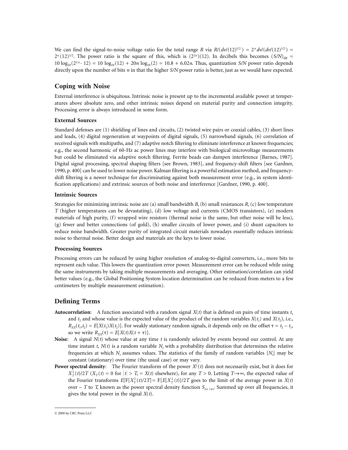We can find the signal-to-noise voltage ratio for the total range *R* via  $R/(dv/(12)^{1/2}) = 2^n dv/(dv/(12)^{1/2}) = 2^{n/2}$  $2^n (12)^{1/2}$ . The power ratio is the square of this, which is  $(2^{2n})(12)$ . In decibels this becomes  $(S/N)_{dB}$  =  $10 \log_{10}(2^{2n} \cdot 12) = 10 \log_{10}(12) + 20n \log_{10}(2) = 10.8 + 6.02n$ . Thus, quantization *S/N* power ratio depends directly upon the number of bits *n* in that the higher *S/N* power ratio is better, just as we would have expected.

# **Coping with Noise**

External interference is ubiquitous. Intrinsic noise is present up to the incremental available power at temperatures above absolute zero, and other intrinsic noises depend on material purity and connection integrity. Processing error is always introduced in some form.

#### <span id="page-20-0"></span>**External Sources**

Standard defenses are (1) shielding of lines and circuits, (2) twisted wire pairs or coaxial cables, (3) short lines and leads, (4) digital regeneration at waypoints of digital signals, (5) narrowband signals, (6) correlation of received signals with multipaths, and (7) adaptive notch filtering to eliminate interference at known frequencies; e.g., the second harmonic of 60-Hz ac power lines may interfere with biological microvoltage measurements but could be eliminated via adaptive notch filtering. Ferrite beads can dampen interference [Barnes, 1987]. Digital signal processing, spectral shaping filters [see Brown, 1983], and frequency-shift filters [see Gardner, 1990, p. 400] can be used to lower noise power. Kalman filtering is a powerful estimation method, and frequencyshift filtering is a newer technique for discriminating against both measurement error (e.g., in system identification applications) and extrinsic sources of both noise and interference [Gardner, 1990, p. 400].

#### **Intrinsic Sources**

Strategies for minimizing intrinsic noise are (a) small bandwidth *B,* (b) small resistances *R,* (c) low temperature *T* (higher temperatures can be devastating), (d) low voltage and currents (CMOS transistors), (e) modern materials of high purity, (f) wrapped wire resistors (thermal noise is the same, but other noise will be less), (g) fewer and better connections (of gold), (h) smaller circuits of lower power, and (i) shunt capacitors to reduce noise bandwidth. Greater purity of integrated circuit materials nowadays essentially reduces intrinsic noise to thermal noise. Better design and materials are the keys to lower noise.

#### **Processing Sources**

Processing errors can be reduced by using higher resolution of analog-to-digital converters, i.e., more bits to represent each value. This lowers the quantization error power. Measurement error can be reduced while using the same instruments by taking multiple measurements and averaging. Other estimation/correlation can yield better values (e.g., the Global Positioning System location determination can be reduced from meters to a few centimeters by multiple measurement estimation).

# **Defining Terms**

- **Autocorrelation:** A function associated with a random signal  $X(t)$  that is defined on pairs of time instants  $t_1$ and  $t_2$  and whose value is the expected value of the product of the random variables  $X(t_1)$  and  $X(t_2)$ , i.e.,  $R_{XX}(t_1,t_2) = E[X(t_1)X(t_2)]$ . For weakly stationary random signals, it depends only on the offset  $\tau = t_2 - t_1$ , so we write  $R_{XX}(\tau) = E[X(t)X(t+\tau)].$
- **Noise**: A signal *N*(*t*) whose value at any time *t* is randomly selected by events beyond our control. At any time instant *t*,  $N(t)$  is a random variable  $N<sub>t</sub>$  with a probability distribution that determines the relative frequencies at which  $N_t$  assumes values. The statistics of the family of random variables  $\{N_t\}$  may be constant (stationary) over time (the usual case) or may vary.
- **Power spectral density:** The Fourier transform of the power  $X^2(t)$  does not necessarily exist, but it does for  $X_T^2(t)/2T$  ( $X_T(t) = 0$  for  $|t| > T$ ,  $= X(t)$  elsewhere), for any  $T > 0$ . Letting  $T \rightarrow \infty$ , the expected value of the Fourier transforms  $E[F[X_T^2(t)/2T] = F[E[X_T^2(t)]/2T]$  goes to the limit of the average power in  $X(t)$ over – *T* to *T*, known as the power spectral density function  $S_{xx}$  ( $w$ ). Summed up over all frequencies, it gives the total power in the signal *X*(*t*).

<sup>© 2000</sup> by CRC Press LLC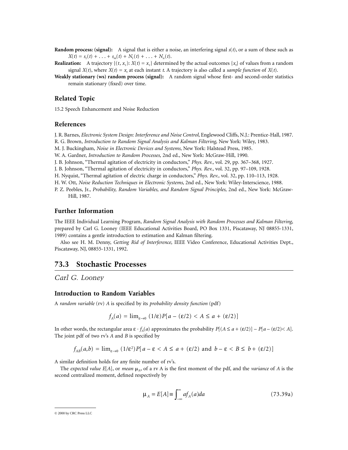- <span id="page-21-1"></span><span id="page-21-0"></span>**Random process: (signal):** A signal that is either a noise, an interfering signal *s*(*t*), or a sum of these such as  $X(t) = s_1(t) + \ldots + s_m(t) + N_1(t) + \ldots + N_n(t).$
- **Realization:** A trajectory  $\{(t, x_t): X(t) = x_t\}$  determined by the actual outcomes  $\{x_t\}$  of values from a random signal *X*(*t*), where *X*(*t*) =  $x_t$  at each instant *t*. A trajectory is also called a *sample function* of *X*(*t*).
- **Weakly stationary (ws) random process (signal):** A random signal whose first- and second-order statistics remain stationary (fixed) over time.

# **Related Topic**

15.2 Speech Enhancement and Noise Reduction

# **References**

J. R. Barnes, *Electronic System Design: Interference and Noise Control,* Englewood Cliffs, N.J.: Prentice-Hall, 1987.

R. G. Brown, *Introduction to Random Signal Analysis and Kalman Filtering,* New York: Wiley, 1983.

M. J. Buckingham, *Noise in Electronic Devices and Systems,* New York: Halstead Press, 1985.

W. A. Gardner, *Introduction to Random Processes,* 2nd ed., New York: McGraw-Hill, 1990.

J. B. Johnson, "Thermal agitation of electricity in conductors," *Phys. Rev.,* vol. 29, pp. 367–368, 1927.

J. B. Johnson, "Thermal agitation of electricity in conductors," *Phys. Rev.,* vol. 32, pp. 97–109, 1928.

H. Nyquist, "Thermal agitation of electric charge in conductors," *Phys. Rev.,* vol. 32, pp. 110–113, 1928.

H. W. Ott, *Noise Reduction Techniques in Electronic Systems,* 2nd ed., New York: Wiley-Interscience, 1988.

P. Z. Peebles, Jr., *Probability, Random Variables, and Random Signal Principles,* 2nd ed., New York: McGraw-Hill, 1987.

# **Further Information**

The IEEE Individual Learning Program, *Random Signal Analysis with Random Processes and Kalman Filtering*, prepared by Carl G. Looney (IEEE Educational Activities Board, PO Box 1331, Piscataway, NJ 08855-1331, 1989) contains a gentle introduction to estimation and Kalman filtering.

Also see H. M. Denny, *Getting Rid of Interference,* IEEE Video Conference, Educational Activities Dept., Piscataway, NJ, 08855-1331, 1992.

# **73.3 Stochastic Processes**

*Carl G. Looney*

## **Introduction to Random Variables**

A *random variable* (rv) *A* is specified by its *probability density function* (pdf)

$$
f_A(a) = \lim_{\varepsilon \to 0} (1/\varepsilon) P[a - (\varepsilon/2) < A \le a + (\varepsilon/2)]
$$

In other words, the rectangular area  $\epsilon \cdot f_A(a)$  approximates the probability  $P[(A \le a + (\epsilon/2)] - P[a - (\epsilon/2) < A].$ The joint pdf of two rv's *A* and *B* is specified by

$$
f_{AB}(a,b) = \lim_{\varepsilon \to 0} (1/\varepsilon^2) P[a - \varepsilon < A \le a + (\varepsilon/2) \text{ and } b - \varepsilon < B \le b + (\varepsilon/2)]
$$

A similar definition holds for any finite number of rv's.

The *expected value*  $E[A]$ , or *mean*  $\mu_A$ , of a rv A is the first moment of the pdf, and the *variance* of A is the second centralized moment, defined respectively by

$$
\mu_A = E[A] \equiv \int_{-\infty}^{\infty} af_A(a)da \tag{73.39a}
$$

<sup>© 2000</sup> by CRC Press LLC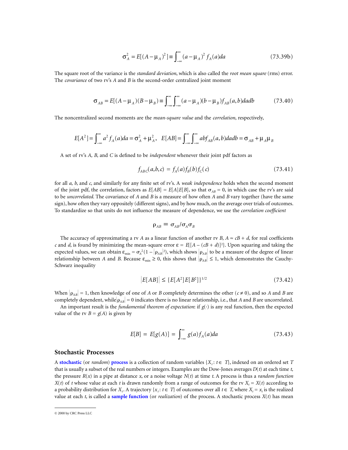$$
\sigma_A^2 = E[(A - \mu_A)^2] \equiv \int_{-\infty}^{\infty} (a - \mu_A)^2 f_A(a) da
$$
 (73.39b)

The square root of the variance is the *standard deviation*, which is also called the *root mean square* (rms) error. The *covariance* of two rv's *A* and *B* is the second-order centralized joint moment

$$
\sigma_{AB} = E[(A - \mu_A)(B - \mu_B)] \equiv \int_{-\infty}^{\infty} \int_{-\infty}^{\infty} (a - \mu_A)(b - \mu_B) f_{AB}(a, b) da db \tag{73.40}
$$

The noncentralized second moments are the *mean-square value* and the *correlation*, respectively,

$$
E[A^2] = \int_{-\infty}^{\infty} a^2 f_A(a) da = \sigma_A^2 + \mu_A^2, \quad E[AB] = \int_{-\infty}^{\infty} \int_{-\infty}^{\infty} ab f_{AB}(a, b) da db = \sigma_{AB} + \mu_A \mu_B
$$

A set of rv's *A, B,* and *C* is defined to be *independent* whenever their joint pdf factors as

$$
f_{ABC}(a,b,c) = f_A(a)f_B(b)f_C(c)
$$
\n(73.41)

for all *a, b,* and *c,* and similarly for any finite set of rv's. A *weak independence* holds when the second moment of the joint pdf, the correlation, factors as  $E[AB] = E[A]E[B]$ , so that  $\sigma_{AB} = 0$ , in which case the rv's are said to be *uncorrelated*. The covariance of *A* and *B* is a measure of how often *A* and *B* vary together (have the same sign), how often they vary oppositely (different signs), and by how much, on the average over trials of outcomes. To standardize so that units do not influence the measure of dependence, we use the *correlation coefficient*

$$
\rho_{AB} \equiv \sigma_{AB}/\sigma_A \sigma_B
$$

The accuracy of approximating a rv *A* as a linear function of another rv *B*,  $A \approx cB + d$ , for real coefficients *c* and *d*, is found by minimizing the mean-square error  $\varepsilon = E[(A - (cB + d)]^2]$ . Upon squaring and taking the expected values, we can obtain  $\varepsilon_{min} = \sigma_A^2(1-|\rho_{AB}|^2)$ , which shows  $|\rho_{AB}|$  to be a measure of the degree of linear relationship between *A* and *B*. Because  $\varepsilon_{\min} \ge 0$ , this shows that  $|\rho_{AB}| \le 1$ , which demonstrates the Cauchy-Schwarz inequality

$$
|E[AB]| \leq \{E[A^2]E[B^2]\}^{1/2} \tag{73.42}
$$

When  $\rho_{AB} = 1$ , then knowledge of one of *A* or *B* completely determines the other ( $c \ne 0$ ), and so *A* and *B* are completely dependent, while  $\rho_{AB} = 0$  indicates there is no linear relationship, i.e., that *A* and *B* are uncorrelated.

An important result is the *fundamental theorem of expectation*: if *g*(·) is any real function, then the expected value of the rv  $B = g(A)$  is given by

$$
E[B] = E[g(A)] = \int_{-\infty}^{\infty} g(a) f_A(a) da
$$
 (73.43)

#### **Stochastic Processes**

A **[stochastic](#page-31-0)** (or *random*) **process** is a collection of random variables  $\{X_t : t \in T\}$ , indexed on an ordered set *T* that is usually a subset of the real numbers or integers. Examples are the Dow-Jones averages *D*(*t*) at each time *t,* the pressure *R*(*x*) in a pipe at distance *x,* or a noise voltage *N*(*t*) at time *t*. A process is thus a *random function X*(*t*) of *t* whose value at each *t* is drawn randomly from a range of outcomes for the rv  $X_t = X(t)$  according to a probability distribution for  $X_t$ . A trajectory  $\{x_t : t \in T\}$  of outcomes over all  $t \in T$ , where  $X_t = x_t$  is the realized value at each *t,* is called a **[sample function](#page-31-0)** (or *realization*) of the process. A stochastic process *X*(*t*) has mean

<sup>© 2000</sup> by CRC Press LLC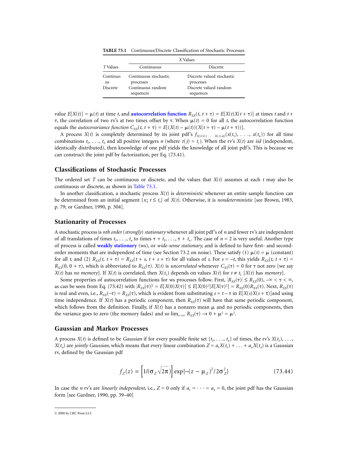**TABLE 73.1** Continuous/Discrete Classification of Stochastic Processes

| T Values       | X Values                           |                                         |
|----------------|------------------------------------|-----------------------------------------|
|                | Continuous                         | <b>Discrete</b>                         |
| Continuo<br>us | Continuous stochastic<br>processes | Discrete valued stochastic<br>processes |
| Discrete       | Continuous random<br>sequences     | Discrete valued random<br>sequences     |

<span id="page-23-0"></span>value  $E[X(t)] = \mu(t)$  at time *t*, and **[autocorrelation function](#page-31-0)**  $R_{XX}(t, t + \tau) = E[X(t)X(t + \tau)]$  at times *t* and *t* +  $\tau$ , the correlation of two rv's at two times offset by  $\tau$ . When  $\mu(t) = 0$  for all *t*, the autocorrelation function equals the *autocovariance function*  $C_{XX}(t, t + \tau) = E[(X(t) - \mu(t))(X(t + \tau) - \mu(t + \tau))].$ 

A process  $X(t)$  is completely determined by its joint pdf's  $f_{X(t(1))}$ ...  $X(t(n))}(x(t_1), \ldots, x(t_n))$  for all time combinations  $t_1, \ldots, t_n$  and all positive integers *n* (where  $t(j) = t_j$ ). When the rv's  $X(t)$  are *iid* (independent, identically distributed), then knowledge of one pdf yields the knowledge of all joint pdf's. This is because we can construct the joint pdf by factorization, per Eq. (73.41).

#### **Classifications of Stochastic Processes**

The ordered set *T* can be continuous or discrete, and the values that *X*(*t*) assumes at each *t* may also be continuous or discrete, as shown in [Table 73.1.](#page-23-0)

In another classification, a stochastic process  $X(t)$  is *deterministic* whenever an entire sample function can be determined from an initial segment  $\{x; t \leq t_1\}$  of  $X(t)$ . Otherwise, it is *nondeterministic* [see Brown, 1983, p. 79; or Gardner, 1990, p. 304].

#### **Stationarity of Processes**

A stochastic process is *nth order* (*strongly*) *stationary* whenever all joint pdf's of *n* and fewer rv's are independent of all translations of times  $t_1, \ldots, t_n$  to times  $\tau + t_1, \ldots, \tau + t_n$ . The case of  $n = 2$  is very useful. Another type of process is called **[weakly stationary](#page-31-0)** (ws), or *wide-sense stationary*, and is defined to have first- and secondorder moments that are independent of time (see Section 73.2 on noise). These satisfy (1)  $\mu(t) = \mu$  (constant) for all *t*, and (2)  $R_{XX}(t, t + \tau) = R_{XX}(t + s, t + s + \tau)$  for all values of *s*. For  $s = -t$ , this yields  $R_{XX}(t, t + \tau) =$  $R_{XX}(0, 0 + \tau)$ , which is abbreviated to  $R_{XX}(\tau)$ .  $X(t)$  is *uncorrelated* whenever  $C_{XX}(\tau) = 0$  for  $\tau$  not zero [we say *X*(*t*) has *no memory*]. If *X*(*t*) is correlated, then *X*(*t*<sub>1</sub>) depends on values *X*(*t*) for  $t \neq t_1$  [*X*(*t*) has *memory*].

Some properties of autocorrelation functions for ws processes follow. First,  $|R_{XX}(\tau)| \le R_{XX}(0)$ ,  $-\infty < \tau < \infty$ , as can be seen from Eq. (73.42) with  $|R_{XX}(\tau)|^2 = E[X(0)X(\tau)] \le E[X(0)^2]E[X(\tau)^2] = R_{XX}(0)R_{XX}(\tau)$ . Next,  $R_{XX}(\tau)$ is real and even, i.e.,  $R_{XX}(-\tau) = R_{XX}(\tau)$ , which is evident from substituting  $s = t - \tau$  in  $E[X(s)X(s + \tau)]$  and using time independence. If  $X(t)$  has a periodic component, then  $R_{XX}(\tau)$  will have that same periodic component, which follows from the definition. Finally, if  $X(t)$  has a nonzero mean  $\mu$  and no periodic components, then the variance goes to zero (the memory fades) and so  $\lim_{\tau \to \infty} R_{XX}(\tau) \to 0 + \mu^2 = \mu^2$ .

#### **Gaussian and Markov Processes**

A process  $X(t)$  is defined to be *Gaussian* if for every possible finite set  $\{t_1, \ldots, t_n\}$  of times, the rv's  $X(t_1), \ldots$ , *X*( $t_n$ ) are *jointly Gaussian*, which means that every linear combination  $Z = a_1 X(t_1) + \ldots + a_n X(t_n)$  is a Gaussian rv, defined by the Gaussian pdf

$$
f_Z(z) = \left[1/(\sigma_Z \sqrt{2\pi})\right] \exp\{-(z - \mu_Z)^2 / 2\sigma_Z^2\}
$$
 (73.44)

In case the *n* rv's are *linearly independent*, i.e.,  $Z = 0$  only if  $a_1 = \cdots = a_n = 0$ , the joint pdf has the Gaussian form [see Gardner, 1990, pp. 39–40]

<sup>© 2000</sup> by CRC Press LLC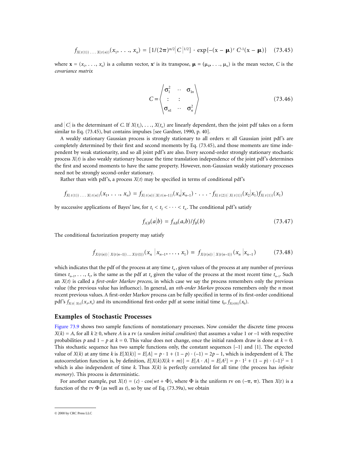$$
f_{X(t(1))}\dots x_{(t(n))}(x_1,\ldots,x_n) = [1/(2\pi)^{n/2}]C|^{1/2}]\cdot \exp\{-(x-\mu)^t C^{-1}(x-\mu)\}\quad (73.45)
$$

where  $\mathbf{x} = (x_1, \ldots, x_n)$  is a column vector,  $\mathbf{x}^t$  is its transpose,  $\mathbf{\mu} = (\mu_1, \ldots, \mu_n)$  is the mean vector, *C* is the *covariance matrix*

$$
C = \begin{pmatrix} \sigma_1^2 & \cdots & \sigma_{1n} \\ \vdots & \vdots & \\ \sigma_{n1} & \cdots & \sigma_n^2 \end{pmatrix}
$$
 (73.46)

and  $|C|$  is the determinant of C. If  $X(t_1), \ldots, X(t_n)$  are linearly dependent, then the joint pdf takes on a form similar to Eq. (73.45), but contains impulses [see Gardner, 1990, p. 40].

A weakly stationary Gaussian process is strongly stationary to all orders *n:* all Gaussian joint pdf's are completely determined by their first and second moments by Eq. (73.45), and those moments are time independent by weak stationarity, and so all joint pdf's are also. Every second-order strongly stationary stochastic process  $X(t)$  is also weakly stationary because the time translation independence of the joint pdf's determines the first and second moments to have the same property. However, non-Gaussian weakly stationary processes need not be strongly second-order stationary.

Rather than with pdf's, a process  $X(t)$  may be specified in terms of conditional pdf's

$$
f_{X(t(1))}\ldots x_{(t(n))}(x_1,\ldots,x_n)=f_{X(t(n))}|_{X(t(n-1))}(x_n|x_{n-1})\cdot\ldots\cdot f_{X(t(2))}|_{X(t(1))}(x_2|x_1)f_{X(t(1))}(x_1)
$$

by successive applications of Bayes' law, for  $t_1 < t_2 < \cdots < t_n$ . The conditional pdf's satisfy

$$
f_{A|B}(a|b) = f_{AB}(a,b)/f_B(b)
$$
 (73.47)

The conditional factorization property may satisfy

$$
f_{X(t(n))}|_{X(t(n-1))...X(t(1))}(x_n|x_{n-1},...,x_1) = f_{X(t(n))}|_{X(t(n-1))}(x_n|x_{n-1})
$$
\n(73.48)

which indicates that the pdf of the process at any time  $t_n$ , given values of the process at any number of previous times  $t_{n-1}, \ldots, t_1$ , is the same as the pdf at  $t_n$  given the value of the process at the most recent time  $t_{n-1}$ . Such an *X*(*t*) is called a *first-order Markov process*, in which case we say the process remembers only the previous value (the previous value has influence). In general, an *nth-order Markov* process remembers only the *n* most recent previous values. A first-order Markov process can be fully specified in terms of its first-order conditional pdf's  $f_{X(t)|X(s)}(x_p, x_s)$  and its unconditional first-order pdf at some initial time  $t_0$ ,  $f_{X(t(0))}(x_0)$ .

#### **Examples of Stochastic Processes**

[Figure 73.9](#page-25-0) shows two sample functions of nonstationary processes. Now consider the discrete time process  $X(k) = A$ , for all  $k \ge 0$ , where *A* is a rv (a *random initial condition*) that assumes a value 1 or –1 with respective probabilities *p* and  $1 - p$  at  $k = 0$ . This value does not change, once the initial random draw is done at  $k = 0$ . This stochastic sequence has two sample functions only, the constant sequences  $\{-1\}$  and  $\{1\}$ . The expected value of  $X(k)$  at any time  $k$  is  $E[X(k)] = E[A] = p \cdot 1 + (1 - p) \cdot (-1) = 2p - 1$ , which is independent of  $k$ . The autocorrelation function is, by definition,  $E[X(k)X(k + m)] = E[A \cdot A] = E[A^2] = p \cdot 1^2 + (1 - p) \cdot (-1)^2 = 1$ which is also independent of time *k*. Thus *X*(*k*) is perfectly correlated for all time (the process has *infinite memory*). This process is deterministic.

For another example, put  $X(t) = (c) \cdot \cos(wt + \Phi)$ , where  $\Phi$  is the uniform rv on  $(-\pi, \pi)$ . Then  $X(t)$  is a function of the rv  $\Phi$  (as well as *t*), so by use of Eq. (73.39a), we obtain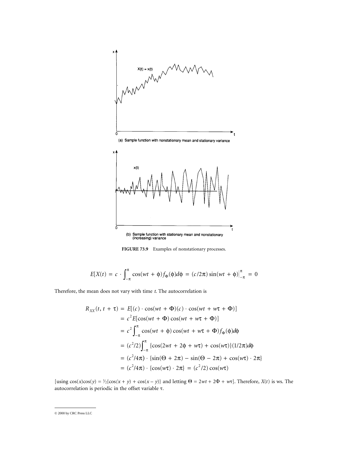<span id="page-25-0"></span>

**FIGURE 73.9** Examples of nonstationary processes.

$$
E[X(t) = c \cdot \int_{-\pi}^{\pi} \cos(wt + \phi) f_{\Phi}(\phi) d\phi = (c/2\pi) \sin(wt + \phi) \Big|_{-\pi}^{\pi} = 0
$$

Therefore, the mean does not vary with time *t*. The autocorrelation is

$$
R_{XX}(t, t + \tau) = E[(c) \cdot \cos(wt + \Phi)(c) \cdot \cos(wt + w\tau + \Phi)]
$$
  
\n
$$
= c^2 E[\cos(wt + \Phi) \cos(wt + w\tau + \Phi)]
$$
  
\n
$$
= c^2 \int_{-\pi}^{\pi} \cos(wt + \phi) \cos(wt + w\tau + \Phi) f_{\Phi}(\phi) d\phi
$$
  
\n
$$
= (c^2/2) \int_{-\pi}^{\pi} {\cos(2wt + 2\phi + w\tau) + \cos(w\tau)} (1/2\pi) d\phi
$$
  
\n
$$
= (c^2/4\pi) \cdot {\sin(\Theta + 2\pi) - \sin(\Theta - 2\pi) + \cos(w\tau) \cdot 2\pi}
$$
  
\n
$$
= (c^2/4\pi) \cdot {\cos(w\tau) \cdot 2\pi} = (c^2/2) \cos(w\tau)
$$

[using  $cos(x)cos(y) = \frac{1}{2}cos(x + y) + cos(x - y)$ ] and letting  $\Theta = 2wt + 2\Phi + w\tau$ ]. Therefore, *X*(*t*) is ws. The autocorrelation is periodic in the offset variable  $\tau$ .

<sup>© 2000</sup> by CRC Press LLC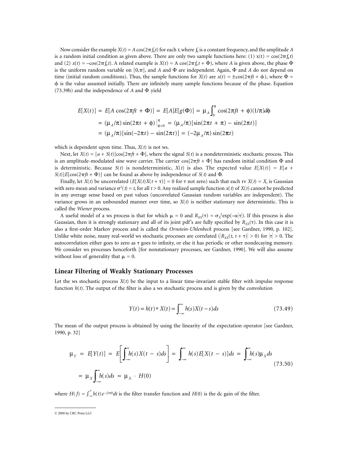Now consider the example  $X(t) = A \cos(2\pi f_0 t)$  for each *t*, where  $f_0$  is a constant frequency, and the amplitude *A* is a random initial condition as given above. There are only two sample functions here: (1)  $x(t) = cos(2\pi \theta_0 t)$ and (2)  $x(t) = -\cos(2\pi f_0 t)$ . A related example is  $X(t) = A \cos(2\pi f_0 t + \Phi)$ , where *A* is given above, the phase  $\Phi$ is the uniform random variable on  $[0,\pi]$ , and *A* and  $\Phi$  are independent. Again,  $\Phi$  and *A* do not depend on time (initial random conditions). Thus, the sample functions for  $X(t)$  are  $x(t) = \pm \cos(2\pi ft + \phi)$ , where  $\Phi =$  $\phi$  is the value assumed initially. There are infinitely many sample functions because of the phase. Equation  $(73.39b)$  and the independence of *A* and  $\Phi$  yield

$$
E[X(t)] = E[A \cos(2\pi ft + \Phi)] = E[A]E[g(\Phi)] = \mu_A \int_0^{\pi} \cos(2\pi ft + \phi)(1/\pi)d\phi
$$
  
= (\mu\_A/\pi) \sin(2\pi t + \phi) |\_{\phi=0}^{\pi} = (\mu\_A/\pi)[\sin(2\pi t + \pi) - \sin(2\pi t)]  
= (\mu\_A/\pi)[\sin(-2\pi t) - \sin(2\pi t)] = (-2\mu\_A/\pi) \sin(2\pi t)

which is dependent upon time. Thus,  $X(t)$  is not ws.

Next, let  $X(t) = [a + S(t)]\cos[2\pi ft + \Phi]$ , where the signal  $S(t)$  is a nondeterministic stochastic process. This is an amplitude-modulated sine wave carrier. The carrier  $\cos[2\pi ft + \Phi]$  has random initial condition  $\Phi$  and is deterministic. Because  $S(t)$  is nondeterministic,  $X(t)$  is also. The expected value  $E[X(t)] = E[a + b]$  $S(t)[E[\cos(2\pi ft + \Phi)]$  can be found as above by independence of  $S(t)$  and  $\Phi$ .

Finally, let *X*(*t*) be uncorrelated (*E*[*X*(*t*)*X*(*t* +  $\tau$ )] = 0 for  $\tau$  not zero) such that each rv *X*(*t*) = *X<sub>t</sub>* is Gaussian with zero mean and variance  $\sigma^2(t) = t$ , for all  $t > 0$ . Any realized sample function  $x(t)$  of  $X(t)$  cannot be predicted in any average sense based on past values (uncorrelated Gaussian random variables are independent). The variance grows in an unbounded manner over time, so  $X(t)$  is neither stationary nor deterministic. This is called the *Wiener* process.

A useful model of a ws process is that for which  $\mu = 0$  and  $R_{XX}(\tau) = \sigma_X^2 \exp(-\alpha|\tau|)$ . If this process is also Gaussian, then it is strongly stationary and all of its joint pdf's are fully specified by  $R_{XX}(\tau)$ . In this case it is also a first-order Markov process and is called the *Ornstein-Uhlenbeck* process [see Gardner, 1990, p. 102]. Unlike white noise, many real-world ws stochastic processes are correlated  $(R_{XX}(t, t + \tau)) > 0$  for  $|\tau| > 0$ . The autocorrelation either goes to zero as  $\tau$  goes to infinity, or else it has periodic or other nondecaying memory. We consider ws processes henceforth [for nonstationary processes, see Gardner, 1990]. We will also assume without loss of generality that  $\mu = 0$ .

#### **Linear Filtering of Weakly Stationary Processes**

Let the ws stochastic process  $X(t)$  be the input to a linear time-invariant stable filter with impulse response function  $h(t)$ . The output of the filter is also a ws stochastic process and is given by the convolution

$$
Y(t) = h(t) * X(t) = \int_{-\infty}^{\infty} h(s)X(t - s)ds
$$
\n(73.49)

The mean of the output process is obtained by using the linearity of the expectation operator [see Gardner, 1990, p. 32]

$$
\mu_Y = E[Y(t)] = E\left[\int_{-\infty}^{\infty} h(s)X(t-s)ds\right] = \int_{-\infty}^{\infty} h(s)E[X(t-s)]ds = \int_{-\infty}^{\infty} h(s)\mu_X ds
$$
\n
$$
= \mu_X \int_{-\infty}^{\infty} h(s)ds = \mu_X \cdot H(0)
$$
\n(73.50)

where  $H(f) = \int_{-\infty}^{\infty} h(t) e^{-j2\pi ft} dt$  is the filter transfer function and  $H(0)$  is the dc gain of the filter.

<sup>© 2000</sup> by CRC Press LLC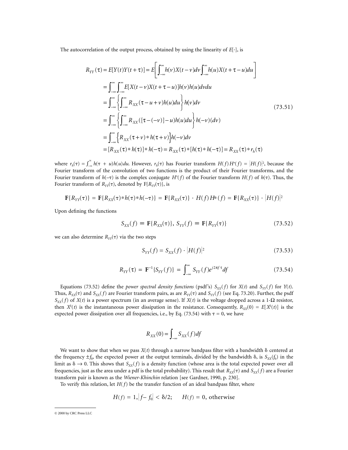The autocorrelation of the output process, obtained by using the linearity of *E*[·], is

$$
R_{YY}(\tau) = E[Y(t)Y(t+\tau)] = E\left[\int_{-\infty}^{\infty} h(v)X(t-v)dv \int_{-\infty}^{\infty} h(u)X(t+\tau-u)du\right]
$$
  
\n
$$
= \int_{-\infty}^{\infty} \int_{-\infty}^{\infty} E[X(t-v)X(t+\tau-u)]h(v)h(u)dvdu
$$
  
\n
$$
= \int_{-\infty}^{\infty} \left\{\int_{-\infty}^{\infty} R_{XX}(\tau-u+v)h(u)du\right\}h(v)dv
$$
  
\n
$$
= \int_{-\infty}^{\infty} \left\{\int_{-\infty}^{\infty} R_{XX}([\tau-(-v)]-u)h(u)du\right\}h(-v)(dv)
$$
  
\n
$$
= \int_{-\infty}^{\infty} \left\{R_{XX}(\tau+v)*h(\tau+v)\right\}h(-v)dv
$$
  
\n
$$
= [R_{XX}(\tau)*h(\tau)]*h(-\tau) = R_{XX}(\tau)*h(-\tau)] = R_{XX}(\tau)*r_h(\tau)
$$

where  $r_h(\tau) = \int_{-\infty}^{\infty} h(\tau + u)h(u)du$ . However,  $r_h(\tau)$  has Fourier transform  $H(f)H^*(f) = |H(f)|^2$ , because the Fourier transform of the convolution of two functions is the product of their Fourier transforms, and the Fourier transform of  $h(-\tau)$  is the complex conjugate  $H^*(f)$  of the Fourier transform  $H(f)$  of  $h(\tau)$ . Thus, the Fourier transform of  $R_{YY}(\tau)$ , denoted by  $F\{R_{YY}(\tau)\}\)$ , is

$$
\mathbf{F}\{R_{YY}(\tau)\} = \mathbf{F}\{R_{XX}(\tau)*h(\tau)*h(-\tau)\} = \mathbf{F}\{R_{XX}(\tau)\} \cdot H(f)H^*(f) = \mathbf{F}\{R_{XX}(\tau)\} \cdot |H(f)|^2
$$

Upon defining the functions

$$
S_{XX}(f) \equiv \mathbf{F}\{R_{XX}(\tau)\}, S_{YY}(f) \equiv \mathbf{F}\{R_{YY}(\tau)\}\tag{73.52}
$$

we can also determine  $R_{YY}(\tau)$  via the two steps

$$
S_{YY}(f) = S_{XX}(f) \cdot |H(f)|^2 \tag{73.53}
$$

$$
R_{YY}(\tau) = \mathbf{F}^{-1} \{ S_{YY}(f) \} = \int_{-\infty}^{\infty} S_{YY}(f) e^{j2\pi f \tau} df
$$
 (73.54)

Equations (73.52) define the *power spectral density functions* (psdf's)  $S_{XX}(f)$  for  $X(t)$  and  $S_{YY}(f)$  for  $Y(t)$ . Thus,  $R_{XX}(\tau)$  and  $S_{XX}(f)$  are Fourier transform pairs, as are  $R_{YY}(\tau)$  and  $S_{YY}(f)$  (see Eq. 73.20). Further, the psdf  $S_{XX}(f)$  of *X*(*t*) is a power spectrum (in an average sense). If *X*(*t*) is the voltage dropped across a 1- $\Omega$  resistor, then  $X^2(t)$  is the instantaneous power dissipation in the resistance. Consequently,  $R_{XX}(0) = E[X(t)]$  is the expected power dissipation over all frequencies, i.e., by Eq. (73.54) with  $\tau = 0$ , we have

$$
R_{XX}(0) = \int_{-\infty}^{+\infty} S_{XX}(f) df
$$

We want to show that when we pass  $X(t)$  through a narrow bandpass filter with a bandwidth  $\delta$  centered at the frequency  $\pm f_0$ , the expected power at the output terminals, divided by the bandwidth  $\delta$ , is  $S_{XX}(f_0)$  in the limit as  $\delta \to 0$ . This shows that  $S_{XX}(f)$  is a density function (whose area is the total expected power over all frequencies, just as the area under a pdf is the total probability). This result that  $R_{XX}(\tau)$  and  $S_{XX}(f)$  are a Fourier transform pair is known as the *Wiener-Khinchin* relation [see Gardner, 1990, p. 230].

To verify this relation, let *H*(*f*) be the transfer function of an ideal bandpass filter, where

$$
H(f) = 1, |f - f_0| < \delta/2; \qquad H(f) = 0, \text{ otherwise}
$$

<sup>© 2000</sup> by CRC Press LLC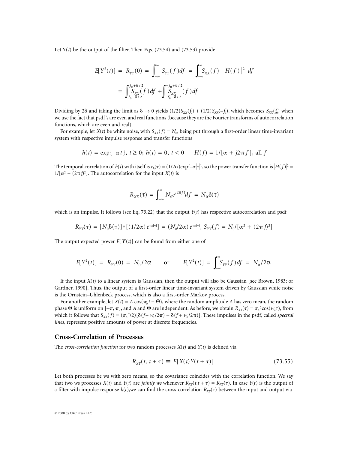Let  $Y(t)$  be the output of the filter. Then Eqs. (73.54) and (73.53) provide

$$
E[Y^{2}(t)] = R_{YY}(0) = \int_{-\infty}^{\infty} S_{YY}(f) df = \int_{-\infty}^{\infty} S_{XX}(f) |H(f)|^{2} df
$$
  
= 
$$
\int_{f_{0} - \delta/2}^{f_{0} + \delta/2} f f(f) df + \int_{-f_{0} - \delta/2}^{-f_{0} + \delta/2} f(f) df
$$

Dividing by 28 and taking the limit as  $\delta \to 0$  yields  $(1/2)S_{XX}(f_0) + (1/2)S_{XX}(-f_0)$ , which becomes  $S_{XX}(f_0)$  when we use the fact that psdf's are even and real functions (because they are the Fourier transforms of autocorrelation functions, which are even and real).

For example, let  $X(t)$  be white noise, with  $S_{XX}(f) = N_0$ , being put through a first-order linear time-invariant system with respective impulse response and transfer functions

$$
h(t) = \exp\{-\alpha t\}, t \ge 0; h(t) = 0, t < 0
$$
  $H(f) = 1/[\alpha + j2\pi f],$  all f

The temporal correlation of  $h(t)$  with itself is  $r_h(\tau) = (1/2\alpha) \exp\{-\alpha|\tau|\}$ , so the power transfer function is  $|H(f)|^2 =$  $1/[\alpha^2 + (2\pi f)^2]$ . The autocorrelation for the input *X*(*t*) is

$$
R_{XX}(\tau) = \int_{-\infty}^{\infty} N_0 e^{j2\pi f \tau} df = N_0 \delta(\tau)
$$

which is an impulse. It follows (see Eq. 73.22) that the output *Y*(*t*) has respective autocorrelation and psdf

$$
R_{YY}(\tau) = [N_0 \delta(\tau)] * [(1/2\alpha) e^{-\alpha|\tau|}] = (N_0/2\alpha) e^{-\alpha|\tau|}, S_{YY}(f) = N_0/[\alpha^2 + (2\pi f)^2]
$$

The output expected power  $E[Y^2(t)]$  can be found from either one of

$$
E[Y^{2}(t)] = R_{YY}(0) = N_{0}/2\alpha \quad \text{or} \quad E[Y^{2}(t)] = \int_{-\infty}^{\infty} S_{YY}(f) df = N_{0}/2\alpha
$$

If the input *X*(*t*) to a linear system is Gaussian, then the output will also be Gaussian [see Brown, 1983; or Gardner, 1990]. Thus, the output of a first-order linear time-invariant system driven by Gaussian white noise is the Ornstein–Uhlenbeck process, which is also a first-order Markov process.

For another example, let  $X(t) = A \cos(w_0 t + \Theta)$ , where the random amplitude *A* has zero mean, the random phase  $\Theta$  is uniform on  $[-\pi, \pi]$ , and *A* and  $\Theta$  are independent. As before, we obtain  $R_{XX}(\tau) = \sigma_A^2 \cos(w_o \tau)$ , from which it follows that  $S_{XX}(f) = (\sigma_A^2/2)[\delta(f - w_o/2\pi) + \delta(f + w_o/2\pi)].$  These impulses in the psdf, called *spectral lines*, represent positive amounts of power at discrete frequencies.

#### **Cross-Correlation of Processes**

The *cross-correlation function* for two random processes *X*(*t*) and *Y*(*t*) is defined via

$$
R_{XY}(t, t + \tau) \equiv E[X(t)Y(t + \tau)] \tag{73.55}
$$

Let both processes be ws with zero means, so the covariance coincides with the correlation function. We say that two ws processes  $X(t)$  and  $Y(t)$  are *jointly ws* whenever  $R_{XY}(t, t + \tau) = R_{XY}(\tau)$ . In case  $Y(t)$  is the output of a filter with impulse response  $h(t)$ , we can find the cross-correlation  $R_{XY}(\tau)$  between the input and output via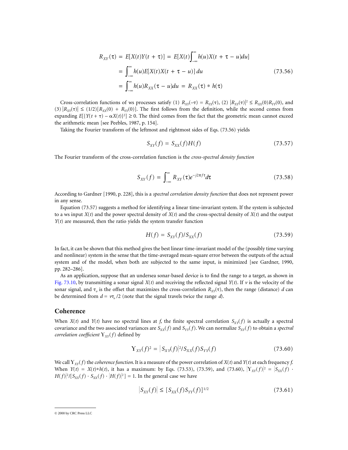$$
R_{XY}(\tau) = E[X(t)Y(t + \tau)] = E[X(t)] \int_{-\infty}^{\infty} h(u)X(t + \tau - u)du]
$$
  
\n
$$
= \int_{-\infty}^{\infty} h(u)E[X(t)X(t + \tau - u)]du
$$
(73.56)  
\n
$$
= \int_{-\infty}^{\infty} h(u)R_{XX}(\tau - u)du = R_{XX}(\tau) * h(\tau)
$$

Cross-correlation functions of ws processes satisfy (1)  $R_{XY}(-\tau) = R_{YX}(\tau)$ , (2)  $|R_{XY}(\tau)|^2 \le R_{XX}(0)R_{YY}(0)$ , and  $(3) |R_{XY}(\tau)| \leq (1/2)[R_{XX}(0) + R_{YY}(0)].$  The first follows from the definition, while the second comes from expanding  $E[{Y(t + \tau) - \alpha X(t)}^2] \ge 0$ . The third comes from the fact that the geometric mean cannot exceed the arithmetic mean [see Peebles, 1987, p. 154].

Taking the Fourier transform of the leftmost and rightmost sides of Eqs. (73.56) yields

$$
S_{XY}(f) = S_{XX}(f)H(f) \tag{73.57}
$$

The Fourier transform of the cross-correlation function is the *cross-spectral density function*

$$
S_{XY}(f) = \int_{-\infty}^{\infty} R_{XY}(\tau) e^{-j2\pi f \tau} d\tau
$$
 (73.58)

According to Gardner [1990, p. 228], this is a *spectral correlation density function* that does not represent power in any sense.

Equation (73.57) suggests a method for identifying a linear time-invariant system. If the system is subjected to a ws input  $X(t)$  and the power spectral density of  $X(t)$  and the cross-spectral density of  $X(t)$  and the output *Y*(*t*) are measured, then the ratio yields the system transfer function

$$
H(f) = S_{XY}(f)/S_{XX}(f) \tag{73.59}
$$

In fact, it can be shown that this method gives the best linear time-invariant model of the (possibly time varying and nonlinear) system in the sense that the time-averaged mean-square error between the outputs of the actual system and of the model, when both are subjected to the same input, is minimized [see Gardner, 1990, pp. 282–286].

As an application, suppose that an undersea sonar-based device is to find the range to a target, as shown in [Fig. 73.10,](#page-30-0) by transmitting a sonar signal  $X(t)$  and receiving the reflected signal  $Y(t)$ . If  $v$  is the velocity of the sonar signal, and  $\tau_a$  is the offset that maximizes the cross-correlation  $R_{XY}(\tau)$ , then the range (distance) *d* can be determined from  $d = \nu \tau_o/2$  (note that the signal travels twice the range *d*).

#### **Coherence**

When  $X(t)$  and  $Y(t)$  have no spectral lines at f, the finite spectral correlation  $S_{XY}(f)$  is actually a spectral covariance and the two associated variances are  $S_{XX}(f)$  and  $S_{YY}(f)$ . We can normalize  $S_{XY}(f)$  to obtain a *spectral correlation coefficient*  $Y_{XY}(f)$  defined by

$$
Y_{XY}(f)^{2} = |S_{XY}(f)|^{2} / S_{XX}(f) S_{YY}(f)
$$
\n(73.60)

We call  $Y_{XY}(f)$  the *coherence function*. It is a measure of the power correlation of  $X(t)$  and  $Y(t)$  at each frequency *f*. When  $Y(t) = X(t) * h(t)$ , it has a maximum: by Eqs. (73.53), (73.59), and (73.60),  $|Y_{XY}(f)|^2 = |S_{XX}(f) - S_{XX}(f)|^2$  $H(f)|^2/[S_{XX}(f) \cdot S_{XX}(f) \cdot |H(f)|^2] = 1$ . In the general case we have

$$
|S_{XY}(f)| \le [S_{XX}(f)S_{YY}(f)]^{1/2} \tag{73.61}
$$

<sup>© 2000</sup> by CRC Press LLC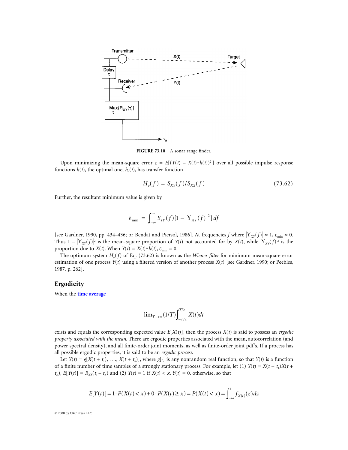<span id="page-30-0"></span>

**FIGURE 73.10** A sonar range finder.

Upon minimizing the mean-square error  $\varepsilon = E[(Y(t) - X(t)*h(t))^2]$  over all possible impulse response functions  $h(t)$ , the optimal one,  $h<sub>o</sub>(t)$ , has transfer function

$$
H_o(f) = S_{XY}(f)/S_{XX}(f)
$$
 (73.62)

Further, the resultant minimum value is given by

$$
\varepsilon_{\min} = \int_{-\infty}^{\infty} S_{YY}(f) \left[1 - \left|Y_{XY}(f)\right|^2\right] df
$$

[see Gardner, 1990, pp. 434–436; or Bendat and Piersol, 1986]. At frequencies *f* where  $Y_{XY}(f) \approx 1$ ,  $\varepsilon_{\min} \approx 0$ . Thus  $1 - |Y_{XY}(f)|^2$  is the mean-square proportion of *Y*(*t*) not accounted for by *X*(*t*), while  $|Y_{XY}(f)|^2$  is the proportion due to *X*(*t*). When  $Y(t) = X(t)*h(t)$ ,  $\varepsilon_{\min} = 0$ .

The optimum system *Ho*(*f*) of Eq. (73.62) is known as the *Wiener filter* for minimum mean-square error estimation of one process *Y*(*t*) using a filtered version of another process *X*(*t*) [see Gardner, 1990; or Peebles, 1987, p. 262].

### **Ergodicity**

When the **[time average](#page-31-0)**

$$
\lim_{T \to \infty} (1/T) \int_{-T/2}^{T/2} X(t) dt
$$

exists and equals the corresponding expected value *E*[*X*(*t*)], then the process *X*(*t*) is said to possess an *ergodic property associated with the mean*. There are ergodic properties associated with the mean, autocorrelation (and power spectral density), and all finite-order joint moments, as well as finite-order joint pdf's. If a process has all possible ergodic properties, it is said to be an *ergodic process*.

Let  $Y(t) = g[X(t + t_1), \ldots, X(t + t_n)]$ , where  $g[\cdot]$  is any nonrandom real function, so that  $Y(t)$  is a function of a finite number of time samples of a strongly stationary process. For example, let (1)  $Y(t) = X(t + t_1)X(t +$  $t_2$ ),  $E[Y(t)] = R_{XX}(t_1 - t_2)$  and (2)  $Y(t) = 1$  if  $X(t) < x$ ,  $Y(t) = 0$ , otherwise, so that

$$
E[Y(t)] = 1 \cdot P(X(t) < x) + 0 \cdot P(X(t) \ge x) = P(X(t) < x) = \int_{-\infty}^{1} f_{X(t)}(z) \, dz
$$

© 2000 by CRC Press LLC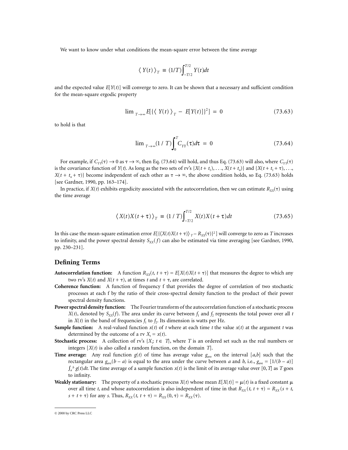We want to know under what conditions the mean-square error between the time average

$$
\langle Y(t) \rangle_T \equiv (1/T) \int_{-T/2}^{T/2} Y(t) dt
$$

and the expected value  $E[Y(t)]$  will converge to zero. It can be shown that a necessary and sufficient condition for the mean-square ergodic property

$$
\lim_{T \to \infty} E[\{\langle Y(t) \rangle_T - E[Y(t)]\}^2] = 0 \tag{73.63}
$$

<span id="page-31-0"></span>to hold is that

$$
\lim_{T \to \infty} (1/T) \int_0^T C_{YY}(\tau) d\tau = 0 \tag{73.64}
$$

For example, if  $C_{\gamma y}(\tau) \to 0$  as  $\tau \to \infty$ , then Eq. (73.64) will hold, and thus Eq. (73.63) will also, where  $C_{\gamma y}(\tau)$ is the covariance function of  $Y(t)$ . As long as the two sets of rv's  $\{X(t + t_1), \ldots, X(t + t_n)\}$  and  $\{X(t + t_1 + \tau), \ldots, X(t + t_n)\}$  $X(t + t_n + \tau)$ } become independent of each other as  $\tau \to \infty$ , the above condition holds, so Eq. (73.63) holds [see Gardner, 1990, pp. 163–174].

In practice, if  $X(t)$  exhibits ergodicity associated with the autocorrelation, then we can estimate  $R_{XX}(\tau)$  using the time average

$$
\langle X(t)X(t+\tau)\rangle_T \equiv (1/T)\int_{-T/2}^{T/2} X(t)X(t+\tau)dt
$$
\n(73.65)

In this case the mean-square estimation error  $E[\{(X(t)X(t+\tau))_{T}-R_{XX}(\tau)\}^{2}]$  will converge to zero as *T* increases to infinity, and the power spectral density  $S_{XX}(f)$  can also be estimated via time averaging [see Gardner, 1990, pp. 230–231].

#### **Defining Terms**

- **Autocorrelation function:** A function  $R_{XX}(t, t + \tau) = E[X(t)X(t + \tau)]$  that measures the degree to which any two rv's  $X(t)$  and  $X(t + \tau)$ , at times *t* and  $t + \tau$ , are correlated.
- **Coherence function:** A function of frequency f that provides the degree of correlation of two stochastic processes at each f by the ratio of their cross-spectral density function to the product of their power spectral density functions.
- **Power spectral density function:** The Fourier transform of the autocorrelation function of a stochastic process *X*(*t*), denoted by *S<sub>XX</sub>*(*f*). The area under its curve between  $f_1$  and  $f_2$  represents the total power over all *t* in  $X(t)$  in the band of frequencies  $f_1$  to  $f_2$ . Its dimension is watts per Hz.
- **Sample function:** A real-valued function  $x(t)$  of *t* where at each time *t* the value  $x(t)$  at the argument *t* was determined by the outcome of a rv  $X_t = x(t)$ .
- **Stochastic process:** A collection of rv's  $\{X_i : t \in T\}$ , where *T* is an ordered set such as the real numbers or integers [*X*(*t*) is also called a random function, on the domain *T*].
- **Time average:** Any real function  $g(t)$  of time has average value  $g_{ave}$  on the interval [ $a,b$ ] such that the rectangular area  $g_{\text{ave}}(b-a)$  is equal to the area under the curve between *a* and *b*, i.e.,  $g_{\text{ave}} = [1/(b-a)]$  $\int_a^b g(t)dt$ . The time average of a sample function  $x(t)$  is the limit of its average value over [0,*T*] as *T* goes to infinity.
- **Weakly stationary:** The property of a stochastic process  $X(t)$  whose mean  $E[X(t)] = \mu(t)$  is a fixed constant  $\mu$ over all time *t*, and whose autocorrelation is also independent of time in that  $R_{XX}(t, t + \tau) = R_{XX}(s + t, t)$  $s + t + \tau$ ) for any *s*. Thus,  $R_{XX}(t, t + \tau) = R_{XX}(0, \tau) = R_{XX}(\tau)$ .

<sup>© 2000</sup> by CRC Press LLC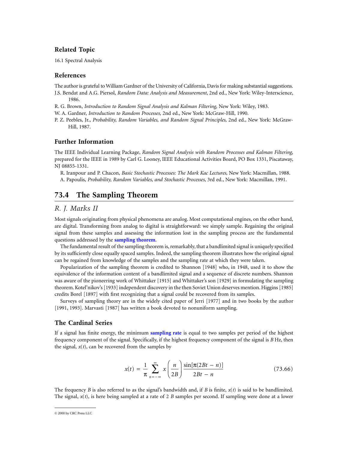# <span id="page-32-0"></span>**Related Topic**

16.1 Spectral Analysis

#### **References**

The author is grateful to William Gardner of the University of California, Davis for making substantial suggestions.

- J.S. Bendat and A.G. Piersol, *Random Data: Analysis and Measurement,* 2nd ed., New York: Wiley-Interscience, 1986.
- R. G. Brown, *Introduction to Random Signal Analysis and Kalman Filtering,* New York: Wiley, 1983.
- W. A. Gardner, *Introduction to Random Processes,* 2nd ed., New York: McGraw-Hill, 1990.
- P. Z. Peebles, Jr., *Probability, Random Variables, and Random Signal Principles,* 2nd ed., New York: McGraw-Hill, 1987.

#### **Further Information**

The IEEE Individual Learning Package, *Random Signal Analysis with Random Processes and Kalman Filtering*, prepared for the IEEE in 1989 by Carl G. Looney, IEEE Educational Activities Board, PO Box 1331, Piscataway, NJ 08855-1331.

R. Iranpour and P. Chacon, *Basic Stochastic Processes: The Mark Kac Lectures,* New York: Macmillan, 1988. A. Papoulis, *Probability, Random Variables, and Stochastic Processes,* 3rd ed., New York: Macmillan, 1991.

# **73.4 The Sampling Theorem**

# *R. J. Marks II*

Most signals originating from physical phenomena are analog. Most computational engines, on the other hand, are digital. Transforming from analog to digital is straightforward: we simply sample. Regaining the original signal from these samples and assessing the information lost in the sampling process are the fundamental questions addressed by the **[sampling theorem](#page-38-0)**.

The fundamental result of the sampling theorem is,remarkably, that a bandlimited signal is uniquely specified by its sufficiently close equally spaced samples. Indeed, the sampling theorem illustrates how the original signal can be regained from knowledge of the samples and the sampling rate at which they were taken.

Popularization of the sampling theorem is credited to Shannon [1948] who, in 1948, used it to show the equivalence of the information content of a bandlimited signal and a sequence of discrete numbers. Shannon was aware of the pioneering work of Whittaker [1915] and Whittaker's son [1929] in formulating the sampling theorem.Kotel'nikov's [1933] independent discovery in the then Soviet Union deserves mention. Higgins [1985] credits Borel [1897] with first recognizing that a signal could be recovered from its samples.

Surveys of sampling theory are in the widely cited paper of Jerri [1977] and in two books by the author [1991, 1993]. Marvasti [1987] has written a book devoted to nonuniform sampling.

## **The Cardinal Series**

If a signal has finite energy, the minimum **[sampling rate](#page-38-0)** is equal to two samples per period of the highest frequency component of the signal. Specifically, if the highest frequency component of the signal is *B* Hz, then the signal,  $x(t)$ , can be recovered from the samples by

$$
x(t) = \frac{1}{\pi} \sum_{n=-\infty}^{\infty} x\left(\frac{n}{2B}\right) \frac{\sin[\pi(2Bt - n)]}{2Bt - n}
$$
 (73.66)

The frequency *B* is also referred to as the signal's bandwidth and, if *B* is finite, *x*(*t*) is said to be bandlimited. The signal, *x*(*t*), is here being sampled at a rate of 2 *B* samples per second. If sampling were done at a lower

<sup>© 2000</sup> by CRC Press LLC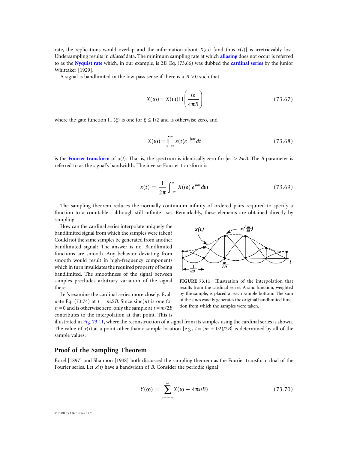rate, the replications would overlap and the information about  $X(\omega)$  [and thus  $x(t)$ ] is irretrievably lost. Undersampling results in *aliased* data. The minimum sampling rate at which **[aliasing](#page-38-0)** does not occur is referred to as the **[Nyquist rate](#page-38-0)** which, in our example, is 2*B*. Eq. (73.66) was dubbed the **[cardinal series](#page-38-0)** by the junior Whittaker [1929].

A signal is bandlimited in the low-pass sense if there is a *B >* 0 such that

$$
X(\omega) = X(\omega) \prod \left(\frac{\omega}{4\pi B}\right) \tag{73.67}
$$

<span id="page-33-0"></span>where the gate function  $\Pi$  ( $\xi$ ) is one for  $\xi \leq 1/2$  and is otherwise zero, and

$$
X(\omega) = \int_{-\infty}^{\infty} x(t)e^{-j\omega t}dt
$$
 (73.68)

is the **[Fourier transform](#page-38-0)** of  $x(t)$ . That is, the spectrum is identically zero for  $|\omega| > 2\pi B$ . The *B* parameter is referred to as the signal's bandwidth. The inverse Fourier transform is

$$
x(t) = \frac{1}{2\pi} \int_{-\infty}^{\infty} X(\omega) e^{j\omega t} d\omega
$$
 (73.69)

The sampling theorem reduces the normally continuum infinity of ordered pairs required to specify a function to a countable—although still infinite—set. Remarkably, these elements are obtained directly by sampling.

How can the cardinal series interpolate uniquely the bandlimited signal from which the samples were taken? Could not the same samples be generated from another bandlimited signal? The answer is no. Bandlimited functions are smooth. Any behavior deviating from smooth would result in high-frequency components which in turn invalidates the required property of being bandlimited. The smoothness of the signal between samples precludes arbitrary variation of the signal there.

Let's examine the cardinal series more closely. Evaluate Eq. (73.74) at  $t = m/2B$ . Since sinc(*n*) is one for  $n = 0$  and is otherwise zero, only the sample at  $t = m/2B$ contributes to the interpolation at that point. This is



**FIGURE 73.11** Illustration of the interpolation that results from the cardinal series. A sinc function, weighted by the sample, is placed at each sample bottom. The sum of the sincs exactly generates the original bandlimited function from which the samples were taken.

illustrated in [Fig. 73.11,](#page-33-0) where the reconstruction of a signal from its samples using the cardinal series is shown. The value of  $x(t)$  at a point other than a sample location [e.g.,  $t = (m + 1/2)/2B$ ] is determined by all of the sample values.

#### **Proof of the Sampling Theorem**

Borel [1897] and Shannon [1948] both discussed the sampling theorem as the Fourier transform dual of the Fourier series. Let *x*(*t*) have a bandwidth of *B*. Consider the periodic signal

$$
Y(\omega) = \sum_{n = -\infty}^{\infty} X(\omega - 4\pi n)
$$
 (73.70)

© 2000 by CRC Press LLC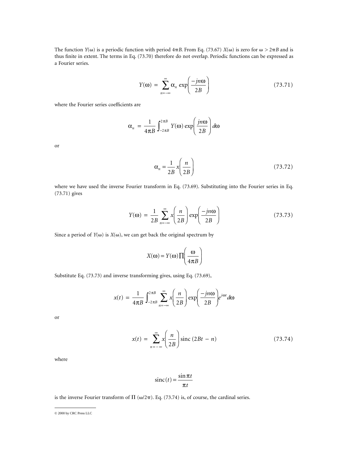The function *Y*( $\omega$ ) is a periodic function with period  $4\pi B$ . From Eq. (73.67) *X*( $\omega$ ) is zero for  $\omega > 2\pi B$  and is thus finite in extent. The terms in Eq. (73.70) therefore do not overlap. Periodic functions can be expressed as a Fourier series.

$$
Y(\omega) = \sum_{n=-\infty}^{\infty} \alpha_n \exp\left(\frac{-jn\omega}{2B}\right) \tag{73.71}
$$

where the Fourier series coefficients are

$$
\alpha_n = \frac{1}{4\pi B} \int_{-2\pi B}^{2\pi B} Y(\omega) \exp\left(\frac{jn\omega}{2B}\right) d\omega
$$

or

$$
\alpha_n = \frac{1}{2B} x \left( \frac{n}{2B} \right) \tag{73.72}
$$

where we have used the inverse Fourier transform in Eq. (73.69). Substituting into the Fourier series in Eq. (73.71) gives

$$
Y(\omega) = \frac{1}{2B} \sum_{n=-\infty}^{\infty} x \left( \frac{n}{2B} \right) \exp\left( \frac{-jn\omega}{2B} \right) \tag{73.73}
$$

Since a period of  $Y(\omega)$  is  $X(\omega)$ , we can get back the original spectrum by

$$
X(\omega) = Y(\omega) \prod \left(\frac{\omega}{4\pi B}\right)
$$

Substitute Eq. (73.73) and inverse transforming gives, using Eq. (73.69),

$$
x(t) = \frac{1}{4\pi B} \int_{-2\pi B}^{2\pi B} \sum_{n=-\infty}^{\infty} x\left(\frac{n}{2B}\right) \exp\left(\frac{-jn\omega}{2B}\right) e^{j\omega t} d\omega
$$

or

$$
x(t) = \sum_{n = -\infty}^{\infty} x \left( \frac{n}{2B} \right) \operatorname{sinc} (2Bt - n) \tag{73.74}
$$

where

$$
\operatorname{sinc}(t) = \frac{\sin \pi t}{\pi t}
$$

is the inverse Fourier transform of  $\Pi$  ( $\omega/2\pi$ ). Eq. (73.74) is, of course, the cardinal series.

<sup>© 2000</sup> by CRC Press LLC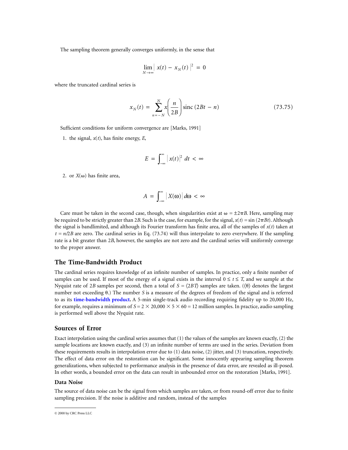The sampling theorem generally converges uniformly, in the sense that

$$
\lim_{N \to \infty} | x(t) - x_N(t) |^2 = 0
$$

where the truncated cardinal series is

$$
x_N(t) = \sum_{n=-N}^{N} x \left( \frac{n}{2B} \right) \operatorname{sinc} (2Bt - n) \tag{73.75}
$$

Sufficient conditions for uniform convergence are [Marks, 1991]

1. the signal,  $x(t)$ , has finite energy,  $E$ ,

$$
E = \int_{-\infty}^{\infty} |x(t)|^2 dt < \infty
$$

2. or  $X(\omega)$  has finite area,

$$
A = \int_{-\infty}^{\infty} |X(\omega)| d\omega < \infty
$$

Care must be taken in the second case, though, when singularities exist at  $\omega = \pm 2\pi B$ . Here, sampling may be required to be strictly greater than 2*B*. Such is the case, for example, for the signal,  $x(t) = \sin(2\pi Bt)$ . Although the signal is bandlimited, and although its Fourier transform has finite area, all of the samples of *x*(*t*) taken at  $t = n/2B$  are zero. The cardinal series in Eq. (73.74) will thus interpolate to zero everywhere. If the sampling rate is a bit greater than 2*B*, however, the samples are not zero and the cardinal series will uniformly converge to the proper answer.

## **The Time-Bandwidth Product**

The cardinal series requires knowledge of an infinite number of samples. In practice, only a finite number of samples can be used. If most of the energy of a signal exists in the interval  $0 \le t \le T$ , and we sample at the Nyquist rate of 2*B* samples per second, then a total of  $S = \langle 2B\hat{T} \rangle$  samples are taken. ( $\langle \theta \rangle$ ) denotes the largest number not exceeding  $\theta$ .) The number *S* is a measure of the degrees of freedom of the signal and is referred to as its **[time-bandwidth product.](#page-38-0)** A 5-min single-track audio recording requiring fidelity up to 20,000 Hz, for example, requires a minimum of  $S = 2 \times 20,000 \times 5 \times 60 = 12$  million samples. In practice, audio sampling is performed well above the Nyquist rate.

#### **Sources of Error**

Exact interpolation using the cardinal series assumes that (1) the values of the samples are known exactly, (2) the sample locations are known exactly, and (3) an infinite number of terms are used in the series. Deviation from these requirements results in interpolation error due to (1) data noise, (2) jitter, and (3) truncation, respectively. The effect of data error on the restoration can be significant. Some innocently appearing sampling theorem generalizations, when subjected to performance analysis in the presence of data error, are revealed as ill-posed. In other words, a bounded error on the data can result in unbounded error on the restoration [Marks, 1991].

#### **Data Noise**

The source of data noise can be the signal from which samples are taken, or from round-off error due to finite sampling precision. If the noise is additive and random, instead of the samples

<sup>© 2000</sup> by CRC Press LLC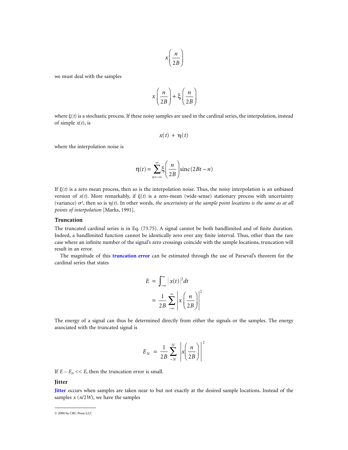$$
x\left(\frac{n}{2B}\right)
$$

we must deal with the samples

$$
x\left(\frac{n}{2B}\right) + \xi\left(\frac{n}{2B}\right)
$$

where  $\xi(t)$  is a stochastic process. If these noisy samples are used in the cardinal series, the interpolation, instead of simple *x*(*t*), is

$$
x(t) + \eta(t)
$$

where the interpolation noise is

$$
\eta(t) = \sum_{n=-\infty}^{\infty} \xi \left( \frac{n}{2B} \right) \operatorname{sinc} (2Bt - n)
$$

If  $\xi(t)$  is a zero mean process, then so is the interpolation noise. Thus, the noisy interpolation is an unbiased version of  $x(t)$ . More remarkably, if  $\xi(t)$  is a zero-mean (wide-sense) stationary process with uncertainty (variance)  $\sigma^2$ , then so is  $\eta(t)$ . In other words, *the uncertainty at the sample point locations is the same as at all points of interpolation* [Marks, 1991].

#### **Truncation**

The truncated cardinal series is in Eq. (73.75). A signal cannot be both bandlimited and of finite duration. Indeed, a bandlimited function cannot be identically zero over any finite interval. Thus, other than the rare case where an infinite number of the signal's zero crossings coincide with the sample locations, truncation will result in an error.

The magnitude of this **[truncation error](#page-38-0)** can be estimated through the use of Parseval's theorem for the cardinal series that states

$$
E = \int_{-\infty}^{\infty} |x(t)|^2 dt
$$
  
= 
$$
\frac{1}{2B} \sum_{-\infty}^{\infty} \left| x \left( \frac{n}{2B} \right) \right|^2
$$

The energy of a signal can thus be determined directly from either the signals or the samples. The energy associated with the truncated signal is

$$
E_N = \frac{1}{2B} \sum_{-N}^{N} \left| x \left( \frac{n}{2B} \right) \right|^2
$$

If  $E - E_N \ll E$ , then the truncation error is small.

#### **Jitter**

**[Jitter](#page-38-0)** occurs when samples are taken near to but not exactly at the desired sample locations. Instead of the samples *x* (*n*/2*W*), we have the samples

<sup>© 2000</sup> by CRC Press LLC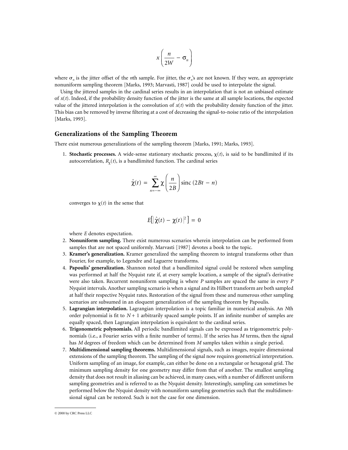$$
x\left(\frac{n}{2W}-\sigma_n\right)
$$

where  $\sigma_n$  is the jitter offset of the *n*th sample. For jitter, the  $\sigma_n$ 's are not known. If they were, an appropriate nonuniform sampling theorem [Marks, 1993; Marvasti, 1987] could be used to interpolate the signal.

Using the jittered samples in the cardinal series results in an interpolation that is not an unbiased estimate of  $x(t)$ . Indeed, if the probability density function of the jitter is the same at all sample locations, the expected value of the jittered interpolation is the convolution of  $x(t)$  with the probability density function of the jitter. This bias can be removed by inverse filtering at a cost of decreasing the signal-to-noise ratio of the interpolation [Marks, 1993].

# **Generalizations of the Sampling Theorem**

There exist numerous generalizations of the sampling theorem [Marks, 1991; Marks, 1993].

1. **Stochastic processes.** A wide-sense stationary stochastic process,  $\chi(t)$ , is said to be bandlimited if its autocorrelation,  $R_{\gamma}(t)$ , is a bandlimited function. The cardinal series

$$
\hat{\chi}(t) = \sum_{n=-\infty}^{\infty} \chi\left(\frac{n}{2B}\right) \operatorname{sinc}(2Bt - n)
$$

converges to  $\chi(t)$  in the sense that

$$
E\big[\big|\hat{\chi}(t)-\chi(t)\big|^2\big]=0
$$

where *E* denotes expectation.

- 2. **Nonuniform sampling.** There exist numerous scenarios wherein interpolation can be performed from samples that are not spaced uniformly. Marvasti [1987] devotes a book to the topic.
- 3. **Kramer's generalization.** Kramer generalized the sampling theorem to integral transforms other than Fourier, for example, to Legendre and Laguerre transforms.
- 4. **Papoulis' generalization.** Shannon noted that a bandlimited signal could be restored when sampling was performed at half the Nyquist rate if, at every sample location, a sample of the signal's derivative were also taken. Recurrent nonuniform sampling is where *P* samples are spaced the same in every *P* Nyquist intervals. Another sampling scenario is when a signal and its Hilbert transform are both sampled at half their respective Nyquist rates. Restoration of the signal from these and numerous other sampling scenarios are subsumed in an eloquent generalization of the sampling theorem by Papoulis.
- 5. **Lagrangian interpolation.** Lagrangian interpolation is a topic familiar in numerical analysis. An *N*th order polynomial is fit to  $N+1$  arbitrarily spaced sample points. If an infinite number of samples are equally spaced, then Lagrangian interpolation is equivalent to the cardinal series.
- 6. **Trigonometric polynomials.** All periodic bandlimited signals can be expressed as trigonometric polynomials (i.e., a Fourier series with a finite number of terms). If the series has *M* terms, then the signal has *M* degrees of freedom which can be determined from *M* samples taken within a single period.
- 7. **Multidimensional sampling theorems.** Multidimensional signals, such as images, require dimensional extensions of the sampling theorem. The sampling of the signal now requires geometrical interpretation. Uniform sampling of an image, for example, can either be done on a rectangular or hexagonal grid. The minimum sampling density for one geometry may differ from that of another. The smallest sampling density that does not result in aliasing can be achieved, in many cases, with a number of different uniform sampling geometries and is referred to as the Nyquist density. Interestingly, sampling can sometimes be performed below the Nyquist density with nonuniform sampling geometries such that the multidimensional signal can be restored. Such is not the case for one dimension.

<sup>© 2000</sup> by CRC Press LLC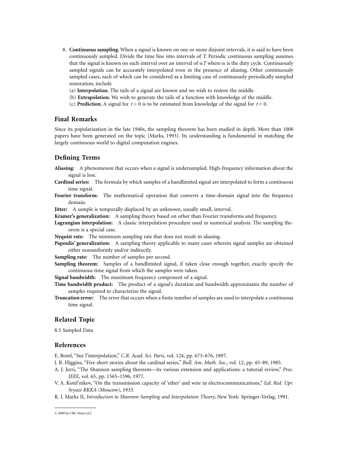- <span id="page-38-0"></span>8. **Continuous sampling.** When a signal is known on one or more disjoint intervals, it is said to have been continuously sampled. Divide the time line into intervals of *T*. Periodic continuous sampling assumes that the signal is known on each interval over an interval of  $\alpha T$  where  $\alpha$  is the duty cycle. Continuously sampled signals can be accurately interpolated even in the presence of aliasing. Other continuously sampled cases, each of which can be considered as a limiting case of continuously periodically sampled restoration, include
	- (a) **Interpolation.** The tails of a signal are known and we wish to restore the middle.
	- (b) **Extrapolation.** We wish to generate the tails of a function with knowledge of the middle.
	- (c) **Prediction.** A signal for  $t > 0$  is to be estimated from knowledge of the signal for  $t < 0$ .

## **Final Remarks**

Since its popularization in the late 1940s, the sampling theorem has been studied in depth. More than 1000 papers have been generated on the topic [Marks, 1993]. Its understanding is fundamental in matching the largely continuous world to digital computation engines.

# **Defining Terms**

- **Aliasing:** A phenomenon that occurs when a signal is undersampled. High-frequency information about the signal is lost.
- **Cardinal series:** The formula by which samples of a bandlimited signal are interpolated to form a continuous time signal.
- Fourier transform: The mathematical operation that converts a time-domain signal into the frequency domain.

**Jitter:** A sample is temporally displaced by an unknown, usually small, interval.

- **Kramer's generalization:** A sampling theory based on other than Fourier transforms and frequency.
- **Lagrangian interpolation:** A classic interpolation procedure used in numerical analysis. The sampling theorem is a special case.

**Nyquist rate:** The minimum sampling rate that does not result in aliasing.

- **Papoulis' generalization:** A sampling theory applicable to many cases wherein signal samples are obtained either nonuniformly and/or indirectly.
- **Sampling rate:** The number of samples per second.
- **Sampling theorem:** Samples of a bandlimited signal, if taken close enough together, exactly specify the continuous time signal from which the samples were taken.
- **Signal bandwidth:** The maximum frequency component of a signal.
- **Time bandwidth product:** The product of a signal's duration and bandwidth approximates the number of samples required to characterize the signal.
- **Truncation error:** The error that occurs when a finite number of samples are used to interpolate a continuous time signal.

## **Related Topic**

8.5 Sampled Data

#### **References**

E. Borel, "Sur l'interpolation," *C.R. Acad. Sci. Paris,* vol. 124, pp. 673–676, 1897.

- J. R. Higgins, "Five short stories about the cardinal series," *Bull. Am. Math. Soc.,* vol. 12, pp. 45–89, 1985.
- A. J. Jerri, "The Shannon sampling theorem—its various extension and applications: a tutorial review," *Proc. IEEE,* vol. 65, pp. 1565–1596, 1977.
- V. A. Kotel'nikov, "On the transmission capacity of 'ether' and wire in electrocommunications," *Izd. Red. Upr. Svyazi RKKA* (Moscow), 1933.
- R. J. Marks II, *Introduction to Shannon Sampling and Interpolation Theory,* New York: Springer-Verlag, 1991.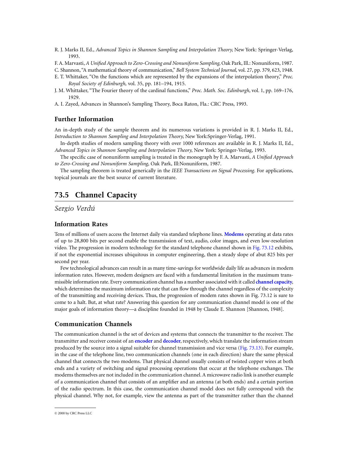- <span id="page-39-0"></span>R. J. Marks II, Ed., *Advanced Topics in Shannon Sampling and Interpolation Theory,* New York: Springer-Verlag, 1993.
- F. A. Marvasti,*A Unified Approach to Zero-Crossing and Nonuniform Sampling,* Oak Park, Ill.: Nonuniform, 1987.
- C. Shannon, "A mathematical theory of communication," *Bell System Technical Journal,* vol. 27, pp. 379, 623, 1948.
- E. T. Whittaker, "On the functions which are represented by the expansions of the interpolation theory," *Proc. Royal Society of Edinburgh,* vol. 35, pp. 181–194, 1915.
- J. M. Whittaker, "The Fourier theory of the cardinal functions," *Proc. Math. Soc. Edinburgh,* vol. 1, pp. 169–176, 1929.
- A. I. Zayed, Advances in Shannon's Sampling Theory, Boca Raton, Fla.: CRC Press, 1993.

## **Further Information**

An in-depth study of the sample theorem and its numerous variations is provided in R. J. Marks II, Ed., *Introduction to Shannon Sampling and Interpolation Theory*, New York:Springer-Verlag, 1991.

In-depth studies of modern sampling theory with over 1000 references are available in R. J. Marks II, Ed., *Advanced Topics in Shannon Sampling and Interpolation Theory*, New York: Springer-Verlag, 1993.

The specific case of nonuniform sampling is treated in the monograph by F. A. Marvasti, *A Unified Approach to Zero-Crossing and Nonuniform Sampling*, Oak Park, Ill:Nonuniform, 1987.

The sampling theorem is treated generically in the *IEEE Transactions on Signal Processing*. For applications, topical journals are the best source of current literature.

# **73.5 Channel Capacity**

*Sergio Verdú*

## **Information Rates**

Tens of millions of users access the Internet daily via standard telephone lines. **[Modems](#page-46-0)** operating at data rates of up to 28,800 bits per second enable the transmission of text, audio, color images, and even low-resolution video. The progression in modern technology for the standard telephone channel shown in [Fig. 73.12 e](#page-40-0)xhibits, if not the exponential increases ubiquitous in computer engineering, then a steady slope of abut 825 bits per second per year.

Few technological advances can result in as many time-savings for worldwide daily life as advances in modem information rates. However, modem designers are faced with a fundamental limitation in the maximum transmissible information rate. Every communication channel has a number associated with it called **[channel capacity](#page-46-0)**, which determines the maximum information rate that can flow through the channel regardless of the complexity of the transmitting and receiving devices. Thus, the progression of modem rates shown in Fig. 73.12 is sure to come to a halt. But, at what rate? Answering this question for any communication channel model is one of the major goals of information theory—a discipline founded in 1948 by Claude E. Shannon [Shannon, 1948].

## **Communication Channels**

The communication channel is the set of devices and systems that connects the transmitter to the receiver. The transmitter and receiver consist of an **[encoder](#page-46-0)** and **[decoder](#page-46-0)**,respectively, which translate the information stream produced by the source into a signal suitable for channel transmission and vice versa [\(Fig. 73.13\)](#page-40-0). For example, in the case of the telephone line, two communication channels (one in each direction) share the same physical channel that connects the two modems. That physical channel usually consists of twisted copper wires at both ends and a variety of switching and signal processing operations that occur at the telephone exchanges. The modems themselves are not included in the communication channel.A microwave radio link is another example of a communication channel that consists of an amplifier and an antenna (at both ends) and a certain portion of the radio spectrum. In this case, the communication channel model does not fully correspond with the physical channel. Why not, for example, view the antenna as part of the transmitter rather than the channel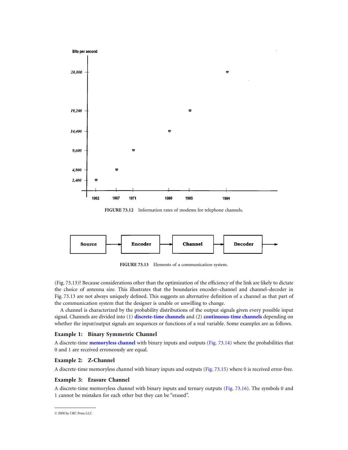<span id="page-40-0"></span>

**FIGURE 73.12** Information rates of modems for telephone channels.



**FIGURE 73.13** Elements of a communication system.

(Fig. 73.13)? Because considerations other than the optimization of the efficiency of the link are likely to dictate the choice of antenna size. This illustrates that the boundaries encoder–channel and channel–decoder in Fig. 73.13 are not always uniquely defined. This suggests an alternative definition of a channel as that part of the communication system that the designer is unable or unwilling to change.

A channel is characterized by the probability distributions of the output signals given every possible input signal. Channels are divided into (1) **[discrete-time channels](#page-46-0)** and (2) **[continuous-time channels](#page-46-0)** depending on whether the input/output signals are sequences or functions of a real variable. Some examples are as follows.

#### **Example 1: Binary Symmetric Channel**

A discrete-time **[memoryless channel](#page-46-0)** with binary inputs and outputs [\(Fig. 73.14\)](#page-41-0) where the probabilities that 0 and 1 are received erroneously are equal.

#### **Example 2: Z-Channel**

A discrete-time memoryless channel with binary inputs and outputs ([Fig. 73.15\)](#page-41-0) where 0 is received error-free.

#### **Example 3: Erasure Channel**

A discrete-time memoryless channel with binary inputs and ternary outputs [\(Fig. 73.16\).](#page-41-0) The symbols 0 and 1 cannot be mistaken for each other but they can be "erased".

<sup>© 2000</sup> by CRC Press LLC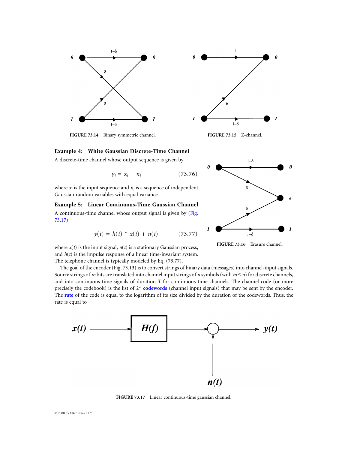<span id="page-41-0"></span>

**FIGURE 73.14** Binary symmetric channel. **FIGURE 73.15** Z-channel.



## <span id="page-41-1"></span>**Example 4: White Gaussian Discrete-Time Channel**

A discrete-time channel whose output sequence is given by

$$
y_i = x_i + n_i \tag{73.76}
$$

where  $x_i$  is the input sequence and  $n_i$  is a sequence of independent Gaussian random variables with equal variance.

#### **Example 5: Linear Continuous-Time Gaussian Channel**

A continuous-time channel whose output signal is given by [\(Fig.](#page-41-1) [73.17\)](#page-41-1)

$$
y(t) = h(t) * x(t) + n(t)
$$
 (73.77)



 $1-\delta$ 

ß

**FIGURE 73.16** Erasure channel.

where  $x(t)$  is the input signal,  $n(t)$  is a stationary Gaussian process, and *h*(*t*) is the impulse response of a linear time-invariant system. The telephone channel is typically modeled by Eq. (73.77).

The goal of the encoder (Fig. 73.13) is to convert strings of binary data (messages) into channel-input signals. Source strings of *m* bits are translated into channel input strings of *n* symbols (with  $m \le n$ ) for discrete channels, and into continuous-time signals of duration *T* for continuous-time channels. The channel code (or more precisely the codebook) is the list of 2*<sup>m</sup>* **[codewords](#page-46-0)** (channel input signals) that may be sent by the encoder. The **[rate](#page-46-0)** of the code is equal to the logarithm of its size divided by the duration of the codewords. Thus, the rate is equal to





<sup>© 2000</sup> by CRC Press LLC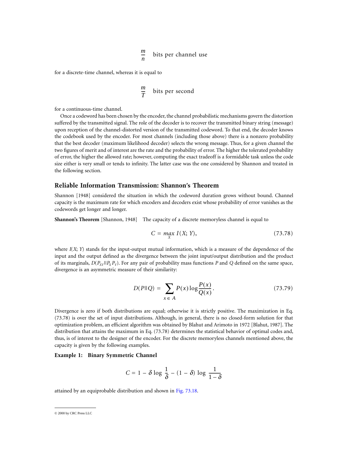$$
\frac{m}{n}
$$
 bits per channel use

for a discrete-time channel, whereas it is equal to

$$
\frac{m}{T}
$$
 bits per second

for a continuous-time channel.

Once a codeword has been chosen by the encoder, the channel probabilistic mechanisms govern the distortion suffered by the transmitted signal. The role of the decoder is to recover the transmitted binary string (message) upon reception of the channel-distorted version of the transmitted codeword. To that end, the decoder knows the codebook used by the encoder. For most channels (including those above) there is a nonzero probability that the best decoder (maximum likelihood decoder) selects the wrong message. Thus, for a given channel the two figures of merit and of interest are the rate and the probability of error. The higher the tolerated probability of error, the higher the allowed rate; however, computing the exact tradeoff is a formidable task unless the code size either is very small or tends to infinity. The latter case was the one considered by Shannon and treated in the following section.

# **Reliable Information Transmission: Shannon's Theorem**

Shannon [1948] considered the situation in which the codeword duration grows without bound. Channel capacity is the maximum rate for which encoders and decoders exist whose probability of error vanishes as the codewords get longer and longer.

**Shannon's Theorem** [Shannon, 1948] The capacity of a discrete memoryless channel is equal to

$$
C = \max_{X} I(X; Y), \tag{73.78}
$$

where  $I(X; Y)$  stands for the input-output mutual information, which is a measure of the dependence of the input and the output defined as the divergence between the joint input/output distribution and the product of its marginals,  $D(P_{XY}||P_XP_Y)$ . For any pair of probability mass functions *P* and *Q* defined on the same space, divergence is an asymmetric measure of their similarity:

$$
D(P||Q) = \sum_{x \in A} P(x) \log \frac{P(x)}{Q(x)}.
$$
 (73.79)

Divergence is zero if both distributions are equal; otherwise it is strictly positive. The maximization in Eq. (73.78) is over the set of input distributions. Although, in general, there is no closed-form solution for that optimization problem, an efficient algorithm was obtained by Blahut and Arimoto in 1972 [Blahut, 1987]. The distribution that attains the maximum in Eq. (73.78) determines the statistical behavior of optimal codes and, thus, is of interest to the designer of the encoder. For the discrete memoryless channels mentioned above, the capacity is given by the following examples.

#### **Example 1: Binary Symmetric Channel**

$$
C = 1 - \delta \log \frac{1}{\delta} - (1 - \delta) \log \frac{1}{1 - \delta}
$$

attained by an equiprobable distribution and shown in [Fig. 73.18.](#page-43-0)

<sup>© 2000</sup> by CRC Press LLC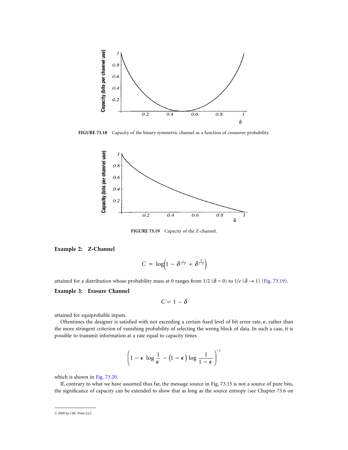<span id="page-43-0"></span>

<span id="page-43-1"></span>**FIGURE 73.18** Capacity of the binary symmetric channel as a function of crossover probability.



**FIGURE 73.19** Capacity of the Z-channel.

## **Example 2: Z-Channel**

$$
C = \log \left(1 - \delta^{\frac{1}{1-\delta}} + \delta^{\frac{\delta}{1-\delta}}\right)
$$

attained for a distribution whose probability mass at 0 ranges from  $1/2$  ( $\delta = 0$ ) to  $1/e$  ( $\delta \rightarrow 1$ ) ([Fig. 73.19\).](#page-43-1)

#### **Example 3: Erasure Channel**

$$
C=1-\delta
$$

attained for equiprobable inputs.

Oftentimes the designer is satisfied with not exceeding a certain fixed level of bit error rate,  $\epsilon$ , rather than the more stringent criterion of vanishing probability of selecting the wrong block of data. In such a case, it is possible to transmit information at a rate equal to capacity times

$$
\left(1 - \epsilon \log \frac{1}{\epsilon} - \left(1 - \epsilon\right) \log \frac{1}{1 - \epsilon}\right)^{-1}
$$

which is shown in [Fig. 73.20.](#page-44-0)

If, contrary to what we have assumed thus far, the message source in Fig. 73.13 is not a source of pure bits, the significance of capacity can be extended to show that as long as the source entropy (see Chapter 73.6 on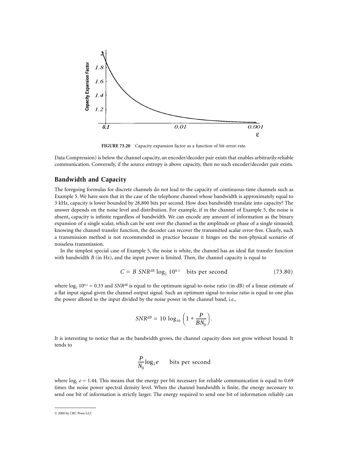<span id="page-44-0"></span>

**FIGURE 73.20** Capacity expansion factor as a function of bit-error-rate.

Data Compression) is below the channel capacity, an encoder/decoder pair exists that enables arbitrarily reliable communication. Conversely, if the source entropy is above capacity, then no such encoder/decoder pair exists.

## **Bandwidth and Capacity**

The foregoing formulas for discrete channels do not lead to the capacity of continuous-time channels such as Example 5. We have seen that in the case of the telephone channel whose bandwidth is approximately equal to 3 kHz, capacity is lower bounded by 28,800 bits per second. How does bandwidth translate into capacity? The answer depends on the noise level and distribution. For example, if in the channel of Example 5, the noise is absent, capacity is infinite regardless of bandwidth. We can encode any amount of information as the binary expansion of a single scalar, which can be sent over the channel as the amplitude or phase of a single sinusoid; knowing the channel transfer function, the decoder can recover the transmitted scalar error-free. Clearly, such a transmission method is not recommended in practice because it hinges on the non-physical scenario of noiseless transmission.

In the simplest special case of Example 5, the noise is white, the channel has an ideal flat transfer function with bandwidth *B* (in Hz), and the input power is limited. Then, the channel capacity is equal to

$$
C = B \, SNR^{dB} \log_2 10^{0.1} \quad \text{bits per second} \tag{73.80}
$$

where  $\log_2 10^{0.1} = 0.33$  and *SNR<sup>dB</sup>* is equal to the optimum signal-to-noise ratio (in dB) of a linear estimate of a flat input signal given the channel output signal. Such an optimum signal-to-noise ratio is equal to one plus the power alloted to the input divided by the noise power in the channel band, i.e.,

$$
SNR^{dB} = 10 \log_{10} \left( 1 + \frac{P}{BN_0} \right).
$$

It is interesting to notice that as the bandwidth grows, the channel capacity does not grow without bound. It tends to

$$
\frac{P}{N_0} \log_2 e
$$
 bits per second

where  $log_2 e = 1.44$ . This means that the energy per bit necessary for reliable communication is equal to 0.69 times the noise power spectral density level. When the channel bandwidth is finite, the energy necessary to send one bit of information is strictly larger. The energy required to send one bit of information reliably can

<sup>© 2000</sup> by CRC Press LLC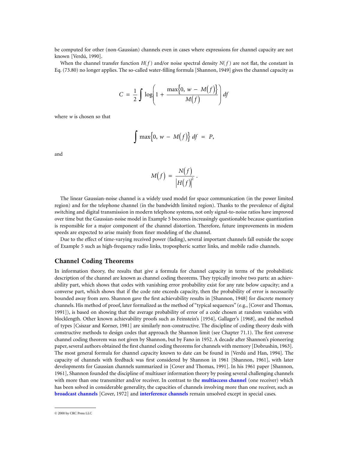be computed for other (non-Gaussian) channels even in cases where expressions for channel capacity are not known [Verdú, 1990].

When the channel transfer function  $H(f)$  and/or noise spectral density  $N(f)$  are not flat, the constant in Eq. (73.80) no longer applies. The so-called water-filling formula [Shannon, 1949] gives the channel capacity as

$$
C = \frac{1}{2} \int \log \left( 1 + \frac{\max\{0, w - M(f)\}}{M(f)} \right) df
$$

where *w* is chosen so that

$$
\int \max\Bigl\{0, w - M\bigl(f\bigr)\Bigr\} df = P,
$$

and

$$
M(f) = \frac{N(f)}{|H(f)|^2}.
$$

The linear Gaussian-noise channel is a widely used model for space communication (in the power limited region) and for the telephone channel (in the bandwidth limited region). Thanks to the prevalence of digital switching and digital transmission in modern telephone systems, not only signal-to-noise ratios have improved over time but the Gaussian-noise model in Example 5 becomes increasingly questionable because quantization is responsible for a major component of the channel distortion. Therefore, future improvements in modem speeds are expected to arise mainly from finer modeling of the channel.

Due to the effect of time-varying received power (fading), several important channels fall outside the scope of Example 5 such as high-frequency radio links, tropospheric scatter links, and mobile radio channels.

#### **Channel Coding Theorems**

In information theory, the results that give a formula for channel capacity in terms of the probabilistic description of the channel are known as channel coding theorems. They typically involve two parts: an achievability part, which shows that codes with vanishing error probability exist for any rate below capacity; and a converse part, which shows that if the code rate exceeds capacity, then the probability of error is necessarily bounded away from zero. Shannon gave the first achievability results in [Shannon, 1948] for discrete memory channels. His method of proof, later formalized as the method of "typical sequences" (e.g., [Cover and Thomas, 1991]), is based on showing that the average probability of error of a code chosen at random vanishes with blocklength. Other known achievability proofs such as Feinstein's [1954], Gallager's [1968], and the method of types [Csiszar and Korner, 1981] are similarly non-constructive. The discipline of coding theory deals with constructive methods to design codes that approach the Shannon limit (see Chapter 71.1). The first converse channel coding theorem was not given by Shannon, but by Fano in 1952. A decade after Shannon's pioneering paper, several authors obtained the first channel coding theorems for channels with memory [Dobrushin, 1963]. The most general formula for channel capacity known to date can be found in [Verdú and Han, 1994]. The capacity of channels with feedback was first considered by Shannon in 1961 [Shannon, 1961], with later developments for Gaussian channels summarized in [Cover and Thomas, 1991]. In his 1961 paper [Shannon, 1961], Shannon founded the discipline of multiuser information theory by posing several challenging channels with more than one transmitter and/or receiver. In contrast to the **[multiaccess channel](#page-46-0)** (one receiver) which has been solved in considerable generality, the capacities of channels involving more than one receiver, such as **[broadcast channels](#page-46-0)** [Cover, 1972] and **[interference channels](#page-46-0)** remain unsolved except in special cases.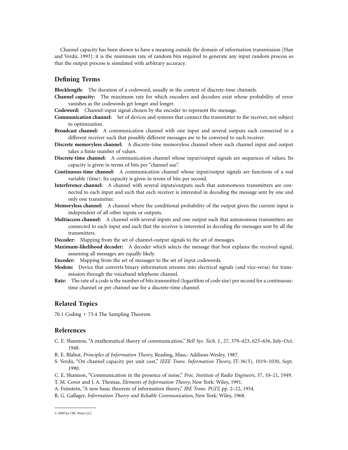<span id="page-46-0"></span>Channel capacity has been shown to have a meaning outside the domain of information transmission [Han and Verdú, 1993]: it is the minimum rate of random bits required to generate any input random process so that the output process is simulated with arbitrary accuracy.

## **Defining Terms**

**Blocklength:** The duration of a codeword, usually in the context of discrete-time channels.

- **Channel capacity:** The maximum rate for which encoders and decoders exist whose probability of error vanishes as the codewords get longer and longer.
- **Codeword:** Channel-input signal chosen by the encoder to represent the message.
- **Communication channel:** Set of devices and systems that connect the transmitter to the receiver, not subject to optimization.
- **Broadcast channel:** A communication channel with one input and several outputs each connected to a different receiver such that possibly different messages are to be conveyed to each receiver.
- **Discrete memoryless channel:** A discrete-time memoryless channel where each channel input and output takes a finite number of values.
- **Discrete-time channel:** A communication channel whose input/output signals are sequences of values. Its capacity is given in terms of bits per "channel use".
- **Continuous-time channel:** A communication channel whose input/output signals are functions of a real variable (time). Its capacity is given in terms of bits per second.
- **Interference channel:** A channel with several inputs/outputs such that autonomous transmitters are connected to each input and such that each receiver is interested in decoding the message sent by one and only one transmitter.
- **Memoryless channel:** A channel where the conditional probability of the output given the current input is independent of all other inputs or outputs.
- **Multiaccess channel:** A channel with several inputs and one output such that autonomous transmitters are connected to each input and such that the receiver is interested in decoding the messages sent by all the transmitters.
- **Decoder:** Mapping from the set of channel-output signals to the set of messages.
- **Maximum-likelihood decoder:** A decoder which selects the message that best explains the received signal, assuming all messages are equally likely.
- **Encoder:** Mapping from the set of messages to the set of input codewords.
- **Modem:** Device that converts binary information streams into electrical signals (and vice-versa) for transmission through the voiceband telephone channel.
- **Rate:** The rate of a code is the number of bits transmitted (logarithm of code size) per second for a continuoustime channel or per channel use for a discrete-time channel.

# **Related Topics**

70.1 Coding • 73.4 The Sampling Theorem

# **References**

- C. E. Shannon, "A mathematical theory of communication," *Bell Sys. Tech. J.,* 27, 379–423, 623–656, July–Oct. 1948.
- R. E. Blahut, *Principles of Information Theory.* Reading, Mass.: Addison-Wesley, 1987.
- S. Verdú, "On channel capacity per unit cost," *IEEE Trans. Information Theory,* IT-36(5), 1019–1030, Sept. 1990.
- C. E. Shannon, "Communication in the presence of noise," *Proc. Institute of Radio Engineers,* 37, 10–21, 1949.
- T. M. Cover and J. A. Thomas, *Elements of Information Theory,* New York: Wiley, 1991.
- A. Feinstein, "A new basic theorem of information theory," *IRE Trans. PGIT,* pp. 2–22, 1954.
- R. G. Gallager, *Information Theory and Reliable Communication,* New York: Wiley, 1968.

<sup>© 2000</sup> by CRC Press LLC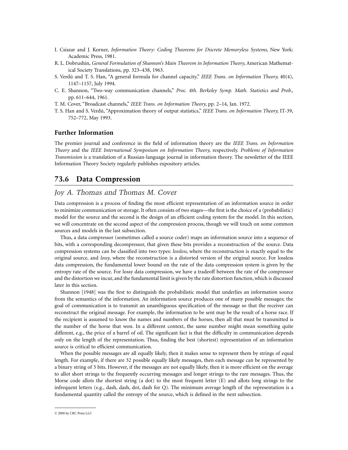- <span id="page-47-0"></span>I. Csiszar and J. Korner, *Information Theory: Coding Theorems for Discrete Memoryless Systems,* New York: Academic Press, 1981.
- R. L. Dobrushin, *General Formulation of Shannon's Main Theorem in Information Theory,* American Mathematical Society Translations, pp. 323–438, 1963.
- S. Verdú and T. S. Han, "A general formula for channel capacity," *IEEE Trans. on Information Theory,* 40(4), 1147–1157, July 1994.
- C. E. Shannon, "Two-way communication channels," *Proc. 4th. Berkeley Symp. Math. Statistics and Prob.,* pp. 611–644, 1961.
- T. M. Cover, "Broadcast channels," *IEEE Trans. on Information Theory,* pp. 2–14, Jan. 1972.
- T. S. Han and S. Verdú, "Approximation theory of output statistics," *IEEE Trans. on Information Theory,* IT-39, 752–772, May 1993.

## **Further Information**

The premier journal and conference in the field of information theory are the *IEEE Trans. on Information Theory* and the *IEEE International Symposium on Information Theory,* respectively. *Problems of Information Transmission* is a translation of a Russian-language journal in information theory. The newsletter of the IEEE Information Theory Society regularly publishes expository articles.

# **73.6 Data Compression**

# *Joy A. Thomas and Thomas M. Cover*

Data compression is a process of finding the most efficient representation of an information source in order to minimize communication or storage. It often consists of two stages—the first is the choice of a (probabilistic) model for the source and the second is the design of an efficient coding system for the model. In this section, we will concentrate on the second aspect of the compression process, though we will touch on some common sources and models in the last subsection.

Thus, a data compressor (sometimes called a source coder) maps an information source into a sequence of bits, with a corresponding decompressor, that given these bits provides a reconstruction of the source. Data compression systems can be classified into two types: *lossless,* where the reconstruction is exactly equal to the original source, and *lossy,* where the reconstruction is a distorted version of the original source. For lossless data compression, the fundamental lower bound on the rate of the data compression system is given by the entropy rate of the source. For lossy data compression, we have a tradeoff between the rate of the compressor and the distortion we incur, and the fundamental limit is given by the rate distortion function, which is discussed later in this section.

Shannon [1948] was the first to distinguish the probabilistic model that underlies an information source from the semantics of the information. An information source produces one of many possible messages; the goal of communication is to transmit an unambiguous specification of the message so that the receiver can reconstruct the original message. For example, the information to be sent may be the result of a horse race. If the recipient is assumed to know the names and numbers of the horses, then all that must be transmitted is the number of the horse that won. In a different context, the same number might mean something quite different, e.g., the price of a barrel of oil. The significant fact is that the difficulty in communication depends only on the length of the representation. Thus, finding the best (shortest) representation of an information source is critical to efficient communication.

When the possible messages are all equally likely, then it makes sense to represent them by strings of equal length. For example, if there are 32 possible equally likely messages, then each message can be represented by a binary string of 5 bits. However, if the messages are not equally likely, then it is more efficient on the average to allot short strings to the frequently occurring messages and longer strings to the rare messages. Thus, the Morse code allots the shortest string (a dot) to the most frequent letter (E) and allots long strings to the infrequent letters (e.g., dash, dash, dot, dash for Q). The minimum average length of the representation is a fundamental quantity called the entropy of the source, which is defined in the next subsection.

<sup>© 2000</sup> by CRC Press LLC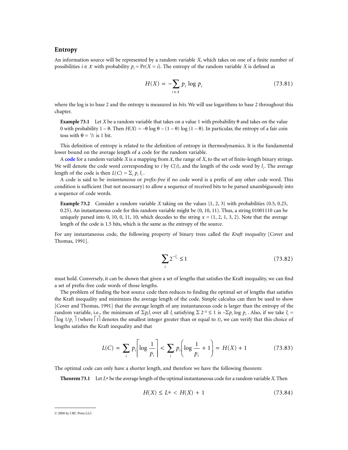#### **Entropy**

An information source will be represented by a random variable *X,* which takes on one of a finite number of possibilities  $i \in X$  with probability  $p_i = \Pr(X = i)$ . The entropy of the random variable *X* is defined as

$$
H(X) = -\sum_{i \in X} p_i \log p_i \tag{73.81}
$$

where the log is to base 2 and the entropy is measured in *bits*. We will use logarithms to base 2 throughout this chapter.

**Example 73.1** Let *X* be a random variable that takes on a value 1 with probability  $\theta$  and takes on the value 0 with probability  $1 - \theta$ . Then  $H(X) = -\theta \log \theta - (1 - \theta) \log (1 - \theta)$ . In particular, the entropy of a fair coin toss with  $\theta = \frac{1}{2}$  is 1 bit.

This definition of entropy is related to the definition of entropy in thermodynamics. It is the fundamental lower bound on the average length of a code for the random variable.

A **[code](#page-56-0)** for a random variable *X* is a mapping from *X*, the range of *X*, to the set of finite-length binary strings. We will denote the code word corresponding to *i* by  $C(i)$ , and the length of the code word by  $l_i$ . The average length of the code is then  $L(C) = \sum_i p_i l_i$ .

A code is said to be *instantaneous* or *prefix-free* if no code word is a prefix of any other code word. This condition is sufficient (but not necessary) to allow a sequence of received bits to be parsed unambiguously into a sequence of code words.

**Example 73.2** Consider a random variable *X* taking on the values {1, 2, 3} with probabilities (0.5, 0.25, 0.25). An instantaneous code for this random variable might be (0, 10, 11). Thus, a string 01001110 can be uniquely parsed into  $0, 10, 0, 11, 10$ , which decodes to the string  $x = (1, 2, 1, 3, 2)$ . Note that the average length of the code is 1.5 bits, which is the same as the entropy of the source.

For any instantaneous code, the following property of binary trees called the *Kraft inequality* [Cover and Thomas, 1991].

$$
\sum_{i} 2^{-l_i} \le 1\tag{73.82}
$$

must hold. Conversely, it can be shown that given a set of lengths that satisfies the Kraft inequality, we can find a set of prefix-free code words of those lengths.

The problem of finding the best source code then reduces to finding the optimal set of lengths that satisfies the Kraft inequality and minimizes the average length of the code. Simple calculus can then be used to show [Cover and Thomas, 1991] that the average length of any instantaneous code is larger than the entropy of the random variable, i.e., the minimum of  $\Sigma p_i l_i$  over all  $l_i$  satisfying  $\Sigma 2^{-li} \le 1$  is  $-\Sigma p_i \log p_i$ . Also, if we take  $l_i =$  $\lceil \log 1/p_i \rceil$  (where  $\lceil t \rceil$  denotes the smallest integer greater than or equal to *t*), we can verify that this choice of lengths satisfies the Kraft inequality and that

$$
L(C) = \sum_{i} p_i \left[ \log \frac{1}{p_i} \right] < \sum_{i} p_i \left( \log \frac{1}{p_i} + 1 \right) = H(X) + 1 \tag{73.83}
$$

The optimal code can only have a shorter length, and therefore we have the following theorem:

**Theorem 73.1** Let *L*\* be the average length of the optimal instantaneous code for a random variable *X*. Then

$$
H(X) \le L^* < H(X) + 1 \tag{73.84}
$$

<sup>© 2000</sup> by CRC Press LLC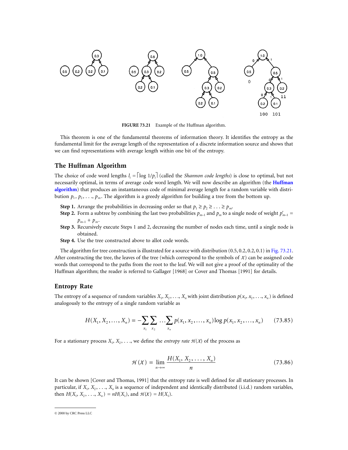<span id="page-49-0"></span>

**FIGURE 73.21** Example of the Huffman algorithm.

This theorem is one of the fundamental theorems of information theory. It identifies the entropy as the fundamental limit for the average length of the representation of a discrete information source and shows that we can find representations with average length within one bit of the entropy.

## **The Huffman Algorithm**

The choice of code word lengths  $l_i = \lceil \log 1/p_i \rceil$  (called the *Shannon code lengths*) is close to optimal, but not necessarily optimal, in terms of average code word length. We will now describe an algorithm (the **[Huffman](#page-56-0) [algorithm](#page-56-0)**) that produces an instantaneous code of minimal average length for a random variable with distribution  $p_1, p_2, \ldots, p_m$ . The algorithm is a greedy algorithm for building a tree from the bottom up.

- **Step 1.** Arrange the probabilities in decreasing order so that  $p_1 \geq p_2 \geq \ldots \geq p_m$ .
- **Step 2.** Form a subtree by combining the last two probabilities  $p_{m-1}$  and  $p_m$  to a single node of weight  $p'_{m-1}$  =  $p_{m-1} + p_m$ .
- **Step 3.** Recursively execute Steps 1 and 2, decreasing the number of nodes each time, until a single node is obtained.
- **Step 4.** Use the tree constructed above to allot code words.

The algorithm for tree construction is illustrated for a source with distribution (0.5, 0.2, 0.2, 0.1) in Fig. [73.21](#page-49-0). After constructing the tree, the leaves of the tree (which correspond to the symbols of *X*) can be assigned code words that correspond to the paths from the root to the leaf. We will not give a proof of the optimality of the Huffman algorithm; the reader is referred to Gallager [1968] or Cover and Thomas [1991] for details.

#### **Entropy Rate**

The entropy of a sequence of random variables  $X_1, X_2, \ldots, X_n$  with joint distribution  $p(x_1, x_2, \ldots, x_n)$  is defined analogously to the entropy of a single random variable as

$$
H(X_1, X_2, \dots, X_n) = -\sum_{x_1} \sum_{x_2} \dots \sum_{x_n} p(x_1, x_2, \dots, x_n) \log p(x_1, x_2, \dots, x_n) \tag{73.85}
$$

For a stationary process  $X_1, X_2, \ldots$ , we define the *entropy rate*  $H(X)$  of the process as

$$
\mathcal{H}(X) = \lim_{n \to \infty} \frac{H(X_1, X_2, \dots, X_n)}{n} \tag{73.86}
$$

It can be shown [Cover and Thomas, 1991] that the entropy rate is well defined for all stationary processes. In particular, if  $X_1, X_2, \ldots, X_n$  is a sequence of independent and identically distributed (i.i.d.) random variables, then  $H(X_1, X_2, \ldots, X_n) = nH(X_1)$ , and  $H(X) = H(X_1)$ .

<sup>© 2000</sup> by CRC Press LLC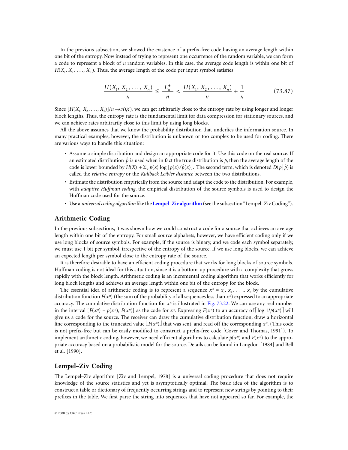In the previous subsection, we showed the existence of a prefix-free code having an average length within one bit of the entropy. Now instead of trying to represent one occurrence of the random variable, we can form a code to represent a block of *n* random variables. In this case, the average code length is within one bit of  $H(X_1, X_2, \ldots, X_n)$ . Thus, the average length of the code per input symbol satisfies

$$
\frac{H(X_1, X_2, \dots, X_n)}{n} \le \frac{L_n^*}{n} < \frac{H(X_1, X_2, \dots, X_n)}{n} + \frac{1}{n} \tag{73.87}
$$

Since  $[H(X_1, X_2, \ldots, X_n)]/n \rightarrow H(X)$ , we can get arbitrarily close to the entropy rate by using longer and longer block lengths. Thus, the entropy rate is the fundamental limit for data compression for stationary sources, and we can achieve rates arbitrarily close to this limit by using long blocks.

All the above assumes that we know the probability distribution that underlies the information source. In many practical examples, however, the distribution is unknown or too complex to be used for coding. There are various ways to handle this situation:

- Assume a simple distribution and design an appropriate code for it. Use this code on the real source. If an estimated distribution  $\hat{p}$  is used when in fact the true distribution is  $p$ , then the average length of the code is lower bounded by  $H(X) + \sum_x p(x) \log [p(x)/\hat{p}(x)]$ . The second term, which is denoted  $D(p\|\hat{p})$  is called the *relative entropy* or the *Kullback Leibler distance* between the two distributions.
- Estimate the distribution empirically from the source and adapt the code to the distribution. For example, with *adaptive Huffman coding*, the empirical distribution of the source symbols is used to design the Huffman code used for the source.
- Use a *universal coding algorithm* like the **[Lempel–Ziv algorithm](#page-56-0)** (see the subsection "Lempel–Ziv Coding").

#### **Arithmetic Coding**

In the previous subsections, it was shown how we could construct a code for a source that achieves an average length within one bit of the entropy. For small source alphabets, however, we have efficient coding only if we use long blocks of source symbols. For example, if the source is binary, and we code each symbol separately, we must use 1 bit per symbol, irrespective of the entropy of the source. If we use long blocks, we can achieve an expected length per symbol close to the entropy rate of the source.

It is therefore desirable to have an efficient coding procedure that works for long blocks of source symbols. Huffman coding is not ideal for this situation, since it is a bottom-up procedure with a complexity that grows rapidly with the block length. Arithmetic coding is an incremental coding algorithm that works efficiently for long block lengths and achieves an average length within one bit of the entropy for the block.

The essential idea of arithmetic coding is to represent a sequence  $x^n = x_1, x_2, \ldots, x_n$  by the cumulative distribution function  $F(x^n)$  (the sum of the probability of all sequences less than  $x^n$ ) expressed to an appropriate accuracy. The cumulative distribution function for *x <sup>n</sup>* is illustrated in [Fig. 73.22.](#page-51-0) We can use any real number in the interval  $[F(x^n) - p(x^n), F(x^n)]$  as the code for x<sup>n</sup>. Expressing  $F(x^n)$  to an accuracy of  $\lceil \log 1/p(x^n) \rceil$  will give us a code for the source. The receiver can draw the cumulative distribution function, draw a horizontal line corresponding to the truncated value  $F(x^n)$  that was sent, and read off the corresponding  $x^n$ . (This code is not prefix-free but can be easily modified to construct a prefix-free code [Cover and Thomas, 1991]). To implement arithmetic coding, however, we need efficient algorithms to calculate  $p(x^n)$  and  $F(x^n)$  to the appropriate accuracy based on a probabilistic model for the source. Details can be found in Langdon [1984] and Bell et al. [1990].

## **Lempel–Ziv Coding**

The Lempel–Ziv algorithm [Ziv and Lempel, 1978] is a universal coding procedure that does not require knowledge of the source statistics and yet is asymptotically optimal. The basic idea of the algorithm is to construct a table or dictionary of frequently occurring strings and to represent new strings by pointing to their prefixes in the table. We first parse the string into sequences that have not appeared so far. For example, the

<sup>© 2000</sup> by CRC Press LLC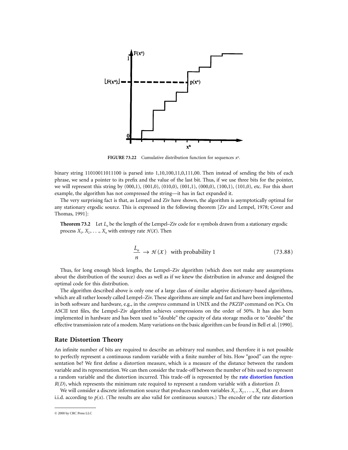<span id="page-51-0"></span>

**FIGURE 73.22** Cumulative distribution function for sequences  $x^n$ .

binary string 11010011011100 is parsed into 1,10,100,11,0,111,00. Then instead of sending the bits of each phrase, we send a pointer to its prefix and the value of the last bit. Thus, if we use three bits for the pointer, we will represent this string by (000,1), (001,0), (010,0), (001,1), (000,0), (100,1), (101,0), etc. For this short example, the algorithm has not compressed the string—it has in fact expanded it.

The very surprising fact is that, as Lempel and Ziv have shown, the algorithm is asymptotically optimal for any stationary ergodic source. This is expressed in the following theorem [Ziv and Lempel, 1978; Cover and Thomas, 1991]:

**Theorem 73.2** Let  $L_n$  be the length of the Lempel–Ziv code for *n* symbols drawn from a stationary ergodic process  $X_1, X_2, \ldots, X_n$  with entropy rate  $\mathcal{H}(X)$ . Then

$$
\frac{L_n}{n} \to \mathcal{H}(X) \quad \text{with probability 1} \tag{73.88}
$$

Thus, for long enough block lengths, the Lempel–Ziv algorithm (which does not make any assumptions about the distribution of the source) does as well as if we knew the distribution in advance and designed the optimal code for this distribution.

The algorithm described above is only one of a large class of similar adaptive dictionary-based algorithms, which are all rather loosely called Lempel–Ziv. These algorithms are simple and fast and have been implemented in both software and hardware, e.g., in the *compress* command in UNIX and the *PKZIP* command on PCs. On ASCII text files, the Lempel–Ziv algorithm achieves compressions on the order of 50%. It has also been implemented in hardware and has been used to "double" the capacity of data storage media or to "double" the effective transmission rate of a modem. Many variations on the basic algorithm can be found in Bell et al. [1990].

#### **Rate Distortion Theory**

An infinite number of bits are required to describe an arbitrary real number, and therefore it is not possible to perfectly represent a continuous random variable with a finite number of bits. How "good" can the representation be? We first define a distortion measure, which is a measure of the distance between the random variable and its representation. We can then consider the trade-off between the number of bits used to represent a random variable and the distortion incurred. This trade-off is represented by the **[rate distortion function](#page-56-0)** *R*(*D*), which represents the minimum rate required to represent a random variable with a distortion *D*.

We will consider a discrete information source that produces random variables  $X_1, X_2, \ldots, X_n$  that are drawn i.i.d. according to  $p(x)$ . (The results are also valid for continuous sources.) The encoder of the rate distortion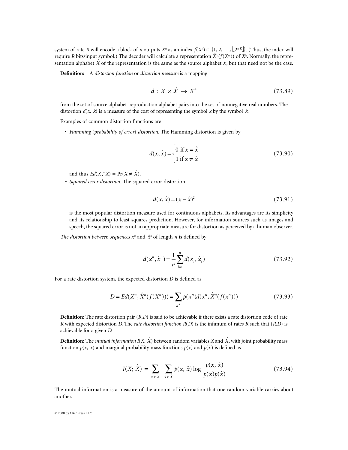system of rate *R* will encode a block of *n* outputs  $X^n$  as an index  $f(X^n) \in \{1, 2, \ldots, \lfloor 2^{nR} \rfloor\}$ . (Thus, the index will require *R* bits/input symbol.) The decoder will calculate a representation  $\hat{X}^n(f(X^n))$  of  $X^n$ . Normally, the representation alphabet  $\hat{X}$  of the representation is the same as the source alphabet *X*, but that need not be the case.

**Definition:** A *distortion function* or *distortion measure* is a mapping

$$
d: X \times \hat{X} \to R^+ \tag{73.89}
$$

from the set of source alphabet–reproduction alphabet pairs into the set of nonnegative real numbers. The distortion  $d(x, \hat{x})$  is a measure of the cost of representing the symbol x by the symbol  $\hat{x}$ .

Examples of common distortion functions are

• *Hamming* (*probability of error*) *distortion.* The Hamming distortion is given by

$$
d(x, \hat{x}) = \begin{cases} 0 \text{ if } x = \hat{x} \\ 1 \text{ if } x \neq \hat{x} \end{cases}
$$
 (73.90)

and thus  $Ed(X, \hat{X}) = Pr(X \neq \hat{X})$ .

*• Squared error distortion.* The squared error distortion

$$
d(x, \hat{x}) = (x - \hat{x})^2
$$
 (73.91)

is the most popular distortion measure used for continuous alphabets. Its advantages are its simplicity and its relationship to least squares prediction. However, for information sources such as images and speech, the squared error is not an appropriate measure for distortion as perceived by a human observer.

*The distortion between sequences*  $x^n$  and  $\hat{x}^n$  of length *n* is defined by

$$
d(x^n, \hat{x}^n) = \frac{1}{n} \sum_{i=1}^n d(x_i, \hat{x}_i)
$$
 (73.92)

For a rate distortion system, the expected distortion *D* is defined as

$$
D = Ed(X^n, \hat{X}^n(f(X^n))) = \sum_{x^n} p(x^n) d(x^n, \hat{X}^n(f(x^n)))
$$
\n(73.93)

**Definition:** The rate distortion pair (*R,D*) is said to be achievable if there exists a rate distortion code of rate *R* with expected distortion *D*. The *rate distortion function R*(*D*) is the infimum of rates *R* such that (*R,D*) is achievable for a given *D*.

**Definition:** The *mutual information I*(*X*,  $\hat{X}$ ) between random variables *X* and  $\hat{X}$ , with joint probability mass function  $p(x, \hat{x})$  and marginal probability mass functions  $p(x)$  and  $p(\hat{x})$  is defined as

$$
I(X; \hat{X}) = \sum_{x \in X} \sum_{\hat{x} \in \hat{X}} p(x, \hat{x}) \log \frac{p(x, \hat{x})}{p(x)p(\hat{x})}
$$
(73.94)

The mutual information is a measure of the amount of information that one random variable carries about another.

<sup>© 2000</sup> by CRC Press LLC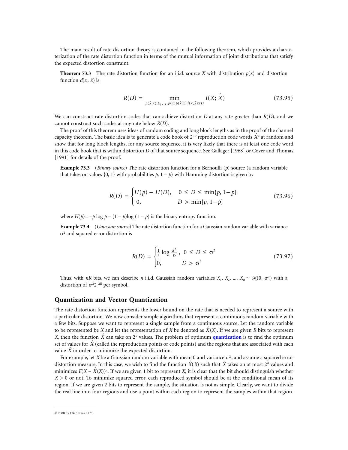The main result of rate distortion theory is contained in the following theorem, which provides a characterization of the rate distortion function in terms of the mutual information of joint distributions that satisfy the expected distortion constraint:

**Theorem 73.3** The rate distortion function for an i.i.d. source *X* with distribution  $p(x)$  and distortion function  $d(x, \hat{x})$  is

$$
R(D) = \min_{p(\hat{x}|x): \Sigma_{(x,\hat{x})} p(x) p(\hat{x}|x) d(x,\hat{x}) \le D} I(X; \hat{X})
$$
\n(73.95)

We can construct rate distortion codes that can achieve distortion *D* at any rate greater than *R*(*D*), and we cannot construct such codes at any rate below *R*(*D*).

The proof of this theorem uses ideas of random coding and long block lengths as in the proof of the channel capacity theorem. The basic idea is to generate a code book of  $2^{nR}$  reproduction code words  $\hat{X}^n$  at random and show that for long block lengths, for any source sequence, it is very likely that there is at least one code word in this code book that is within distortion *D* of that source sequence. See Gallager [1968] or Cover and Thomas [1991] for details of the proof.

**Example 73.3** (*Binary source*) The rate distortion function for a Bernoulli (*p*) source (a random variable that takes on values  $\{0, 1\}$  with probabilities  $p$ ,  $1 - p$ ) with Hamming distortion is given by

$$
R(D) = \begin{cases} H(p) - H(D), & 0 \le D \le \min\{p, 1 - p\} \\ 0, & D > \min\{p, 1 - p\} \end{cases}
$$
(73.96)

where  $H(p) = -p \log p - (1 - p) \log (1 - p)$  is the binary entropy function.

**Example 73.4** (*Gaussian source*) The rate distortion function for a Gaussian random variable with variance  $\sigma^2$  and squared error distortion is

$$
R(D) = \begin{cases} \frac{1}{2} \log \frac{\sigma^2}{D}, & 0 \le D \le \sigma^2\\ 0, & D > \sigma^2 \end{cases}
$$
(73.97)

Thus, with *nR* bits, we can describe *n* i.i.d. Gaussian random variables  $X_1, X_2, ..., X_n \sim \mathcal{N}(0, \sigma^2)$  with a distortion of  $\sigma^2 2^{-2R}$  per symbol.

## **Quantization and Vector Quantization**

The rate distortion function represents the lower bound on the rate that is needed to represent a source with a particular distortion. We now consider simple algorithms that represent a continuous random variable with a few bits. Suppose we want to represent a single sample from a continuous source. Let the random variable to be represented be *X* and let the representation of *X* be denoted as  $\hat{X}(X)$ . If we are given *R* bits to represent *X*, then the function  $\hat{X}$  can take on  $2^R$  values. The problem of optimum [quantization](#page-56-0) is to find the optimum set of values for *ˆ X* (called the reproduction points or code points) and the regions that are associated with each value  $\hat{X}$  in order to minimize the expected distortion.

For example, let *X* be a Gaussian random variable with mean 0 and variance  $\sigma^2$ , and assume a squared error distortion measure. In this case, we wish to find the function  $\hat{X}(X)$  such that  $\hat{X}$  takes on at most  $2^R$  values and minimizes  $E(X - \hat{X}(X))^2$ . If we are given 1 bit to represent *X*, it is clear that the bit should distinguish whether *X >* 0 or not. To minimize squared error, each reproduced symbol should be at the conditional mean of its region. If we are given 2 bits to represent the sample, the situation is not as simple. Clearly, we want to divide the real line into four regions and use a point within each region to represent the samples within that region.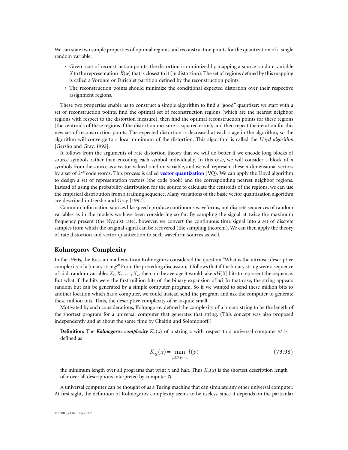We can state two simple properties of optimal regions and reconstruction points for the quantization of a single random variable:

- Given a set of reconstruction points, the distortion is minimized by mapping a source random variable *X* to the representation  $\hat{X}(w)$  that is closest to it (in distortion). The set of regions defined by this mapping is called a Voronoi or Dirichlet partition defined by the reconstruction points.
- The reconstruction points should minimize the conditional expected distortion over their respective assignment regions.

These two properties enable us to construct a simple algorithm to find a "good" quantizer: we start with a set of reconstruction points, find the optimal set of reconstruction regions (which are the nearest neighbor regions with respect to the distortion measure), then find the optimal reconstruction points for these regions (the centroids of these regions if the distortion measure is squared error), and then repeat the iteration for this new set of reconstruction points. The expected distortion is decreased at each stage in the algorithm, so the algorithm will converge to a local minimum of the distortion. This algorithm is called the *Lloyd algorithm* [Gersho and Gray, 1992].

It follows from the arguments of rate distortion theory that we will do better if we encode long blocks of source symbols rather than encoding each symbol individually. In this case, we will consider a block of *n* symbols from the source as a vector-valued random variable, and we will represent these *n*-dimensional vectors by a set of 2*nR* code words. This process is called **[vector quantization](#page-56-0)** (VQ). We can apply the Lloyd algorithm to design a set of representation vectors (the code book) and the corresponding nearest neighbor regions. Instead of using the probability distribution for the source to calculate the centroids of the regions, we can use the empirical distribution from a training sequence. Many variations of the basic vector quantization algorithm are described in Gersho and Gray [1992].

Common information sources like speech produce continuous waveforms, not discrete sequences of random variables as in the models we have been considering so far. By sampling the signal at twice the maximum frequency present (the Nyquist rate), however, we convert the continuous time signal into a set of discrete samples from which the original signal can be recovered (the sampling theorem). We can then apply the theory of rate distortion and vector quantization to such waveform sources as well.

## **Kolmogorov Complexity**

In the 1960s, the Russian mathematican Kolmogorov considered the question "What is the intrinsic descriptive complexity of a binary string?" From the preceding discussion, it follows that if the binary string were a sequence of i.i.d. random variables  $X_1, X_2, \ldots, X_n$ , then on the average it would take  $nH(X)$  bits to represent the sequence. But what if the bits were the first million bits of the binary expansion of  $\pi$ ? In that case, the string appears random but can be generated by a simple computer program. So if we wanted to send these million bits to another location which has a computer, we could instead send the program and ask the computer to generate these million bits. Thus, the descriptive complexity of  $\pi$  is quite small.

Motivated by such considerations, Kolmogorov defined the complexity of a binary string to be the length of the shortest program for a universal computer that generates that string. (This concept was also proposed independently and at about the same time by Chaitin and Solomonoff.)

**Definition:** The *Kolmogorov complexity*  $K_u(x)$  of a string *x* with respect to a universal computer *U* is defined as

$$
K_{u}(x) = \min_{p:u(p)=x} l(p)
$$
 (73.98)

the minimum length over all programs that print *x* and halt. Thus  $K_u(x)$  is the shortest description length of *x* over all descriptions interpreted by computer *U.*

A universal computer can be thought of as a Turing machine that can simulate any other universal computer. At first sight, the definition of Kolmogorov complexity seems to be useless, since it depends on the particular

<sup>© 2000</sup> by CRC Press LLC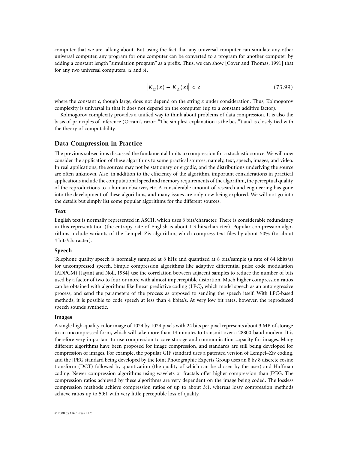computer that we are talking about. But using the fact that any universal computer can simulate any other universal computer, any program for one computer can be converted to a program for another computer by adding a constant length "simulation program" as a prefix. Thus, we can show [Cover and Thomas, 1991] that for any two universal computers, *U* and *A*,

$$
|K_u(x) - K_a(x)| < c \tag{73.99}
$$

where the constant *c*, though large, does not depend on the string *x* under consideration. Thus, Kolmogorov complexity is universal in that it does not depend on the computer (up to a constant additive factor).

Kolmogorov complexity provides a unified way to think about problems of data compression. It is also the basis of principles of inference (Occam's razor: "The simplest explanation is the best") and is closely tied with the theory of computability.

## **Data Compression in Practice**

The previous subsections discussed the fundamental limits to compression for a stochastic source. We will now consider the application of these algorithms to some practical sources, namely, text, speech, images, and video. In real applications, the sources may not be stationary or ergodic, and the distributions underlying the source are often unknown. Also, in addition to the efficiency of the algorithm, important considerations in practical applications include the computational speed and memory requirements of the algorithm, the perceptual quality of the reproductions to a human observer, etc. A considerable amount of research and engineering has gone into the development of these algorithms, and many issues are only now being explored. We will not go into the details but simply list some popular algorithms for the different sources.

#### **Text**

English text is normally represented in ASCII, which uses 8 bits/character. There is considerable redundancy in this representation (the entropy rate of English is about 1.3 bits/character). Popular compression algorithms include variants of the Lempel–Ziv algorithm, which compress text files by about 50% (to about 4 bits/character).

#### **Speech**

Telephone quality speech is normally sampled at 8 kHz and quantized at 8 bits/sample (a rate of 64 kbits/s) for uncompressed speech. Simple compression algorithms like adaptive differential pulse code modulation (ADPCM) [Jayant and Noll, 1984] use the correlation between adjacent samples to reduce the number of bits used by a factor of two to four or more with almost imperceptible distortion. Much higher compression ratios can be obtained with algorithms like linear predictive coding (LPC), which model speech as an autoregressive process, and send the parameters of the process as opposed to sending the speech itself. With LPC-based methods, it is possible to code speech at less than 4 kbits/s. At very low bit rates, however, the reproduced speech sounds synthetic.

#### **Images**

A single high-quality color image of 1024 by 1024 pixels with 24 bits per pixel represents about 3 MB of storage in an uncompressed form, which will take more than 14 minutes to transmit over a 28800-baud modem. It is therefore very important to use compression to save storage and communication capacity for images. Many different algorithms have been proposed for image compression, and standards are still being developed for compression of images. For example, the popular GIF standard uses a patented version of Lempel–Ziv coding, and the JPEG standard being developed by the Joint Photographic Experts Group uses an 8 by 8 discrete cosine transform (DCT) followed by quantization (the quality of which can be chosen by the user) and Huffman coding. Newer compression algorithms using wavelets or fractals offer higher compression than JPEG. The compression ratios achieved by these algorithms are very dependent on the image being coded. The lossless compression methods achieve compression ratios of up to about 3:1, whereas lossy compression methods achieve ratios up to 50:1 with very little perceptible loss of quality.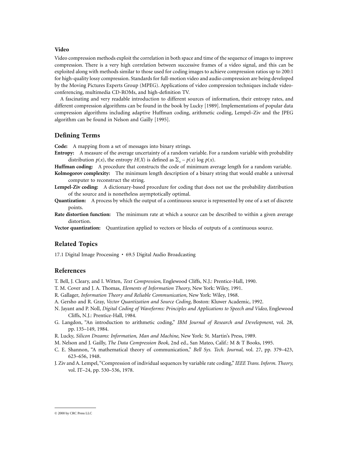#### <span id="page-56-0"></span>**Video**

Video compression methods exploit the correlation in both space and time of the sequence of images to improve compression. There is a very high correlation between successive frames of a video signal, and this can be exploited along with methods similar to those used for coding images to achieve compression ratios up to 200:1 for high-quality lossy compression. Standards for full-motion video and audio compression are being developed by the Moving Pictures Experts Group (MPEG). Applications of video compression techniques include videoconferencing, multimedia CD-ROMs, and high-definition TV.

A fascinating and very readable introduction to different sources of information, their entropy rates, and different compression algorithms can be found in the book by Lucky [1989]. Implementations of popular data compression algorithms including adaptive Huffman coding, arithmetic coding, Lempel–Ziv and the JPEG algorithm can be found in Nelson and Gailly [1995].

## **Defining Terms**

**Code:** A mapping from a set of messages into binary strings.

- **Entropy:** A measure of the average uncertainty of a random variable. For a random variable with probability distribution  $p(x)$ , the entropy  $H(X)$  is defined as  $\Sigma_x - p(x) \log p(x)$ .
- **Huffman coding:** A procedure that constructs the code of minimum average length for a random variable.
- **Kolmogorov complexity:** The minimum length description of a binary string that would enable a universal computer to reconstruct the string.
- **Lempel-Ziv coding:** A dictionary-based procedure for coding that does not use the probability distribution of the source and is nonetheless asymptotically optimal.
- **Quantization:** A process by which the output of a continuous source is represented by one of a set of discrete points.
- **Rate distortion function:** The minimum rate at which a source can be described to within a given average distortion.

**Vector quantization:** Quantization applied to vectors or blocks of outputs of a continuous source.

## **Related Topics**

17.1 Digital Image Processing • 69.5 Digital Audio Broadcasting

## **References**

T. Bell, J. Cleary, and I. Witten, *Text Compression*, Englewood Cliffs, N.J.: Prentice-Hall, 1990.

- T. M. Cover and J. A. Thomas, *Elements of Information Theory,* New York: Wiley, 1991.
- R. Gallager, *Information Theory and Reliable Communication,* New York: Wiley, 1968.
- A. Gersho and R. Gray, *Vector Quantization and Source Coding,* Boston: Kluwer Academic, 1992.
- N. Jayant and P. Noll, *Digital Coding of Waveforms: Principles and Applications to Speech and Video,* Englewood Cliffs, N.J.: Prentice-Hall, 1984.
- G. Langdon, "An introduction to arithmetic coding," *IBM Journal of Research and Development,* vol. 28, pp. 135–149, 1984.
- R. Lucky, *Silicon Dreams: Information, Man and Machine,* New York: St. Martin's Press, 1989.
- M. Nelson and J. Gailly, *The Data Compression Book,* 2nd ed., San Mateo, Calif.: M & T Books, 1995.
- C. E. Shannon, "A mathematical theory of communication," *Bell Sys. Tech. Journal,* vol. 27, pp. 379–423, 623–656, 1948.
- J. Ziv and A. Lempel, "Compression of individual sequences by variable rate coding," *IEEE Trans. Inform. Theory,* vol. IT–24, pp. 530–536, 1978.